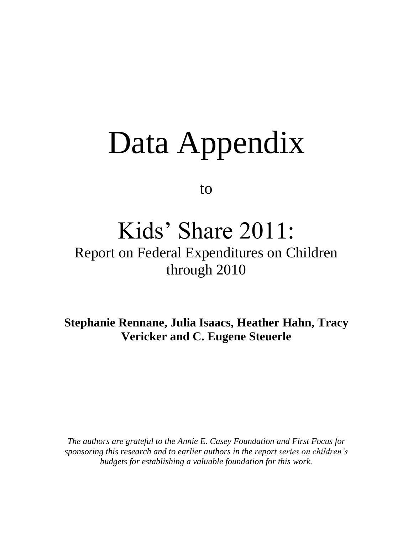# Data Appendix

to

## Kids' Share 2011:

## Report on Federal Expenditures on Children through 2010

**Stephanie Rennane, Julia Isaacs, Heather Hahn, Tracy Vericker and C. Eugene Steuerle**

*The authors are grateful to the Annie E. Casey Foundation and First Focus for sponsoring this research and to earlier authors in the report series on children's budgets for establishing a valuable foundation for this work.*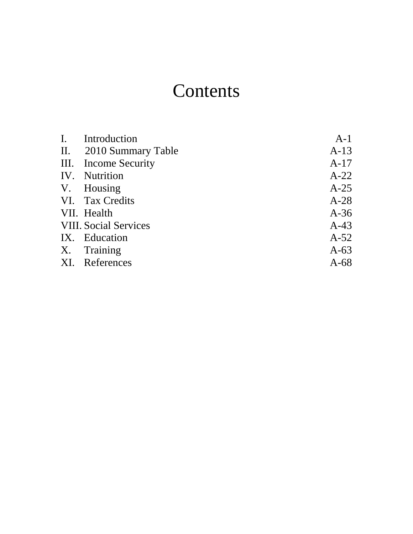## **Contents**

| I. Introduction              | $A-1$  |
|------------------------------|--------|
| II. 2010 Summary Table       | $A-13$ |
| III. Income Security         | $A-17$ |
| IV. Nutrition                | $A-22$ |
| V. Housing                   | $A-25$ |
| VI. Tax Credits              | $A-28$ |
| VII. Health                  | $A-36$ |
| <b>VIII. Social Services</b> | $A-43$ |
| IX. Education                | $A-52$ |
| X. Training                  | $A-63$ |
| XI. References               | $A-68$ |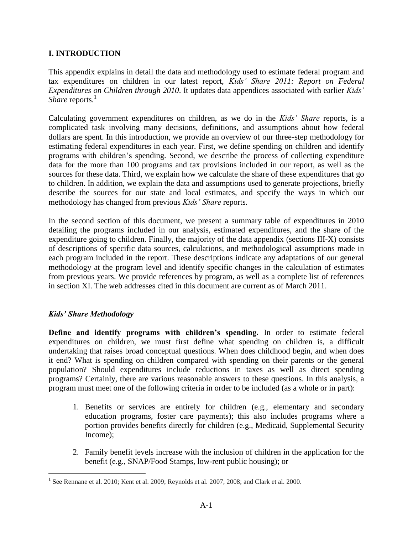#### **I. INTRODUCTION**

This appendix explains in detail the data and methodology used to estimate federal program and tax expenditures on children in our latest report, *Kids' Share 2011: Report on Federal Expenditures on Children through 2010*. It updates data appendices associated with earlier *Kids' Share* reports.<sup>1</sup>

Calculating government expenditures on children, as we do in the *Kids' Share* reports, is a complicated task involving many decisions, definitions, and assumptions about how federal dollars are spent. In this introduction, we provide an overview of our three-step methodology for estimating federal expenditures in each year. First, we define spending on children and identify programs with children's spending. Second, we describe the process of collecting expenditure data for the more than 100 programs and tax provisions included in our report, as well as the sources for these data. Third, we explain how we calculate the share of these expenditures that go to children. In addition, we explain the data and assumptions used to generate projections, briefly describe the sources for our state and local estimates, and specify the ways in which our methodology has changed from previous *Kids' Share* reports.

In the second section of this document, we present a summary table of expenditures in 2010 detailing the programs included in our analysis, estimated expenditures, and the share of the expenditure going to children. Finally, the majority of the data appendix (sections III-X) consists of descriptions of specific data sources, calculations, and methodological assumptions made in each program included in the report. These descriptions indicate any adaptations of our general methodology at the program level and identify specific changes in the calculation of estimates from previous years. We provide references by program, as well as a complete list of references in section XI. The web addresses cited in this document are current as of March 2011.

#### *Kids' Share Methodology*

**Define and identify programs with children's spending.** In order to estimate federal expenditures on children, we must first define what spending on children is, a difficult undertaking that raises broad conceptual questions. When does childhood begin, and when does it end? What is spending on children compared with spending on their parents or the general population? Should expenditures include reductions in taxes as well as direct spending programs? Certainly, there are various reasonable answers to these questions. In this analysis, a program must meet one of the following criteria in order to be included (as a whole or in part):

- 1. Benefits or services are entirely for children (e.g., elementary and secondary education programs, foster care payments); this also includes programs where a portion provides benefits directly for children (e.g., Medicaid, Supplemental Security Income);
- 2. Family benefit levels increase with the inclusion of children in the application for the benefit (e.g., SNAP/Food Stamps, low-rent public housing); or

 $\overline{a}$ <sup>1</sup> See Rennane et al. 2010; Kent et al. 2009; Reynolds et al. 2007, 2008; and Clark et al. 2000.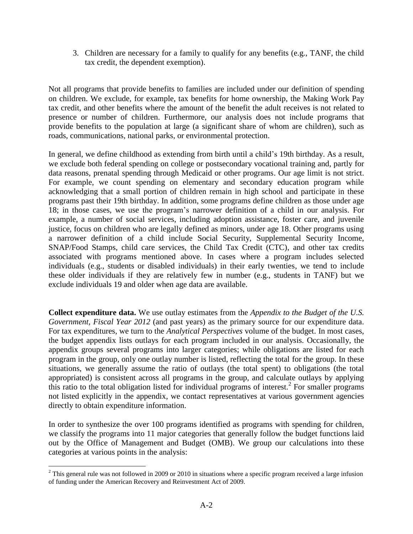3. Children are necessary for a family to qualify for any benefits (e.g., TANF, the child tax credit, the dependent exemption).

Not all programs that provide benefits to families are included under our definition of spending on children. We exclude, for example, tax benefits for home ownership, the Making Work Pay tax credit, and other benefits where the amount of the benefit the adult receives is not related to presence or number of children. Furthermore, our analysis does not include programs that provide benefits to the population at large (a significant share of whom are children), such as roads, communications, national parks, or environmental protection.

In general, we define childhood as extending from birth until a child's 19th birthday. As a result, we exclude both federal spending on college or postsecondary vocational training and, partly for data reasons, prenatal spending through Medicaid or other programs. Our age limit is not strict. For example, we count spending on elementary and secondary education program while acknowledging that a small portion of children remain in high school and participate in these programs past their 19th birthday. In addition, some programs define children as those under age 18; in those cases, we use the program's narrower definition of a child in our analysis. For example, a number of social services, including adoption assistance, foster care, and juvenile justice, focus on children who are legally defined as minors, under age 18. Other programs using a narrower definition of a child include Social Security, Supplemental Security Income, SNAP/Food Stamps, child care services, the Child Tax Credit (CTC), and other tax credits associated with programs mentioned above. In cases where a program includes selected individuals (e.g., students or disabled individuals) in their early twenties, we tend to include these older individuals if they are relatively few in number (e.g., students in TANF) but we exclude individuals 19 and older when age data are available.

**Collect expenditure data.** We use outlay estimates from the *Appendix to the Budget of the U.S. Government, Fiscal Year 2012* (and past years) as the primary source for our expenditure data. For tax expenditures, we turn to the *Analytical Perspectives* volume of the budget. In most cases, the budget appendix lists outlays for each program included in our analysis. Occasionally, the appendix groups several programs into larger categories; while obligations are listed for each program in the group, only one outlay number is listed, reflecting the total for the group. In these situations, we generally assume the ratio of outlays (the total spent) to obligations (the total appropriated) is consistent across all programs in the group, and calculate outlays by applying this ratio to the total obligation listed for individual programs of interest.<sup>2</sup> For smaller programs not listed explicitly in the appendix, we contact representatives at various government agencies directly to obtain expenditure information.

In order to synthesize the over 100 programs identified as programs with spending for children, we classify the programs into 11 major categories that generally follow the budget functions laid out by the Office of Management and Budget (OMB). We group our calculations into these categories at various points in the analysis:

 $\overline{a}$ 

 $2$  This general rule was not followed in 2009 or 2010 in situations where a specific program received a large infusion of funding under the American Recovery and Reinvestment Act of 2009.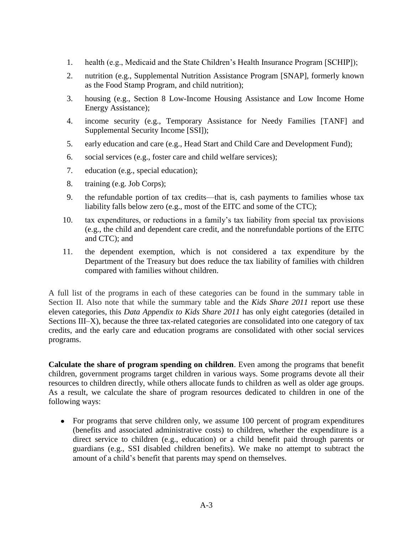- 1. health (e.g., Medicaid and the State Children's Health Insurance Program [SCHIP]);
- 2. nutrition (e.g., Supplemental Nutrition Assistance Program [SNAP], formerly known as the Food Stamp Program, and child nutrition);
- 3. housing (e.g., Section 8 Low-Income Housing Assistance and Low Income Home Energy Assistance);
- 4. income security (e.g., Temporary Assistance for Needy Families [TANF] and Supplemental Security Income [SSI]);
- 5. early education and care (e.g., Head Start and Child Care and Development Fund);
- 6. social services (e.g., foster care and child welfare services);
- 7. education (e.g., special education);
- 8. training (e.g. Job Corps);
- 9. the refundable portion of tax credits—that is, cash payments to families whose tax liability falls below zero (e.g., most of the EITC and some of the CTC);
- 10. tax expenditures, or reductions in a family's tax liability from special tax provisions (e.g., the child and dependent care credit, and the nonrefundable portions of the EITC and CTC); and
- 11. the dependent exemption, which is not considered a tax expenditure by the Department of the Treasury but does reduce the tax liability of families with children compared with families without children.

A full list of the programs in each of these categories can be found in the summary table in Section II. Also note that while the summary table and the *Kids Share 2011* report use these eleven categories, this *Data Appendix to Kids Share 2011* has only eight categories (detailed in Sections III–X), because the three tax-related categories are consolidated into one category of tax credits, and the early care and education programs are consolidated with other social services programs.

**Calculate the share of program spending on children**. Even among the programs that benefit children, government programs target children in various ways. Some programs devote all their resources to children directly, while others allocate funds to children as well as older age groups. As a result, we calculate the share of program resources dedicated to children in one of the following ways:

For programs that serve children only, we assume 100 percent of program expenditures (benefits and associated administrative costs) to children, whether the expenditure is a direct service to children (e.g., education) or a child benefit paid through parents or guardians (e.g., SSI disabled children benefits). We make no attempt to subtract the amount of a child's benefit that parents may spend on themselves.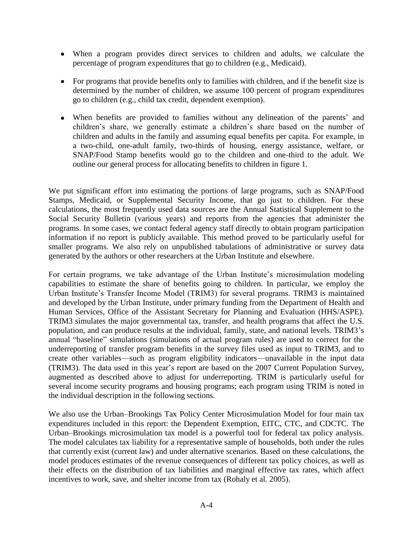- When a program provides direct services to children and adults, we calculate the percentage of program expenditures that go to children (e.g., Medicaid).
- For programs that provide benefits only to families with children, and if the benefit size is determined by the number of children, we assume 100 percent of program expenditures go to children (e.g., child tax credit, dependent exemption).
- When benefits are provided to families without any delineation of the parents' and children's share, we generally estimate a children's share based on the number of children and adults in the family and assuming equal benefits per capita. For example, in a two-child, one-adult family, two-thirds of housing, energy assistance, welfare, or SNAP/Food Stamp benefits would go to the children and one-third to the adult. We outline our general process for allocating benefits to children in figure 1.

We put significant effort into estimating the portions of large programs, such as SNAP/Food Stamps, Medicaid, or Supplemental Security Income, that go just to children. For these calculations, the most frequently used data sources are the Annual Statistical Supplement to the Social Security Bulletin (various years) and reports from the agencies that administer the programs. In some cases, we contact federal agency staff directly to obtain program participation information if no report is publicly available. This method proved to be particularly useful for smaller programs. We also rely on unpublished tabulations of administrative or survey data generated by the authors or other researchers at the Urban Institute and elsewhere.

For certain programs, we take advantage of the Urban Institute's microsimulation modeling capabilities to estimate the share of benefits going to children. In particular, we employ the Urban Institute's Transfer Income Model (TRIM3) for several programs. TRIM3 is maintained and developed by the Urban Institute, under primary funding from the Department of Health and Human Services, Office of the Assistant Secretary for Planning and Evaluation (HHS/ASPE). TRIM3 simulates the major governmental [tax, transfer, and health programs](http://trim3.urban.org/T3IntroPrograms.php) that affect the U.S. population, and can produce results at the individual, family, state, and national levels. TRIM3's annual "baseline" simulations (simulations of actual program rules) are used to correct for the underreporting of transfer program benefits in the survey files used as input to TRIM3, and to create other variables—such as program eligibility indicators—unavailable in the input data (TRIM3). The data used in this year's report are based on the 2007 Current Population Survey, augmented as described above to adjust for underreporting. TRIM is particularly useful for several income security programs and housing programs; each program using TRIM is noted in the individual description in the following sections.

We also use the Urban–Brookings Tax Policy Center Microsimulation Model for four main tax expenditures included in this report: the Dependent Exemption, EITC, CTC, and CDCTC. The Urban–Brookings microsimulation tax model is a powerful tool for federal tax policy analysis. The model calculates tax liability for a representative sample of households, both under the rules that currently exist (current law) and under alternative scenarios. Based on these calculations, the model produces estimates of the revenue consequences of different tax policy choices, as well as their effects on the distribution of tax liabilities and marginal effective tax rates, which affect incentives to work, save, and shelter income from tax (Rohaly et al. 2005).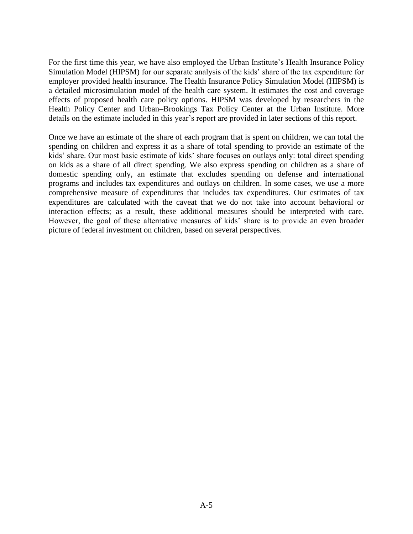For the first time this year, we have also employed the Urban Institute's Health Insurance Policy Simulation Model (HIPSM) for our separate analysis of the kids' share of the tax expenditure for employer provided health insurance. The Health Insurance Policy Simulation Model (HIPSM) is a detailed microsimulation model of the health care system. It estimates the cost and coverage effects of proposed health care policy options. HIPSM was developed by researchers in the Health Policy Center and Urban–Brookings Tax Policy Center at the Urban Institute. More details on the estimate included in this year's report are provided in later sections of this report.

Once we have an estimate of the share of each program that is spent on children, we can total the spending on children and express it as a share of total spending to provide an estimate of the kids' share. Our most basic estimate of kids' share focuses on outlays only: total direct spending on kids as a share of all direct spending. We also express spending on children as a share of domestic spending only, an estimate that excludes spending on defense and international programs and includes tax expenditures and outlays on children. In some cases, we use a more comprehensive measure of expenditures that includes tax expenditures. Our estimates of tax expenditures are calculated with the caveat that we do not take into account behavioral or interaction effects; as a result, these additional measures should be interpreted with care. However, the goal of these alternative measures of kids' share is to provide an even broader picture of federal investment on children, based on several perspectives.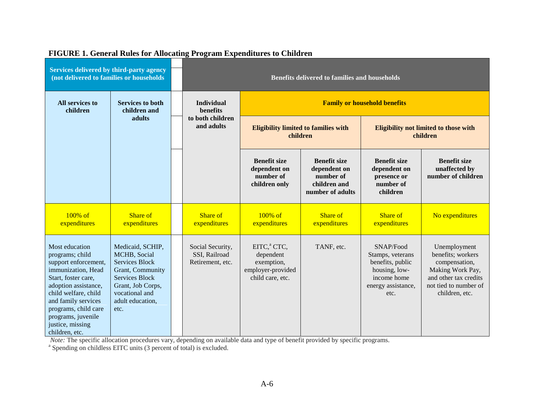| Services delivered by third-party agency<br>(not delivered to families or households                                                                                                                                                                              |                                                                                                                                                                           | <b>Benefits delivered to families and households</b>  |                                                                                             |                                                                                      |                                                                                                                 |                                                                                                                                            |
|-------------------------------------------------------------------------------------------------------------------------------------------------------------------------------------------------------------------------------------------------------------------|---------------------------------------------------------------------------------------------------------------------------------------------------------------------------|-------------------------------------------------------|---------------------------------------------------------------------------------------------|--------------------------------------------------------------------------------------|-----------------------------------------------------------------------------------------------------------------|--------------------------------------------------------------------------------------------------------------------------------------------|
| All services to<br><b>Services to both</b><br>children<br>children and                                                                                                                                                                                            |                                                                                                                                                                           | <b>Individual</b><br>benefits                         | <b>Family or household benefits</b>                                                         |                                                                                      |                                                                                                                 |                                                                                                                                            |
|                                                                                                                                                                                                                                                                   | adults                                                                                                                                                                    | to both children<br>and adults                        | <b>Eligibility limited to families with</b><br>children                                     |                                                                                      | <b>Eligibility not limited to those with</b><br>children                                                        |                                                                                                                                            |
|                                                                                                                                                                                                                                                                   |                                                                                                                                                                           |                                                       | <b>Benefit size</b><br>dependent on<br>number of<br>children only                           | <b>Benefit size</b><br>dependent on<br>number of<br>children and<br>number of adults | <b>Benefit size</b><br>dependent on<br>presence or<br>number of<br>children                                     | <b>Benefit size</b><br>unaffected by<br>number of children                                                                                 |
| 100% of<br>expenditures                                                                                                                                                                                                                                           | Share of<br>expenditures                                                                                                                                                  | Share of<br>expenditures                              | $100\%$ of<br>expenditures                                                                  | Share of<br>expenditures                                                             | Share of<br>expenditures                                                                                        | No expenditures                                                                                                                            |
| Most education<br>programs; child<br>support enforcement,<br>immunization, Head<br>Start, foster care,<br>adoption assistance,<br>child welfare, child<br>and family services<br>programs, child care<br>programs, juvenile<br>justice, missing<br>children, etc. | Medicaid, SCHIP,<br>MCHB, Social<br><b>Services Block</b><br>Grant, Community<br><b>Services Block</b><br>Grant, Job Corps,<br>vocational and<br>adult education,<br>etc. | Social Security,<br>SSI, Railroad<br>Retirement, etc. | EITC, <sup>a</sup> CTC,<br>dependent<br>exemption,<br>employer-provided<br>child care, etc. | TANF, etc.                                                                           | SNAP/Food<br>Stamps, veterans<br>benefits, public<br>housing, low-<br>income home<br>energy assistance,<br>etc. | Unemployment<br>benefits; workers<br>compensation,<br>Making Work Pay,<br>and other tax credits<br>not tied to number of<br>children, etc. |

#### **FIGURE 1. General Rules for Allocating Program Expenditures to Children**

*Note:* The specific allocation procedures vary, depending on available data and type of benefit provided by specific programs. <sup>a</sup> Spending on childless EITC units (3 percent of total) is excluded.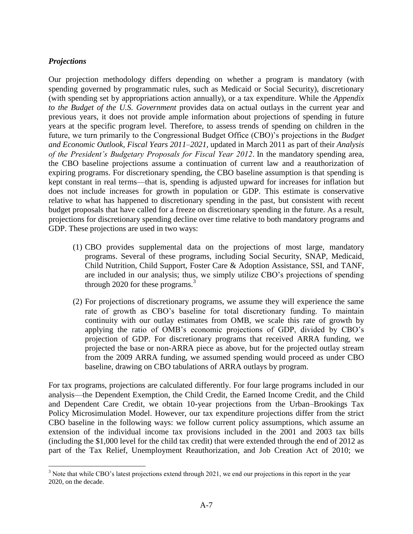#### *Projections*

 $\overline{a}$ 

Our projection methodology differs depending on whether a program is mandatory (with spending governed by programmatic rules, such as Medicaid or Social Security), discretionary (with spending set by appropriations action annually), or a tax expenditure. While the *Appendix to the Budget of the U.S. Government* provides data on actual outlays in the current year and previous years, it does not provide ample information about projections of spending in future years at the specific program level. Therefore, to assess trends of spending on children in the future, we turn primarily to the Congressional Budget Office (CBO)'s projections in the *Budget and Economic Outlook, Fiscal Years 2011–2021,* updated in March 2011 as part of their *Analysis of the President's Budgetary Proposals for Fiscal Year 2012*. In the mandatory spending area, the CBO baseline projections assume a continuation of current law and a reauthorization of expiring programs. For discretionary spending, the CBO baseline assumption is that spending is kept constant in real terms—that is, spending is adjusted upward for increases for inflation but does not include increases for growth in population or GDP. This estimate is conservative relative to what has happened to discretionary spending in the past, but consistent with recent budget proposals that have called for a freeze on discretionary spending in the future. As a result, projections for discretionary spending decline over time relative to both mandatory programs and GDP. These projections are used in two ways:

- (1) CBO provides supplemental data on the projections of most large, mandatory programs. Several of these programs, including Social Security, SNAP, Medicaid, Child Nutrition, Child Support, Foster Care & Adoption Assistance, SSI, and TANF, are included in our analysis; thus, we simply utilize CBO's projections of spending through 2020 for these programs.<sup>3</sup>
- (2) For projections of discretionary programs, we assume they will experience the same rate of growth as CBO's baseline for total discretionary funding. To maintain continuity with our outlay estimates from OMB, we scale this rate of growth by applying the ratio of OMB's economic projections of GDP, divided by CBO's projection of GDP. For discretionary programs that received ARRA funding, we projected the base or non-ARRA piece as above, but for the projected outlay stream from the 2009 ARRA funding, we assumed spending would proceed as under CBO baseline, drawing on CBO tabulations of ARRA outlays by program.

For tax programs, projections are calculated differently. For four large programs included in our analysis—the Dependent Exemption, the Child Credit, the Earned Income Credit, and the Child and Dependent Care Credit, we obtain 10-year projections from the Urban–Brookings Tax Policy Microsimulation Model. However, our tax expenditure projections differ from the strict CBO baseline in the following ways: we follow current policy assumptions, which assume an extension of the individual income tax provisions included in the 2001 and 2003 tax bills (including the \$1,000 level for the child tax credit) that were extended through the end of 2012 as part of the Tax Relief, Unemployment Reauthorization, and Job Creation Act of 2010; we

<sup>&</sup>lt;sup>3</sup> Note that while CBO's latest projections extend through 2021, we end our projections in this report in the year 2020, on the decade.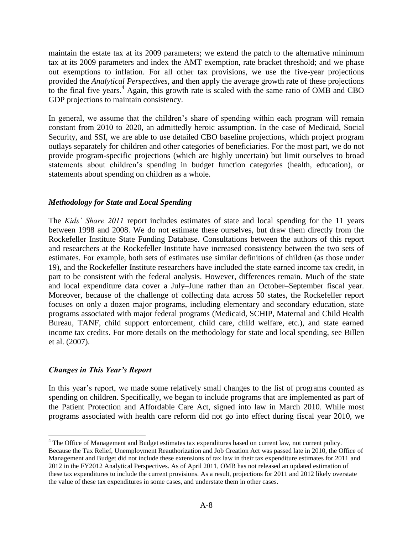maintain the estate tax at its 2009 parameters; we extend the patch to the alternative minimum tax at its 2009 parameters and index the AMT exemption, rate bracket threshold; and we phase out exemptions to inflation. For all other tax provisions, we use the five-year projections provided the *Analytical Perspectives*, and then apply the average growth rate of these projections to the final five years.<sup>4</sup> Again, this growth rate is scaled with the same ratio of OMB and CBO GDP projections to maintain consistency.

In general, we assume that the children's share of spending within each program will remain constant from 2010 to 2020, an admittedly heroic assumption. In the case of Medicaid, Social Security, and SSI, we are able to use detailed CBO baseline projections, which project program outlays separately for children and other categories of beneficiaries. For the most part, we do not provide program-specific projections (which are highly uncertain) but limit ourselves to broad statements about children's spending in budget function categories (health, education), or statements about spending on children as a whole.

#### *Methodology for State and Local Spending*

The *Kids' Share 2011* report includes estimates of state and local spending for the 11 years between 1998 and 2008. We do not estimate these ourselves, but draw them directly from the Rockefeller Institute State Funding Database. Consultations between the authors of this report and researchers at the Rockefeller Institute have increased consistency between the two sets of estimates. For example, both sets of estimates use similar definitions of children (as those under 19), and the Rockefeller Institute researchers have included the state earned income tax credit, in part to be consistent with the federal analysis. However, differences remain. Much of the state and local expenditure data cover a July–June rather than an October–September fiscal year. Moreover, because of the challenge of collecting data across 50 states, the Rockefeller report focuses on only a dozen major programs, including elementary and secondary education, state programs associated with major federal programs (Medicaid, SCHIP, Maternal and Child Health Bureau, TANF, child support enforcement, child care, child welfare, etc.), and state earned income tax credits. For more details on the methodology for state and local spending, see Billen et al. (2007).

#### *Changes in This Year's Report*

 $\overline{a}$ 

In this year's report, we made some relatively small changes to the list of programs counted as spending on children. Specifically, we began to include programs that are implemented as part of the Patient Protection and Affordable Care Act, signed into law in March 2010. While most programs associated with health care reform did not go into effect during fiscal year 2010, we

<sup>&</sup>lt;sup>4</sup> The Office of Management and Budget estimates tax expenditures based on current law, not current policy. Because the Tax Relief, Unemployment Reauthorization and Job Creation Act was passed late in 2010, the Office of Management and Budget did not include these extensions of tax law in their tax expenditure estimates for 2011 and 2012 in the FY2012 Analytical Perspectives. As of April 2011, OMB has not released an updated estimation of these tax expenditures to include the current provisions. As a result, projections for 2011 and 2012 likely overstate the value of these tax expenditures in some cases, and understate them in other cases.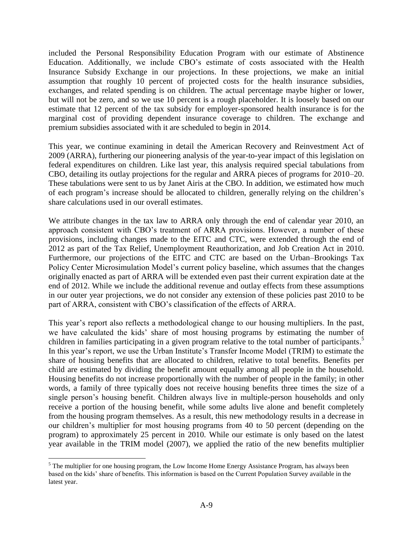included the Personal Responsibility Education Program with our estimate of Abstinence Education. Additionally, we include CBO's estimate of costs associated with the Health Insurance Subsidy Exchange in our projections. In these projections, we make an initial assumption that roughly 10 percent of projected costs for the health insurance subsidies, exchanges, and related spending is on children. The actual percentage maybe higher or lower, but will not be zero, and so we use 10 percent is a rough placeholder. It is loosely based on our estimate that 12 percent of the tax subsidy for employer-sponsored health insurance is for the marginal cost of providing dependent insurance coverage to children. The exchange and premium subsidies associated with it are scheduled to begin in 2014.

This year, we continue examining in detail the American Recovery and Reinvestment Act of 2009 (ARRA), furthering our pioneering analysis of the year-to-year impact of this legislation on federal expenditures on children. Like last year, this analysis required special tabulations from CBO, detailing its outlay projections for the regular and ARRA pieces of programs for 2010–20. These tabulations were sent to us by Janet Airis at the CBO. In addition, we estimated how much of each program's increase should be allocated to children, generally relying on the children's share calculations used in our overall estimates.

We attribute changes in the tax law to ARRA only through the end of calendar year 2010, an approach consistent with CBO's treatment of ARRA provisions. However, a number of these provisions, including changes made to the EITC and CTC, were extended through the end of 2012 as part of the Tax Relief, Unemployment Reauthorization, and Job Creation Act in 2010. Furthermore, our projections of the EITC and CTC are based on the Urban–Brookings Tax Policy Center Microsimulation Model's current policy baseline, which assumes that the changes originally enacted as part of ARRA will be extended even past their current expiration date at the end of 2012. While we include the additional revenue and outlay effects from these assumptions in our outer year projections, we do not consider any extension of these policies past 2010 to be part of ARRA, consistent with CBO's classification of the effects of ARRA.

This year's report also reflects a methodological change to our housing multipliers. In the past, we have calculated the kids' share of most housing programs by estimating the number of children in families participating in a given program relative to the total number of participants. 5 In this year's report, we use the Urban Institute's Transfer Income Model (TRIM) to estimate the share of housing benefits that are allocated to children, relative to total benefits. Benefits per child are estimated by dividing the benefit amount equally among all people in the household. Housing benefits do not increase proportionally with the number of people in the family; in other words, a family of three typically does not receive housing benefits three times the size of a single person's housing benefit. Children always live in multiple-person households and only receive a portion of the housing benefit, while some adults live alone and benefit completely from the housing program themselves. As a result, this new methodology results in a decrease in our children's multiplier for most housing programs from 40 to 50 percent (depending on the program) to approximately 25 percent in 2010. While our estimate is only based on the latest year available in the TRIM model (2007), we applied the ratio of the new benefits multiplier

 $\overline{a}$ <sup>5</sup> The multiplier for one housing program, the Low Income Home Energy Assistance Program, has always been based on the kids' share of benefits. This information is based on the Current Population Survey available in the latest year.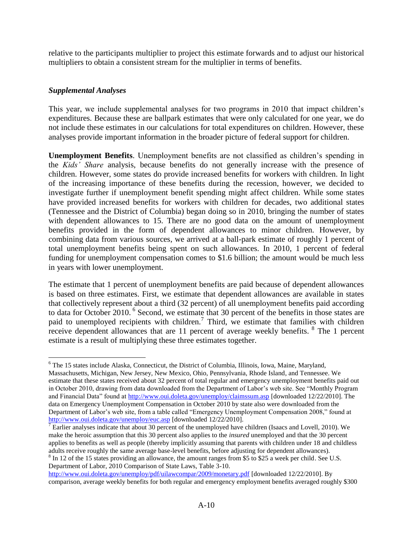relative to the participants multiplier to project this estimate forwards and to adjust our historical multipliers to obtain a consistent stream for the multiplier in terms of benefits.

#### *Supplemental Analyses*

This year, we include supplemental analyses for two programs in 2010 that impact children's expenditures. Because these are ballpark estimates that were only calculated for one year, we do not include these estimates in our calculations for total expenditures on children. However, these analyses provide important information in the broader picture of federal support for children.

**Unemployment Benefits**. Unemployment benefits are not classified as children's spending in the *Kids' Share* analysis, because benefits do not generally increase with the presence of children. However, some states do provide increased benefits for workers with children. In light of the increasing importance of these benefits during the recession, however, we decided to investigate further if unemployment benefit spending might affect children. While some states have provided increased benefits for workers with children for decades, two additional states (Tennessee and the District of Columbia) began doing so in 2010, bringing the number of states with dependent allowances to 15. There are no good data on the amount of unemployment benefits provided in the form of dependent allowances to minor children. However, by combining data from various sources, we arrived at a ball-park estimate of roughly 1 percent of total unemployment benefits being spent on such allowances. In 2010, 1 percent of federal funding for unemployment compensation comes to \$1.6 billion; the amount would be much less in years with lower unemployment.

The estimate that 1 percent of unemployment benefits are paid because of dependent allowances is based on three estimates. First, we estimate that dependent allowances are available in states that collectively represent about a third (32 percent) of all unemployment benefits paid according to data for October 2010. <sup>6</sup> Second, we estimate that 30 percent of the benefits in those states are paid to unemployed recipients with children.<sup>7</sup> Third, we estimate that families with children receive dependent allowances that are 11 percent of average weekly benefits. <sup>8</sup> The 1 percent estimate is a result of multiplying these three estimates together.

 $\overline{a}$ <sup>6</sup> The 15 states include Alaska, Connecticut, the District of Columbia, Illinois, Iowa, Maine, Maryland, Massachusetts, Michigan, New Jersey, New Mexico, Ohio, Pennsylvania, Rhode Island, and Tennessee. We estimate that these states received about 32 percent of total regular and emergency unemployment benefits paid out in October 2010, drawing from data downloaded from the Department of Labor's web site. See "Monthly Program" and Financial Data" found at<http://www.oui.doleta.gov/unemploy/claimssum.asp> [downloaded 12/22/2010]. The data on Emergency Unemployment Compensation in October 2010 by state also were downloaded from the Department of Labor's web site, from a table called "Emergency Unemployment Compensation 2008," found at <http://www.oui.doleta.gov/unemploy/euc.asp> [downloaded 12/22/2010].

 $\overline{7}$  Earlier analyses indicate that about 30 percent of the unemployed have children (Isaacs and Lovell, 2010). We make the heroic assumption that this 30 percent also applies to the *insured* unemployed and that the 30 percent applies to benefits as well as people (thereby implicitly assuming that parents with children under 18 and childless adults receive roughly the same average base-level benefits, before adjusting for dependent allowances).

<sup>&</sup>lt;sup>8</sup> In 12 of the 15 states providing an allowance, the amount ranges from \$5 to \$25 a week per child. See U.S. Department of Labor, 2010 Comparison of State Laws, Table 3-10.

<http://www.oui.doleta.gov/unemploy/pdf/uilawcompar/2009/monetary.pdf> [downloaded 12/22/2010]. By comparison, average weekly benefits for both regular and emergency employment benefits averaged roughly \$300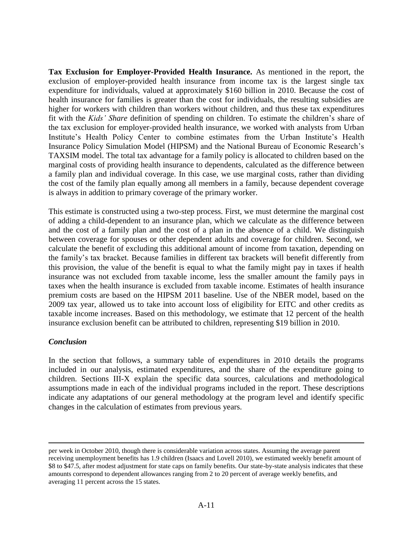**Tax Exclusion for Employer-Provided Health Insurance.** As mentioned in the report, the exclusion of employer-provided health insurance from income tax is the largest single tax expenditure for individuals, valued at approximately \$160 billion in 2010. Because the cost of health insurance for families is greater than the cost for individuals, the resulting subsidies are higher for workers with children than workers without children, and thus these tax expenditures fit with the *Kids' Share* definition of spending on children. To estimate the children's share of the tax exclusion for employer-provided health insurance, we worked with analysts from Urban Institute's Health Policy Center to combine estimates from the Urban Institute's Health Insurance Policy Simulation Model (HIPSM) and the National Bureau of Economic Research's TAXSIM model. The total tax advantage for a family policy is allocated to children based on the marginal costs of providing health insurance to dependents, calculated as the difference between a family plan and individual coverage. In this case, we use marginal costs, rather than dividing the cost of the family plan equally among all members in a family, because dependent coverage is always in addition to primary coverage of the primary worker.

This estimate is constructed using a two-step process. First, we must determine the marginal cost of adding a child-dependent to an insurance plan, which we calculate as the difference between and the cost of a family plan and the cost of a plan in the absence of a child. We distinguish between coverage for spouses or other dependent adults and coverage for children. Second, we calculate the benefit of excluding this additional amount of income from taxation, depending on the family's tax bracket. Because families in different tax brackets will benefit differently from this provision, the value of the benefit is equal to what the family might pay in taxes if health insurance was not excluded from taxable income, less the smaller amount the family pays in taxes when the health insurance is excluded from taxable income. Estimates of health insurance premium costs are based on the HIPSM 2011 baseline. Use of the NBER model, based on the 2009 tax year, allowed us to take into account loss of eligibility for EITC and other credits as taxable income increases. Based on this methodology, we estimate that 12 percent of the health insurance exclusion benefit can be attributed to children, representing \$19 billion in 2010.

#### *Conclusion*

 $\overline{a}$ 

In the section that follows, a summary table of expenditures in 2010 details the programs included in our analysis, estimated expenditures, and the share of the expenditure going to children. Sections III-X explain the specific data sources, calculations and methodological assumptions made in each of the individual programs included in the report. These descriptions indicate any adaptations of our general methodology at the program level and identify specific changes in the calculation of estimates from previous years.

per week in October 2010, though there is considerable variation across states. Assuming the average parent receiving unemployment benefits has 1.9 children (Isaacs and Lovell 2010), we estimated weekly benefit amount of \$8 to \$47.5, after modest adjustment for state caps on family benefits. Our state-by-state analysis indicates that these amounts correspond to dependent allowances ranging from 2 to 20 percent of average weekly benefits, and averaging 11 percent across the 15 states.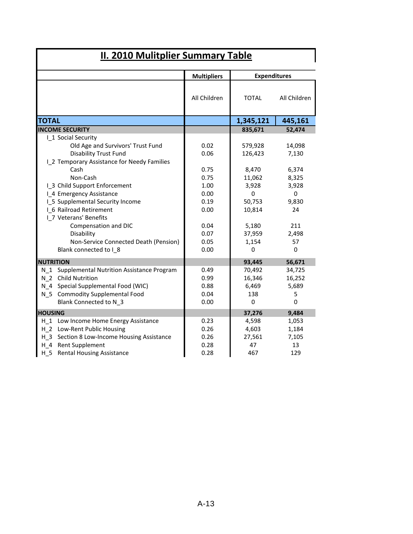|                                               | <b>Expenditures</b><br><b>Multipliers</b> |              |              |
|-----------------------------------------------|-------------------------------------------|--------------|--------------|
|                                               | All Children                              | <b>TOTAL</b> | All Children |
| <b>TOTAL</b>                                  |                                           | 1,345,121    | 445,161      |
| <b>INCOME SECURITY</b>                        |                                           | 835,671      | 52,474       |
| I 1 Social Security                           |                                           |              |              |
| Old Age and Survivors' Trust Fund             | 0.02                                      | 579,928      | 14,098       |
| <b>Disability Trust Fund</b>                  | 0.06                                      | 126,423      | 7,130        |
| I_2 Temporary Assistance for Needy Families   |                                           |              |              |
| Cash                                          | 0.75                                      | 8,470        | 6,374        |
| Non-Cash                                      | 0.75                                      | 11,062       | 8,325        |
| 1 3 Child Support Enforcement                 | 1.00                                      | 3,928        | 3,928        |
| I 4 Emergency Assistance                      | 0.00                                      | $\Omega$     | $\Omega$     |
| 1 5 Supplemental Security Income              | 0.19                                      | 50,753       | 9,830        |
| I 6 Railroad Retirement                       | 0.00                                      | 10,814       | 24           |
| I 7 Veterans' Benefits                        |                                           |              |              |
| Compensation and DIC                          | 0.04                                      | 5,180        | 211          |
| Disability                                    | 0.07                                      | 37,959       | 2,498        |
| Non-Service Connected Death (Pension)         | 0.05                                      | 1,154        | 57           |
| Blank connected to I_8                        | 0.00                                      | 0            | $\mathbf 0$  |
| <b>NUTRITION</b>                              |                                           | 93,445       | 56,671       |
| N_1 Supplemental Nutrition Assistance Program | 0.49                                      | 70,492       | 34,725       |
| N 2 Child Nutrition                           | 0.99                                      | 16,346       | 16,252       |
| N_4 Special Supplemental Food (WIC)           | 0.88                                      | 6,469        | 5,689        |
| N_5 Commodity Supplemental Food               | 0.04                                      | 138          | 5            |
| Blank Connected to N 3                        | 0.00                                      | $\pmb{0}$    | $\mathbf 0$  |
| <b>HOUSING</b>                                |                                           | 37,276       | 9,484        |
| H_1 Low Income Home Energy Assistance         | 0.23                                      | 4,598        | 1,053        |
| H 2 Low-Rent Public Housing                   | 0.26                                      | 4,603        | 1,184        |
| H_3 Section 8 Low-Income Housing Assistance   | 0.26                                      | 27,561       | 7,105        |
| H 4 Rent Supplement                           | 0.28                                      | 47           | 13           |
| H 5<br><b>Rental Housing Assistance</b>       | 0.28                                      | 467          | 129          |

 $\mathbf I$ 

I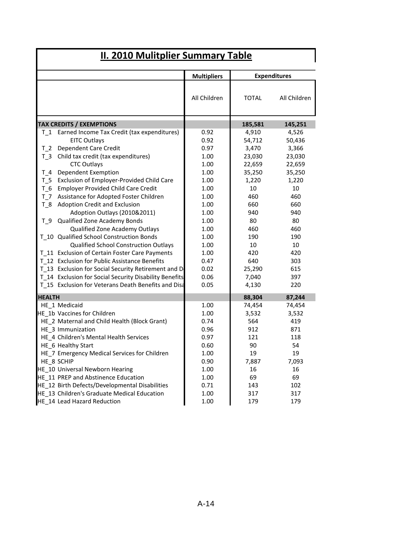|                                 |                                                        | <b>Multipliers</b> |              | <b>Expenditures</b> |  |  |
|---------------------------------|--------------------------------------------------------|--------------------|--------------|---------------------|--|--|
|                                 |                                                        | All Children       | <b>TOTAL</b> | All Children        |  |  |
| <b>TAX CREDITS / EXEMPTIONS</b> |                                                        |                    | 185,581      | 145,251             |  |  |
| T 1                             | Earned Income Tax Credit (tax expenditures)            | 0.92               | 4,910        | 4,526               |  |  |
|                                 | <b>EITC Outlays</b>                                    | 0.92               | 54,712       | 50,436              |  |  |
| T 2                             | Dependent Care Credit                                  | 0.97               | 3,470        | 3,366               |  |  |
| $T_3$                           | Child tax credit (tax expenditures)                    | 1.00               | 23,030       | 23,030              |  |  |
|                                 | <b>CTC Outlays</b>                                     | 1.00               | 22,659       | 22,659              |  |  |
| T 4                             | Dependent Exemption                                    | 1.00               | 35,250       | 35,250              |  |  |
| T 5                             | Exclusion of Employer-Provided Child Care              | 1.00               | 1,220        | 1,220               |  |  |
| T 6                             | <b>Employer Provided Child Care Credit</b>             | 1.00               | 10           | 10                  |  |  |
| T 7                             | Assistance for Adopted Foster Children                 | 1.00               | 460          | 460                 |  |  |
| $T_8$                           | <b>Adoption Credit and Exclusion</b>                   | 1.00               | 660          | 660                 |  |  |
|                                 | Adoption Outlays (2010&2011)                           | 1.00               | 940          | 940                 |  |  |
|                                 | T_9 Qualified Zone Academy Bonds                       | 1.00               | 80           | 80                  |  |  |
|                                 | Qualified Zone Academy Outlays                         | 1.00               | 460          | 460                 |  |  |
|                                 | T 10 Qualified School Construction Bonds               | 1.00               | 190          | 190                 |  |  |
|                                 | Qualified School Construction Outlays                  | 1.00               | 10           | 10                  |  |  |
|                                 | T_11 Exclusion of Certain Foster Care Payments         | 1.00               | 420          | 420                 |  |  |
|                                 | T 12 Exclusion for Public Assistance Benefits          | 0.47               | 640          | 303                 |  |  |
|                                 | T 13 Exclusion for Social Security Retirement and D    | 0.02               | 25,290       | 615                 |  |  |
|                                 | T 14 Exclusion for Social Security Disability Benefits | 0.06               | 7,040        | 397                 |  |  |
|                                 | T 15 Exclusion for Veterans Death Benefits and Disa    | 0.05               | 4,130        | 220                 |  |  |
| <b>HEALTH</b>                   |                                                        |                    | 88,304       | 87,244              |  |  |
|                                 | HE 1 Medicaid                                          | 1.00               | 74,454       | 74,454              |  |  |
|                                 | HE 1b Vaccines for Children                            | 1.00               | 3,532        | 3,532               |  |  |
|                                 | HE 2 Maternal and Child Health (Block Grant)           | 0.74               | 564          | 419                 |  |  |
|                                 | HE 3 Immunization                                      | 0.96               | 912          | 871                 |  |  |
|                                 | HE 4 Children's Mental Health Services                 | 0.97               | 121          | 118                 |  |  |
|                                 | HE 6 Healthy Start                                     | 0.60               | 90           | 54                  |  |  |
|                                 | HE_7 Emergency Medical Services for Children           | 1.00               | 19           | 19                  |  |  |
|                                 | HE 8 SCHIP                                             | 0.90               | 7,887        | 7,093               |  |  |
|                                 | HE 10 Universal Newborn Hearing                        | 1.00               | 16           | 16                  |  |  |
|                                 | HE 11 PREP and Abstinence Education                    | 1.00               | 69           | 69                  |  |  |
|                                 | HE 12 Birth Defects/Developmental Disabilities         | 0.71               | 143          | 102                 |  |  |
|                                 | HE 13 Children's Graduate Medical Education            | 1.00               | 317          | 317                 |  |  |
|                                 | HE_14 Lead Hazard Reduction                            | 1.00               | 179          | 179                 |  |  |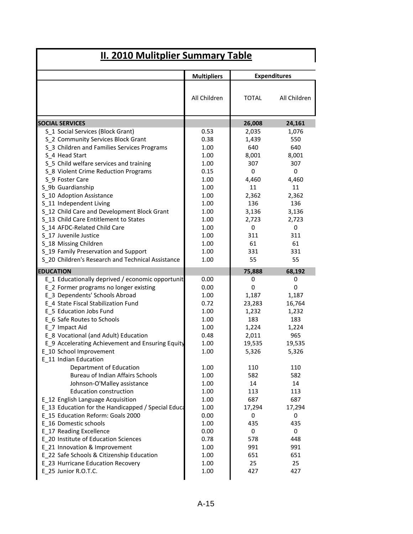|                                                                 | <b>Multipliers</b> | <b>Expenditures</b> |              |
|-----------------------------------------------------------------|--------------------|---------------------|--------------|
|                                                                 | All Children       | <b>TOTAL</b>        | All Children |
| <b>SOCIAL SERVICES</b>                                          |                    | 26,008              | 24,161       |
| S_1 Social Services (Block Grant)                               | 0.53               | 2,035               | 1,076        |
| S_2 Community Services Block Grant                              | 0.38               | 1,439               | 550          |
| S 3 Children and Families Services Programs                     | 1.00               | 640                 | 640          |
| S 4 Head Start                                                  | 1.00               | 8,001               | 8,001        |
| S_5 Child welfare services and training                         | 1.00               | 307                 | 307          |
| S_8 Violent Crime Reduction Programs                            | 0.15               | 0                   | $\mathbf 0$  |
| S 9 Foster Care                                                 | 1.00               | 4,460               | 4,460        |
| S_9b Guardianship                                               | 1.00               | 11                  | 11           |
| S_10 Adoption Assistance                                        | 1.00               | 2,362               | 2,362        |
| S 11 Independent Living                                         | 1.00               | 136                 | 136          |
| S_12 Child Care and Development Block Grant                     | 1.00               | 3,136               | 3,136        |
| S 13 Child Care Entitlement to States                           | 1.00               | 2,723               | 2,723        |
| S 14 AFDC-Related Child Care                                    | 1.00               | 0                   | $\mathbf 0$  |
| S 17 Juvenile Justice                                           | 1.00               | 311                 | 311          |
| S_18 Missing Children                                           | 1.00               | 61                  | 61           |
| S_19 Family Preservation and Support                            | 1.00               | 331                 | 331          |
| S 20 Children's Research and Technical Assistance               | 1.00               | 55                  | 55           |
| <b>EDUCATION</b>                                                |                    | 75,888              | 68,192       |
| E_1 Educationally deprived / economic opportunit                | 0.00               | 0                   | 0            |
| E_2 Former programs no longer existing                          | 0.00               | 0                   | 0            |
| E_3 Dependents' Schools Abroad                                  | 1.00               | 1,187               | 1,187        |
| E 4 State Fiscal Stabilization Fund                             | 0.72               | 23,283              | 16,764       |
| E 5 Education Jobs Fund                                         | 1.00               | 1,232               | 1,232        |
| E 6 Safe Routes to Schools                                      | 1.00               | 183                 | 183          |
| E_7 Impact Aid                                                  | 1.00               | 1,224               | 1,224        |
| E 8 Vocational (and Adult) Education                            | 0.48               | 2,011               | 965          |
| E_9 Accelerating Achievement and Ensuring Equity                | 1.00               | 19,535              | 19,535       |
| E 10 School Improvement                                         | 1.00               | 5,326               | 5,326        |
| E 11 Indian Education                                           |                    |                     |              |
| Department of Education                                         | 1.00               | 110                 | 110          |
| Bureau of Indian Affairs Schools                                | 1.00               | 582                 | 582          |
| Johnson-O'Malley assistance                                     | 1.00               | 14                  | 14           |
| <b>Education construction</b>                                   | 1.00               | 113                 | 113          |
| E_12 English Language Acquisition                               | 1.00               | 687                 | 687          |
| E_13 Education for the Handicapped / Special Educa              | 1.00               | 17,294              | 17,294       |
| E 15 Education Reform: Goals 2000                               | 0.00               | 0                   | 0            |
| E 16 Domestic schools                                           | 1.00               | 435                 | 435          |
| E 17 Reading Excellence<br>E 20 Institute of Education Sciences | 0.00               | 0                   | 0            |
|                                                                 | 0.78               | 578                 | 448          |
| E_21 Innovation & Improvement                                   | 1.00               | 991                 | 991          |
| E_22 Safe Schools & Citizenship Education                       | 1.00               | 651                 | 651          |
| E_23 Hurricane Education Recovery                               | 1.00               | 25                  | 25           |
| E 25 Junior R.O.T.C.                                            | 1.00               | 427                 | 427          |

I

 $\mathbf{I}$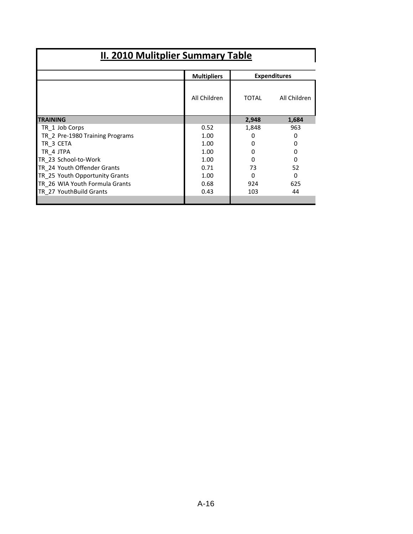|                                 | <b>Multipliers</b> | <b>Expenditures</b> |              |  |
|---------------------------------|--------------------|---------------------|--------------|--|
|                                 | All Children       | TOTAL               | All Children |  |
| <b>TRAINING</b>                 |                    | 2,948               | 1,684        |  |
| TR 1 Job Corps                  | 0.52               | 1,848               | 963          |  |
| TR 2 Pre-1980 Training Programs | 1.00               | 0                   | O            |  |
| TR 3 CETA                       | 1.00               | 0                   |              |  |
| TR 4 JTPA                       | 1.00               |                     | 0            |  |
| TR 23 School-to-Work            | 1.00               | 0                   | Ω            |  |
| TR 24 Youth Offender Grants     | 0.71               | 73                  | 52           |  |
| TR 25 Youth Opportunity Grants  | 1.00               | 0                   | 0            |  |
| TR 26 WIA Youth Formula Grants  | 0.68               | 924                 | 625          |  |
| TR 27 YouthBuild Grants         | 0.43               | 103                 | 44           |  |
|                                 |                    |                     |              |  |

I

Ш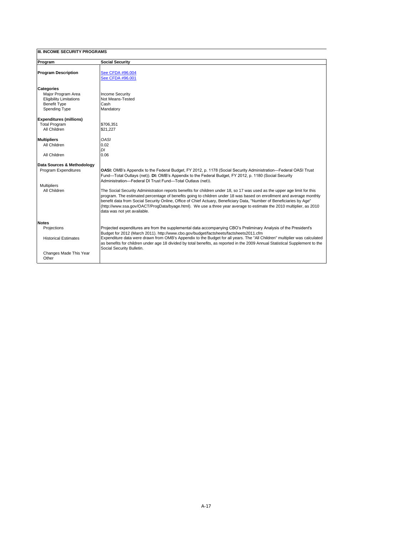| Program                        | <b>Social Security</b>                                                                                                                                                                                                                                                                                                                                                                                                                                                                                                           |
|--------------------------------|----------------------------------------------------------------------------------------------------------------------------------------------------------------------------------------------------------------------------------------------------------------------------------------------------------------------------------------------------------------------------------------------------------------------------------------------------------------------------------------------------------------------------------|
| <b>Program Description</b>     | See CFDA #96.004                                                                                                                                                                                                                                                                                                                                                                                                                                                                                                                 |
|                                | See CFDA #96.001                                                                                                                                                                                                                                                                                                                                                                                                                                                                                                                 |
| Categories                     |                                                                                                                                                                                                                                                                                                                                                                                                                                                                                                                                  |
| Major Program Area             | <b>Income Security</b>                                                                                                                                                                                                                                                                                                                                                                                                                                                                                                           |
| <b>Eligibility Limitations</b> | Not Means-Tested                                                                                                                                                                                                                                                                                                                                                                                                                                                                                                                 |
| <b>Benefit Type</b>            | Cash                                                                                                                                                                                                                                                                                                                                                                                                                                                                                                                             |
| Spending Type                  | Mandatory                                                                                                                                                                                                                                                                                                                                                                                                                                                                                                                        |
| <b>Expenditures (millions)</b> |                                                                                                                                                                                                                                                                                                                                                                                                                                                                                                                                  |
| <b>Total Program</b>           | \$706,351                                                                                                                                                                                                                                                                                                                                                                                                                                                                                                                        |
| All Children                   | \$21.227                                                                                                                                                                                                                                                                                                                                                                                                                                                                                                                         |
| <b>Multipliers</b>             | OASI                                                                                                                                                                                                                                                                                                                                                                                                                                                                                                                             |
| All Children                   | 0.02                                                                                                                                                                                                                                                                                                                                                                                                                                                                                                                             |
|                                | DI                                                                                                                                                                                                                                                                                                                                                                                                                                                                                                                               |
| All Children                   | 0.06                                                                                                                                                                                                                                                                                                                                                                                                                                                                                                                             |
| Data Sources & Methodology     |                                                                                                                                                                                                                                                                                                                                                                                                                                                                                                                                  |
| Program Expenditures           | OASI: OMB's Appendix to the Federal Budget, FY 2012, p. 1178 (Social Security Administration—Federal OASI Trust                                                                                                                                                                                                                                                                                                                                                                                                                  |
|                                | Fund—Total Outlays (net)). DI: OMB's Appendix to the Federal Budget, FY 2012, p. 1180 (Social Security<br>Administration-Federal DI Trust Fund-Total Outlays (net)).                                                                                                                                                                                                                                                                                                                                                             |
| <b>Multipliers</b>             |                                                                                                                                                                                                                                                                                                                                                                                                                                                                                                                                  |
| All Children                   | The Social Security Administration reports benefits for children under 18, so 17 was used as the upper age limit for this<br>program. The estimated percentage of benefits going to children under 18 was based on enrollment and average monthly<br>benefit data from Social Security Online, Office of Chief Actuary, Beneficiary Data, "Number of Beneficiaries by Age"<br>(http://www.ssa.gov/OACT/ProgData/byage.html). We use a three year average to estimate the 2010 multiplier, as 2010<br>data was not yet available. |
| <b>Notes</b>                   |                                                                                                                                                                                                                                                                                                                                                                                                                                                                                                                                  |
| Projections                    | Projected expenditures are from the supplemental data accompanying CBO's Preliminary Analysis of the President's                                                                                                                                                                                                                                                                                                                                                                                                                 |
|                                | Budget for 2012 (March 2011). http://www.cbo.gov/budget/factsheets/factsheets2011.cfm                                                                                                                                                                                                                                                                                                                                                                                                                                            |
| <b>Historical Estimates</b>    | Expenditure data were drawn from OMB's Appendix to the Budget for all years. The "All Children" multiplier was calculated<br>as benefits for children under age 18 divided by total benefits, as reported in the 2009 Annual Statistical Supplement to the<br>Social Security Bulletin.                                                                                                                                                                                                                                          |
| Changes Made This Year         |                                                                                                                                                                                                                                                                                                                                                                                                                                                                                                                                  |
| Other                          |                                                                                                                                                                                                                                                                                                                                                                                                                                                                                                                                  |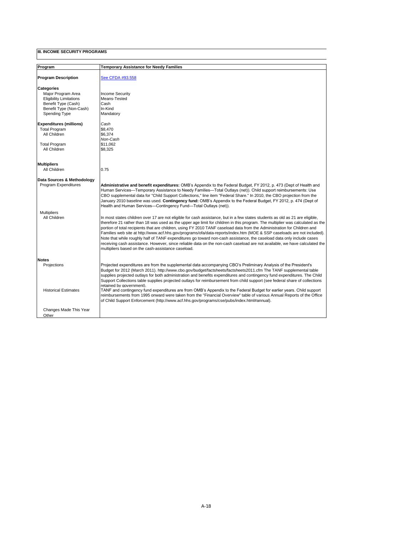$\mathbf l$ 

| Program                        | Temporary Assistance for Needy Families                                                                                                                                                                                                                                                                                                                                                                                                                                                                                                                                                                                                                                                                                                                                                                                             |
|--------------------------------|-------------------------------------------------------------------------------------------------------------------------------------------------------------------------------------------------------------------------------------------------------------------------------------------------------------------------------------------------------------------------------------------------------------------------------------------------------------------------------------------------------------------------------------------------------------------------------------------------------------------------------------------------------------------------------------------------------------------------------------------------------------------------------------------------------------------------------------|
| <b>Program Description</b>     | See CFDA #93.558                                                                                                                                                                                                                                                                                                                                                                                                                                                                                                                                                                                                                                                                                                                                                                                                                    |
| <b>Categories</b>              |                                                                                                                                                                                                                                                                                                                                                                                                                                                                                                                                                                                                                                                                                                                                                                                                                                     |
| Maior Program Area             | <b>Income Security</b>                                                                                                                                                                                                                                                                                                                                                                                                                                                                                                                                                                                                                                                                                                                                                                                                              |
| <b>Eligibility Limitations</b> | Means-Tested                                                                                                                                                                                                                                                                                                                                                                                                                                                                                                                                                                                                                                                                                                                                                                                                                        |
| Benefit Type (Cash)            | Cash                                                                                                                                                                                                                                                                                                                                                                                                                                                                                                                                                                                                                                                                                                                                                                                                                                |
| Benefit Type (Non-Cash)        | In-Kind                                                                                                                                                                                                                                                                                                                                                                                                                                                                                                                                                                                                                                                                                                                                                                                                                             |
| Spending Type                  | Mandatory                                                                                                                                                                                                                                                                                                                                                                                                                                                                                                                                                                                                                                                                                                                                                                                                                           |
| <b>Expenditures (millions)</b> | Cash                                                                                                                                                                                                                                                                                                                                                                                                                                                                                                                                                                                                                                                                                                                                                                                                                                |
| <b>Total Program</b>           | \$8,470                                                                                                                                                                                                                                                                                                                                                                                                                                                                                                                                                                                                                                                                                                                                                                                                                             |
| All Children                   | \$6.374                                                                                                                                                                                                                                                                                                                                                                                                                                                                                                                                                                                                                                                                                                                                                                                                                             |
|                                | Non-Cash                                                                                                                                                                                                                                                                                                                                                                                                                                                                                                                                                                                                                                                                                                                                                                                                                            |
| <b>Total Program</b>           | \$11.062                                                                                                                                                                                                                                                                                                                                                                                                                                                                                                                                                                                                                                                                                                                                                                                                                            |
| All Children                   | \$8,325                                                                                                                                                                                                                                                                                                                                                                                                                                                                                                                                                                                                                                                                                                                                                                                                                             |
| <b>Multipliers</b>             |                                                                                                                                                                                                                                                                                                                                                                                                                                                                                                                                                                                                                                                                                                                                                                                                                                     |
| All Children                   | 0.75                                                                                                                                                                                                                                                                                                                                                                                                                                                                                                                                                                                                                                                                                                                                                                                                                                |
|                                |                                                                                                                                                                                                                                                                                                                                                                                                                                                                                                                                                                                                                                                                                                                                                                                                                                     |
| Data Sources & Methodology     |                                                                                                                                                                                                                                                                                                                                                                                                                                                                                                                                                                                                                                                                                                                                                                                                                                     |
| Program Expenditures           | Administrative and benefit expenditures: OMB's Appendix to the Federal Budget, FY 2012, p. 473 (Dept of Health and<br>Human Services—Temporary Assistance to Needy Families—Total Outlays (net)). Child support reimbursements: Use<br>CBO supplemental data for "Child Support Collections," line item "Federal Share." In 2010, the CBO projection from the<br>January 2010 baseline was used. Contingency fund: OMB's Appendix to the Federal Budget, FY 2012, p. 474 (Dept of<br>Health and Human Services-Contingency Fund-Total Outlays (net)).                                                                                                                                                                                                                                                                               |
| <b>Multipliers</b>             |                                                                                                                                                                                                                                                                                                                                                                                                                                                                                                                                                                                                                                                                                                                                                                                                                                     |
| All Children                   | In most states children over 17 are not eligible for cash assistance, but in a few states students as old as 21 are eligible,<br>therefore 21 rather than 18 was used as the upper age limit for children in this program. The multiplier was calculated as the<br>portion of total recipients that are children, using FY 2010 TANF caseload data from the Administration for Children and<br>Families web site at http://www.acf.hhs.gov/programs/ofa/data-reports/index.htm (MOE & SSP caseloads are not included).<br>Note that while roughly half of TANF expenditures go toward non-cash assistance, the caseload data only include cases<br>receiving cash assistance. However, since reliable data on the non-cash caseload are not available, we have calculated the<br>multipliers based on the cash-assistance caseload. |
| <b>Notes</b>                   |                                                                                                                                                                                                                                                                                                                                                                                                                                                                                                                                                                                                                                                                                                                                                                                                                                     |
| Projections                    | Projected expenditures are from the supplemental data accompanying CBO's Preliminary Analysis of the President's<br>Budget for 2012 (March 2011). http://www.cbo.gov/budget/factsheets/factsheets2011.cfm The TANF supplemental table<br>supplies projected outlays for both administration and benefits expenditures and contingency fund expenditures. The Child<br>Support Collections table supplies projected outlays for reimbursement from child support (see federal share of collections<br>retained bv government).                                                                                                                                                                                                                                                                                                       |
| <b>Historical Estimates</b>    | TANF and contingency fund expenditures are from OMB's Appendix to the Federal Budget for earlier years. Child support<br>reimbursements from 1995 onward were taken from the "Financial Overview" table of various Annual Reports of the Office<br>of Child Support Enforcement (http://www.acf.hhs.gov/programs/cse/pubs/index.html#annual).                                                                                                                                                                                                                                                                                                                                                                                                                                                                                       |
| Changes Made This Year         |                                                                                                                                                                                                                                                                                                                                                                                                                                                                                                                                                                                                                                                                                                                                                                                                                                     |
| Other                          |                                                                                                                                                                                                                                                                                                                                                                                                                                                                                                                                                                                                                                                                                                                                                                                                                                     |
|                                |                                                                                                                                                                                                                                                                                                                                                                                                                                                                                                                                                                                                                                                                                                                                                                                                                                     |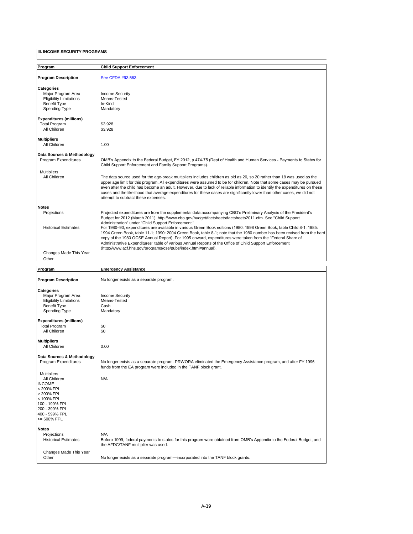| Program                                                                                                                                                                                                                  | <b>Child Support Enforcement</b>                                                                                                                                                                                                                                                                                                                                                                                                                                                                                                                                                                                                                                                                                                                                                                                                 |
|--------------------------------------------------------------------------------------------------------------------------------------------------------------------------------------------------------------------------|----------------------------------------------------------------------------------------------------------------------------------------------------------------------------------------------------------------------------------------------------------------------------------------------------------------------------------------------------------------------------------------------------------------------------------------------------------------------------------------------------------------------------------------------------------------------------------------------------------------------------------------------------------------------------------------------------------------------------------------------------------------------------------------------------------------------------------|
| <b>Program Description</b>                                                                                                                                                                                               | See CFDA #93.563                                                                                                                                                                                                                                                                                                                                                                                                                                                                                                                                                                                                                                                                                                                                                                                                                 |
| <b>Categories</b><br>Major Program Area<br><b>Eligibility Limitations</b><br><b>Benefit Type</b><br><b>Spending Type</b>                                                                                                 | <b>Income Security</b><br>Means-Tested<br>In-Kind<br>Mandatory                                                                                                                                                                                                                                                                                                                                                                                                                                                                                                                                                                                                                                                                                                                                                                   |
| <b>Expenditures (millions)</b><br><b>Total Program</b><br>All Children                                                                                                                                                   | \$3,928<br>\$3,928                                                                                                                                                                                                                                                                                                                                                                                                                                                                                                                                                                                                                                                                                                                                                                                                               |
| <b>Multipliers</b><br>All Children                                                                                                                                                                                       | 1.00                                                                                                                                                                                                                                                                                                                                                                                                                                                                                                                                                                                                                                                                                                                                                                                                                             |
| Data Sources & Methodology<br>Program Expenditures                                                                                                                                                                       | OMB's Appendix to the Federal Budget, FY 2012, p 474-75 (Dept of Health and Human Services - Payments to States for<br>Child Support Enforcement and Family Support Programs).                                                                                                                                                                                                                                                                                                                                                                                                                                                                                                                                                                                                                                                   |
| <b>Multipliers</b><br>All Children                                                                                                                                                                                       | The data source used for the age-break multipliers includes children as old as 20, so 20 rather than 18 was used as the<br>upper age limit for this program. All expenditures were assumed to be for children. Note that some cases may be pursued<br>even after the child has become an adult. However, due to lack of reliable information to identify the expenditures on these<br>cases and the likelihood that average expenditures for these cases are significantly lower than other cases, we did not<br>attempt to subtract these expenses.                                                                                                                                                                                                                                                                             |
| <b>Notes</b>                                                                                                                                                                                                             |                                                                                                                                                                                                                                                                                                                                                                                                                                                                                                                                                                                                                                                                                                                                                                                                                                  |
| Projections<br><b>Historical Estimates</b>                                                                                                                                                                               | Projected expenditures are from the supplemental data accompanying CBO's Preliminary Analysis of the President's<br>Budget for 2012 (March 2011). http://www.cbo.gov/budget/factsheets/factsheets2011.cfm. See "Child Support<br>Administration" under "Child Support Enforcement."<br>For 1980–90, expenditures are available in various Green Book editions (1980: 1998 Green Book, table Child 8-1; 1985:<br>1994 Green Book, table 11-1; 1990: 2004 Green Book, table 8-1; note that the 1980 number has been revised from the hard<br>copy of the 1980 OCSE Annual Report). For 1995 onward, expenditures were taken from the "Federal Share of<br>Administrative Expenditures" table of various Annual Reports of the Office of Child Support Enforcement<br>(http://www.acf.hhs.gov/programs/cse/pubs/index.html#annual). |
| Changes Made This Year<br>Other                                                                                                                                                                                          |                                                                                                                                                                                                                                                                                                                                                                                                                                                                                                                                                                                                                                                                                                                                                                                                                                  |
|                                                                                                                                                                                                                          |                                                                                                                                                                                                                                                                                                                                                                                                                                                                                                                                                                                                                                                                                                                                                                                                                                  |
| Program                                                                                                                                                                                                                  | <b>Emergency Assistance</b>                                                                                                                                                                                                                                                                                                                                                                                                                                                                                                                                                                                                                                                                                                                                                                                                      |
| <b>Program Description</b>                                                                                                                                                                                               | No longer exists as a separate program.                                                                                                                                                                                                                                                                                                                                                                                                                                                                                                                                                                                                                                                                                                                                                                                          |
| <b>Categories</b><br>Major Program Area<br><b>Eligibility Limitations</b><br><b>Benefit Type</b><br><b>Spending Type</b><br><b>Expenditures (millions)</b><br><b>Total Program</b><br>All Children<br><b>Multipliers</b> | <b>Income Security</b><br>Means-Tested<br>Cash<br>Mandatory<br>\$0<br>\$0                                                                                                                                                                                                                                                                                                                                                                                                                                                                                                                                                                                                                                                                                                                                                        |
| All Children                                                                                                                                                                                                             | 0.00                                                                                                                                                                                                                                                                                                                                                                                                                                                                                                                                                                                                                                                                                                                                                                                                                             |

**Data Sources & Methodology** No longer exists as a separate program. PRWORA eliminated the Emergency Assistance program, and after FY 1996 funds from the EA program were included in the TANF block grant. Multipliers<br>
All Children<br>
INCOME<br>
< 200% FPL<br>
> 200% FPL<br>
< 100% FPL<br>
< 100 - 199% FPL 200 - 399% FPL 400 - 599% FPL >= 600% FPL **Notes** Projections<br>Historical Estimates N/A<br>Before 1999, federal payments to states for this program were obtained from OMB's Appendix to the Federal Budget, and the AFDC/TANF multiplier was used. Changes Made This Year No longer exists as a separate program—incorporated into the TANF block grants.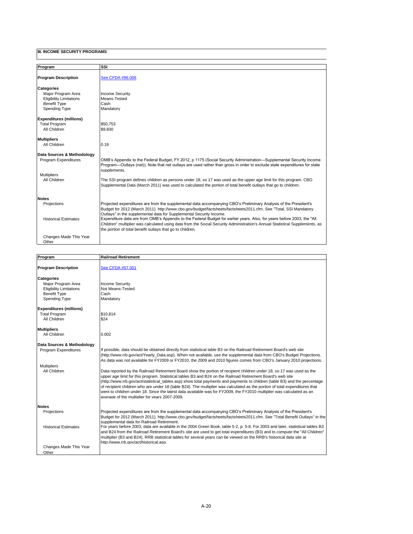| Program                         | SSI                                                                                                                                                                                                                                                                                                                 |
|---------------------------------|---------------------------------------------------------------------------------------------------------------------------------------------------------------------------------------------------------------------------------------------------------------------------------------------------------------------|
|                                 |                                                                                                                                                                                                                                                                                                                     |
| <b>Program Description</b>      | See CFDA #96.006                                                                                                                                                                                                                                                                                                    |
| Categories                      |                                                                                                                                                                                                                                                                                                                     |
| Maior Program Area              | <b>Income Security</b>                                                                                                                                                                                                                                                                                              |
| <b>Eligibility Limitations</b>  | Means-Tested                                                                                                                                                                                                                                                                                                        |
| <b>Benefit Type</b>             | Cash                                                                                                                                                                                                                                                                                                                |
| Spending Type                   | Mandatory                                                                                                                                                                                                                                                                                                           |
| <b>Expenditures (millions)</b>  |                                                                                                                                                                                                                                                                                                                     |
| <b>Total Program</b>            | \$50.753                                                                                                                                                                                                                                                                                                            |
| All Children                    | \$9.830                                                                                                                                                                                                                                                                                                             |
| <b>Multipliers</b>              |                                                                                                                                                                                                                                                                                                                     |
| All Children                    | 0.19                                                                                                                                                                                                                                                                                                                |
| Data Sources & Methodology      |                                                                                                                                                                                                                                                                                                                     |
| Program Expenditures            | OMB's Appendix to the Federal Budget, FY 2012, p 1175 (Social Security Administration—Supplemental Security Income<br>Program—Outlays (net)). Note that net outlays are used rather than gross in order to exclude state expenditures for state<br>supplements.                                                     |
| <b>Multipliers</b>              |                                                                                                                                                                                                                                                                                                                     |
| All Children                    | The SSI program defines children as persons under 18, so 17 was used as the upper age limit for this program. CBO<br>Supplemental Data (March 2011) was used to calculated the portion of total benefit outlays that go to children.                                                                                |
| <b>Notes</b>                    |                                                                                                                                                                                                                                                                                                                     |
| Projections                     | Projected expenditures are from the supplemental data accompanying CBO's Preliminary Analysis of the President's<br>Budget for 2012 (March 2011). http://www.cbo.gov/budget/factsheets/factsheets2011.cfm. See "Total, SSI Mandatory<br>Outlays" in the supplemental data for Supplemental Security Income.         |
| <b>Historical Estimates</b>     | Expenditure data are from OMB's Appendix to the Federal Budget for earlier years. Also, for years before 2003, the "All<br>Children" multiplier was calculated using data from the Social Security Administration's Annual Statistical Supplements, as<br>the portion of total benefit outlays that go to children. |
| Changes Made This Year<br>Other |                                                                                                                                                                                                                                                                                                                     |

| Program                        | <b>Railroad Retirement</b>                                                                                                                                                                                                                                                                                                                                                                                                                                                                                                                                                                                                                                                   |
|--------------------------------|------------------------------------------------------------------------------------------------------------------------------------------------------------------------------------------------------------------------------------------------------------------------------------------------------------------------------------------------------------------------------------------------------------------------------------------------------------------------------------------------------------------------------------------------------------------------------------------------------------------------------------------------------------------------------|
|                                |                                                                                                                                                                                                                                                                                                                                                                                                                                                                                                                                                                                                                                                                              |
| <b>Program Description</b>     | See CFDA #57.001                                                                                                                                                                                                                                                                                                                                                                                                                                                                                                                                                                                                                                                             |
| <b>Categories</b>              |                                                                                                                                                                                                                                                                                                                                                                                                                                                                                                                                                                                                                                                                              |
| Maior Program Area             | <b>Income Security</b>                                                                                                                                                                                                                                                                                                                                                                                                                                                                                                                                                                                                                                                       |
| <b>Eligibility Limitations</b> | Not Means-Tested                                                                                                                                                                                                                                                                                                                                                                                                                                                                                                                                                                                                                                                             |
| <b>Benefit Type</b>            | Cash                                                                                                                                                                                                                                                                                                                                                                                                                                                                                                                                                                                                                                                                         |
| <b>Spending Type</b>           | Mandatory                                                                                                                                                                                                                                                                                                                                                                                                                                                                                                                                                                                                                                                                    |
| <b>Expenditures (millions)</b> |                                                                                                                                                                                                                                                                                                                                                                                                                                                                                                                                                                                                                                                                              |
| <b>Total Program</b>           | \$10.814                                                                                                                                                                                                                                                                                                                                                                                                                                                                                                                                                                                                                                                                     |
| All Children                   | \$24                                                                                                                                                                                                                                                                                                                                                                                                                                                                                                                                                                                                                                                                         |
| <b>Multipliers</b>             |                                                                                                                                                                                                                                                                                                                                                                                                                                                                                                                                                                                                                                                                              |
| All Children                   | 0.002                                                                                                                                                                                                                                                                                                                                                                                                                                                                                                                                                                                                                                                                        |
| Data Sources & Methodology     |                                                                                                                                                                                                                                                                                                                                                                                                                                                                                                                                                                                                                                                                              |
| Program Expenditures           | If possible, data should be obtained directly from statistical table B3 on the Railroad Retirement Board's web site<br>(http://www.rrb.qov/act/Yearly Data.asp). When not available, use the supplemental data from CBO's Budget Projections.<br>As data was not available for FY2009 or FY2010, the 2009 and 2010 figures comes from CBO's January 2010 projections.                                                                                                                                                                                                                                                                                                        |
| <b>Multipliers</b>             |                                                                                                                                                                                                                                                                                                                                                                                                                                                                                                                                                                                                                                                                              |
| All Children                   | Data reported by the Railroad Retirement Board show the portion of recipient children under 18, so 17 was used as the<br>upper age limit for this program. Statistical tables B3 and B24 on the Railroad Retirement Board's web site<br>(http://www.rrb.gov/act/statistical tables.asp) show total payments and payments to children (table B3) and the percentage<br>of recipient children who are under 18 (table B24). The multiplier was calculated as the portion of total expenditures that<br>went to children under 18. Since the latest data available was for FY2009, the FY2010 multiplier was calculated as an<br>average of the multiplier for years 2007-2009. |
| <b>Notes</b>                   |                                                                                                                                                                                                                                                                                                                                                                                                                                                                                                                                                                                                                                                                              |
| Projections                    | Projected expenditures are from the supplemental data accompanying CBO's Preliminary Analysis of the President's<br>Budget for 2012 (March 2011). http://www.cbo.gov/budget/factsheets/factsheets2011.cfm. See "Total Benefit Outlays" in the<br>supplemental data for Railroad Retirement.                                                                                                                                                                                                                                                                                                                                                                                  |
| <b>Historical Estimates</b>    | For years before 2003, data are available in the 2004 Green Book, table 5-2, p. 5-8. For 2003 and later, statistical tables B3<br>and B24 from the Railroad Retirement Board's site are used to get total expenditures (B3) and to compute the "All Children"<br>multiplier (B3 and B24). RRB statistical tables for several years can be viewed on the RRB's historical data site at<br>http://www.rrb.gov/act/historical.asp.                                                                                                                                                                                                                                              |
| Changes Made This Year         |                                                                                                                                                                                                                                                                                                                                                                                                                                                                                                                                                                                                                                                                              |
| Other                          |                                                                                                                                                                                                                                                                                                                                                                                                                                                                                                                                                                                                                                                                              |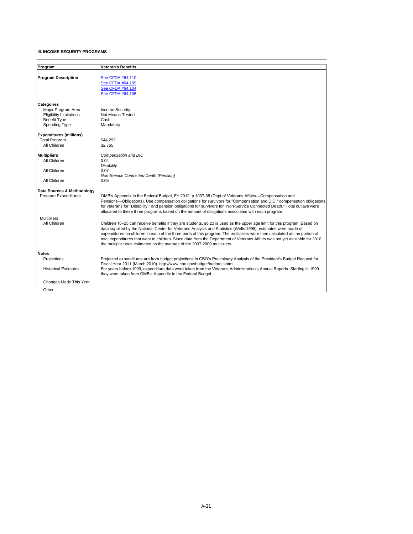| Program                        |                                                                                                                                                                                                                               |
|--------------------------------|-------------------------------------------------------------------------------------------------------------------------------------------------------------------------------------------------------------------------------|
|                                | Veteran's Benefits                                                                                                                                                                                                            |
| <b>Program Description</b>     | See CFDA #64.110                                                                                                                                                                                                              |
|                                | See CFDA #64.109                                                                                                                                                                                                              |
|                                | See CFDA #64.104                                                                                                                                                                                                              |
|                                | See CFDA #64.105                                                                                                                                                                                                              |
|                                |                                                                                                                                                                                                                               |
| <b>Categories</b>              |                                                                                                                                                                                                                               |
| Maior Program Area             | <b>Income Security</b>                                                                                                                                                                                                        |
| <b>Eligibility Limitations</b> | Not Means-Tested                                                                                                                                                                                                              |
| <b>Benefit Type</b>            | Cash                                                                                                                                                                                                                          |
| Spending Type                  | Mandatory                                                                                                                                                                                                                     |
| <b>Expenditures (millions)</b> |                                                                                                                                                                                                                               |
| <b>Total Program</b>           | \$44,293                                                                                                                                                                                                                      |
| All Children                   | \$2.765                                                                                                                                                                                                                       |
| <b>Multipliers</b>             | Compensation and DIC                                                                                                                                                                                                          |
| All Children                   | 0.04                                                                                                                                                                                                                          |
|                                | <b>Disability</b>                                                                                                                                                                                                             |
| All Children                   | 0.07                                                                                                                                                                                                                          |
|                                | Non-Service Connected Death (Pension)                                                                                                                                                                                         |
| All Children                   | 0.05                                                                                                                                                                                                                          |
| Data Sources & Methodology     |                                                                                                                                                                                                                               |
| Program Expenditures           | OMB's Appendix to the Federal Budget, FY 2012, p 1037-38 (Dept of Veterans Affairs-Compensation and<br>Pensions-Obligations). Use compensation obligations for survivors for "Compensation and DIC," compensation obligations |
|                                | for veterans for "Disability," and pension obligations for survivors for "Non-Service Connected Death." Total outlays were                                                                                                    |
|                                | allocated to these three programs based on the amount of obligations associated with each program.                                                                                                                            |
| <b>Multipliers</b>             |                                                                                                                                                                                                                               |
| All Children                   | Children 18–23 can receive benefits if they are students, so 23 is used as the upper age limit for this program. Based on                                                                                                     |
|                                | data supplied by the National Center for Veterans Analysis and Statistics (Wells 1995), estimates were made of                                                                                                                |
|                                | expenditures on children in each of the three parts of this program. The multipliers were then calculated as the portion of                                                                                                   |
|                                | total expenditures that went to children. Since data from the Department of Veterans Affairs was not yet available for 2010,                                                                                                  |
|                                | the multiplier was estimated as the average of the 2007-2009 multipliers.                                                                                                                                                     |
| <b>Notes</b>                   |                                                                                                                                                                                                                               |
| Projections                    | Projected expenditures are from budget projections in CBO's Preliminary Analysis of the President's Budget Request for                                                                                                        |
|                                | Fiscal Year 2011 (March 2010). http://www.cbo.gov/budget/budproj.shtml                                                                                                                                                        |
| <b>Historical Estimates</b>    | For years before 1999, expenditure data were taken from the Veterans Administration's Annual Reports. Starting in 1999                                                                                                        |
|                                | they were taken from OMB's Appendix to the Federal Budget.                                                                                                                                                                    |
| Changes Made This Year         |                                                                                                                                                                                                                               |
| Other                          |                                                                                                                                                                                                                               |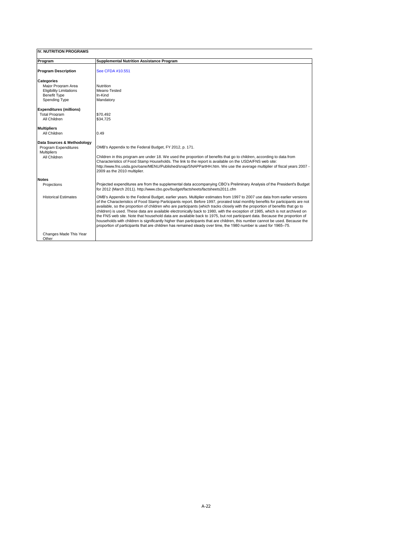| IV. NUTRITION PROGRAMS                                                                                            |                                                                                                                                                                                                                                                                                                                                                                                                                                                                                                                                                                                                                                                                                                                                                                                                                                                                                                                     |
|-------------------------------------------------------------------------------------------------------------------|---------------------------------------------------------------------------------------------------------------------------------------------------------------------------------------------------------------------------------------------------------------------------------------------------------------------------------------------------------------------------------------------------------------------------------------------------------------------------------------------------------------------------------------------------------------------------------------------------------------------------------------------------------------------------------------------------------------------------------------------------------------------------------------------------------------------------------------------------------------------------------------------------------------------|
| Program                                                                                                           | <b>Supplemental Nutrition Assistance Program</b>                                                                                                                                                                                                                                                                                                                                                                                                                                                                                                                                                                                                                                                                                                                                                                                                                                                                    |
| <b>Program Description</b>                                                                                        | See CFDA #10.551                                                                                                                                                                                                                                                                                                                                                                                                                                                                                                                                                                                                                                                                                                                                                                                                                                                                                                    |
| <b>Categories</b><br>Major Program Area<br><b>Eligibility Limitations</b><br><b>Benefit Type</b><br>Spending Type | Nutrition<br>Means-Tested<br>In-Kind<br>Mandatory                                                                                                                                                                                                                                                                                                                                                                                                                                                                                                                                                                                                                                                                                                                                                                                                                                                                   |
| <b>Expenditures (millions)</b><br><b>Total Program</b><br>All Children                                            | \$70.492<br>\$34.725                                                                                                                                                                                                                                                                                                                                                                                                                                                                                                                                                                                                                                                                                                                                                                                                                                                                                                |
| <b>Multipliers</b><br>All Children                                                                                | 0.49                                                                                                                                                                                                                                                                                                                                                                                                                                                                                                                                                                                                                                                                                                                                                                                                                                                                                                                |
| Data Sources & Methodology<br>Program Expenditures<br><b>Multipliers</b><br>All Children                          | OMB's Appendix to the Federal Budget, FY 2012, p. 171.<br>Children in this program are under 18. We used the proportion of benefits that go to children, according to data from<br>Characteristics of Food Stamp Households. The link to the report is available on the USDA/FNS web site:<br>http://www.fns.usda.gov/oane/MENU/Published/snap/SNAPPartHH.htm. We use the average multiplier of fiscal years 2007 -<br>2009 as the 2010 multiplier.                                                                                                                                                                                                                                                                                                                                                                                                                                                                 |
| <b>Notes</b>                                                                                                      |                                                                                                                                                                                                                                                                                                                                                                                                                                                                                                                                                                                                                                                                                                                                                                                                                                                                                                                     |
| Projections                                                                                                       | Projected expenditures are from the supplemental data accompanying CBO's Preliminary Analysis of the President's Budget<br>for 2012 (March 2011). http://www.cbo.gov/budget/factsheets/factsheets2011.cfm                                                                                                                                                                                                                                                                                                                                                                                                                                                                                                                                                                                                                                                                                                           |
| <b>Historical Estimates</b>                                                                                       | OMB's Appendix to the Federal Budget, earlier years. Multiplier estimates from 1997 to 2007 use data from earlier versions<br>of the Characteristics of Food Stamp Participants report. Before 1997, prorated total monthly benefits for participants are not<br>available, so the proportion of children who are participants (which tracks closely with the proportion of benefits that go to<br>children) is used. These data are available electronically back to 1980, with the exception of 1985, which is not archived on<br>the FNS web site. Note that household data are available back to 1975, but not participant data. Because the proportion of<br>households with children is significantly higher than participants that are children, this number cannot be used. Because the<br>proportion of participants that are children has remained steady over time, the 1980 number is used for 1965–75. |
| Changes Made This Year<br>Other                                                                                   |                                                                                                                                                                                                                                                                                                                                                                                                                                                                                                                                                                                                                                                                                                                                                                                                                                                                                                                     |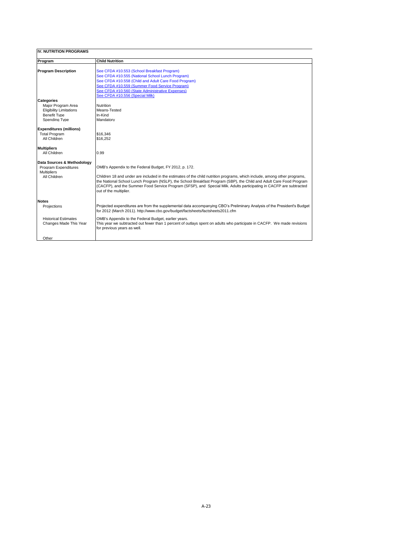| <b>IV. NUTRITION PROGRAMS</b>              |                                                                                                                                                                                                                                                                                                                                                                                                   |
|--------------------------------------------|---------------------------------------------------------------------------------------------------------------------------------------------------------------------------------------------------------------------------------------------------------------------------------------------------------------------------------------------------------------------------------------------------|
| Program                                    | <b>Child Nutrition</b>                                                                                                                                                                                                                                                                                                                                                                            |
| <b>Program Description</b>                 | See CFDA #10.553 (School Breakfast Program)                                                                                                                                                                                                                                                                                                                                                       |
|                                            | See CFDA #10.555 (National School Lunch Program)                                                                                                                                                                                                                                                                                                                                                  |
|                                            | See CFDA #10.558 (Child and Adult Care Food Program)                                                                                                                                                                                                                                                                                                                                              |
|                                            | See CFDA #10.559 (Summer Food Service Program)                                                                                                                                                                                                                                                                                                                                                    |
|                                            | See CFDA #10.560 (State Administrative Expenses)                                                                                                                                                                                                                                                                                                                                                  |
|                                            | See CFDA #10.556 (Special Milk)                                                                                                                                                                                                                                                                                                                                                                   |
| <b>Categories</b>                          |                                                                                                                                                                                                                                                                                                                                                                                                   |
| Major Program Area                         | <b>Nutrition</b>                                                                                                                                                                                                                                                                                                                                                                                  |
| <b>Eligibility Limitations</b>             | Means-Tested                                                                                                                                                                                                                                                                                                                                                                                      |
| <b>Benefit Type</b>                        | In-Kind                                                                                                                                                                                                                                                                                                                                                                                           |
| Spending Type                              | Mandatory                                                                                                                                                                                                                                                                                                                                                                                         |
| <b>Expenditures (millions)</b>             |                                                                                                                                                                                                                                                                                                                                                                                                   |
| <b>Total Program</b>                       | \$16,346                                                                                                                                                                                                                                                                                                                                                                                          |
| All Children                               | \$16,252                                                                                                                                                                                                                                                                                                                                                                                          |
| <b>Multipliers</b>                         |                                                                                                                                                                                                                                                                                                                                                                                                   |
| All Children                               | 0.99                                                                                                                                                                                                                                                                                                                                                                                              |
| Data Sources & Methodology                 |                                                                                                                                                                                                                                                                                                                                                                                                   |
| Program Expenditures<br><b>Multipliers</b> | OMB's Appendix to the Federal Budget, FY 2012, p. 172.                                                                                                                                                                                                                                                                                                                                            |
| All Children                               | Children 18 and under are included in the estimates of the child nutrition programs, which include, among other programs,<br>the National School Lunch Program (NSLP), the School Breakfast Program (SBP), the Child and Adult Care Food Program<br>(CACFP), and the Summer Food Service Program (SFSP), and Special Milk. Adults participating in CACFP are subtracted<br>out of the multiplier. |
| <b>Notes</b>                               |                                                                                                                                                                                                                                                                                                                                                                                                   |
| Projections                                | Projected expenditures are from the supplemental data accompanying CBO's Preliminary Analysis of the President's Budget<br>for 2012 (March 2011). http://www.cbo.gov/budget/factsheets/factsheets2011.cfm                                                                                                                                                                                         |
| <b>Historical Estimates</b>                | OMB's Appendix to the Federal Budget, earlier years.                                                                                                                                                                                                                                                                                                                                              |
| Changes Made This Year                     | This year we subtracted out fewer than 1 percent of outlays spent on adults who participate in CACFP. We made revisions<br>for previous years as well.                                                                                                                                                                                                                                            |
| Other                                      |                                                                                                                                                                                                                                                                                                                                                                                                   |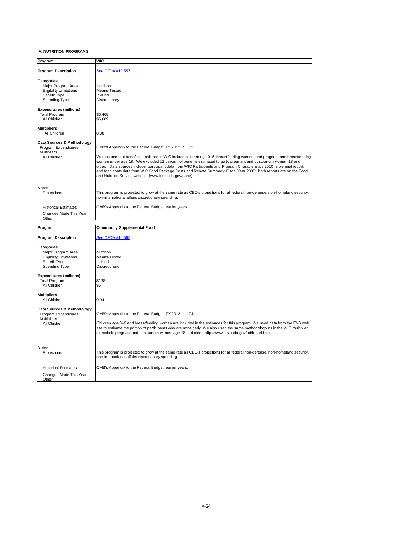**IV. NUTRITION PROGRAMS Program WIC Program Description** [See CFDA #10.557](https://www.cfda.gov/programs/10.557) **Categories** Major Program Area<br>
Eligibility Limitations<br>
Benefit Type<br>
In-Kind<br>
In-Kind Eligibility Limitations Benefit Type<br>
Spending Type<br>
Discretionary Spending Type **Expenditures (millions)** Total Program \$6,469<br>All Children \$5,689 All Children **Multipliers** All Children 0.88 **Data Sources & Methodology** OMB's Appendix to the Federal Budget, FY 2012, p. 173. Multipliers<br>All Children We assume that benefits to children in WIC include children age 0–5, breastfeeding women, and pregnant and breastfeeding women under age 18. We excluded 12 percent of benefits estimated to go to pregnant and postpartum women 18 and<br>older. Data sources include participant data from WIC Participants and Program Characteristics 2010 ,a bien and Nutrition Service web site (www.fns.usda.gov/oane). **Notes** This program is projected to grow at the same rate as CBO's projections for all federal non-defense, non-homeland security, non-international affairs discretionary spending. Historical Estimates **OMB's Appendix to the Federal Budget, earlier years.**  Changes Made This Year Other **Program Commodity Supplemental Food**

| rrogram,                                                                                                                                                                    | Commodity Supplemental Food                                                                                                                                                                                                                                                                                                                                                                                                 |
|-----------------------------------------------------------------------------------------------------------------------------------------------------------------------------|-----------------------------------------------------------------------------------------------------------------------------------------------------------------------------------------------------------------------------------------------------------------------------------------------------------------------------------------------------------------------------------------------------------------------------|
| <b>Program Description</b>                                                                                                                                                  | See CFDA #10.565                                                                                                                                                                                                                                                                                                                                                                                                            |
| <b>Categories</b><br>Major Program Area<br><b>Eligibility Limitations</b><br><b>Benefit Type</b><br>Spending Type<br><b>Expenditures (millions)</b><br><b>Total Program</b> | <b>Nutrition</b><br>Means-Tested<br>In-Kind<br>Discretionary<br>\$138                                                                                                                                                                                                                                                                                                                                                       |
| All Children                                                                                                                                                                | \$5                                                                                                                                                                                                                                                                                                                                                                                                                         |
| <b>Multipliers</b><br>All Children<br>Data Sources & Methodology<br>Program Expenditures<br><b>Multipliers</b><br>All Children                                              | 0.04<br>OMB's Appendix to the Federal Budget, FY 2012, p. 174.<br>Children age 0–5 and breastfeeding women are included in the estimates for this program. We used data from the FNS web<br>site to estimate the portion of participants who are nonelderly. We also used the same methodology as in the WIC multiplier<br>to exclude pregnant and postpartum women age 18 and older, http://www.fns.usda.gov/pd/fdpart.htm |
| <b>Notes</b><br>Projections                                                                                                                                                 | This program is projected to grow at the same rate as CBO's projections for all federal non-defense, non-homeland security,<br>non-international affairs discretionary spending.                                                                                                                                                                                                                                            |
| <b>Historical Estimates</b>                                                                                                                                                 | OMB's Appendix to the Federal Budget, earlier years.                                                                                                                                                                                                                                                                                                                                                                        |
| Changes Made This Year<br>Other                                                                                                                                             |                                                                                                                                                                                                                                                                                                                                                                                                                             |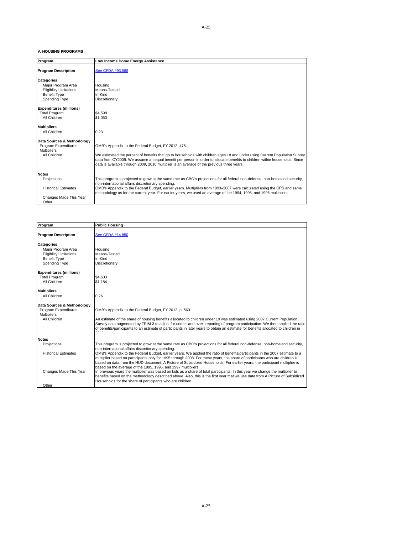#### **V. HOUSING PROGRAMS**

| Program                                                                                                                                                                                     | Low Income Home Energy Assistance                                                                                                                                                                                                                                                                                                                                                                                                 |
|---------------------------------------------------------------------------------------------------------------------------------------------------------------------------------------------|-----------------------------------------------------------------------------------------------------------------------------------------------------------------------------------------------------------------------------------------------------------------------------------------------------------------------------------------------------------------------------------------------------------------------------------|
| <b>Program Description</b>                                                                                                                                                                  | See CFDA #93.568                                                                                                                                                                                                                                                                                                                                                                                                                  |
| <b>Categories</b><br>Major Program Area<br><b>Eligibility Limitations</b><br><b>Benefit Type</b><br>Spending Type<br><b>Expenditures (millions)</b><br><b>Total Program</b><br>All Children | Housing<br>Means-Tested<br>In-Kind<br>Discretionary<br>\$4.598<br>\$1.053                                                                                                                                                                                                                                                                                                                                                         |
| <b>Multipliers</b><br>All Children                                                                                                                                                          | 0.23                                                                                                                                                                                                                                                                                                                                                                                                                              |
| Data Sources & Methodology<br>Program Expenditures<br><b>Multipliers</b><br>All Children                                                                                                    | OMB's Appendix to the Federal Budget, FY 2012, 475.<br>We estimated the percent of benefits that go to households with children ages 18 and under using Current Population Survey<br>data from CY2009. We assume an equal benefit per person in order to allocate benefits to children within households. Since<br>data is available through 2009, 2010 multiplier is an average of the previous three vears.                     |
| <b>Notes</b><br>Projections<br><b>Historical Estimates</b><br>Changes Made This Year<br>Other                                                                                               | This program is projected to grow at the same rate as CBO's projections for all federal non-defense, non-homeland security,<br>non-international affairs discretionary spending.<br>OMB's Appendix to the Federal Budget, earlier years. Multipliers from 1993–2007 were calculated using the CPS and same<br>methodology as for the current year. For earlier years, we used an average of the 1994, 1995, and 1996 multipliers. |

| Program                        | <b>Public Housing</b>                                                                                                                                                                       |
|--------------------------------|---------------------------------------------------------------------------------------------------------------------------------------------------------------------------------------------|
|                                |                                                                                                                                                                                             |
| <b>Program Description</b>     | See CFDA #14.850                                                                                                                                                                            |
| <b>Categories</b>              |                                                                                                                                                                                             |
| Maior Program Area             | Housing                                                                                                                                                                                     |
| <b>Eligibility Limitations</b> | Means-Tested                                                                                                                                                                                |
| <b>Benefit Type</b>            | In-Kind                                                                                                                                                                                     |
| Spending Type                  | Discretionary                                                                                                                                                                               |
| <b>Expenditures (millions)</b> |                                                                                                                                                                                             |
| <b>Total Program</b>           | \$4,603                                                                                                                                                                                     |
| All Children                   | \$1.184                                                                                                                                                                                     |
|                                |                                                                                                                                                                                             |
| <b>Multipliers</b>             |                                                                                                                                                                                             |
| All Children                   | 0.26                                                                                                                                                                                        |
| Data Sources & Methodology     |                                                                                                                                                                                             |
| Program Expenditures           | OMB's Appendix to the Federal Budget, FY 2012, p. 560.                                                                                                                                      |
| <b>Multipliers</b>             |                                                                                                                                                                                             |
| All Children                   | An estimate of the share of housing benefits allocated to children under 19 was estimated using 2007 Current Population                                                                     |
|                                | Survey data augmented by TRIM-3 to adjust for under- and over- reporting of program participation. We then applied the ratio                                                                |
|                                | of benefits/participants to an estimate of participants in later years to obtain an estimate for benefits allocated to children in                                                          |
|                                |                                                                                                                                                                                             |
| <b>Notes</b>                   |                                                                                                                                                                                             |
| Projections                    | This program is projected to grow at the same rate as CBO's projections for all federal non-defense, non-homeland security,                                                                 |
|                                | non-international affairs discretionary spending.                                                                                                                                           |
| <b>Historical Estimates</b>    | OMB's Appendix to the Federal Budget, earlier years. We applied the ratio of benefits/participants in the 2007 estimate to a                                                                |
|                                | multiplier based on participants only for 1995 through 2008. For these years, the share of participants who are children is                                                                 |
|                                | based on data from the HUD document, A Picture of Subsidized Households. For earlier years, the participant multiplier is                                                                   |
|                                | based on the average of the 1995, 1996, and 1997 multipliers.                                                                                                                               |
| Changes Made This Year         | In previous years the multiplier was based on kids as a share of total participants. In this year we change the multiplier to                                                               |
|                                | benefits based on the methodology described above. Also, this is the first year that we use data from A Picture of Subsidized<br>Households for the share of participants who are children. |
| Other                          |                                                                                                                                                                                             |
|                                |                                                                                                                                                                                             |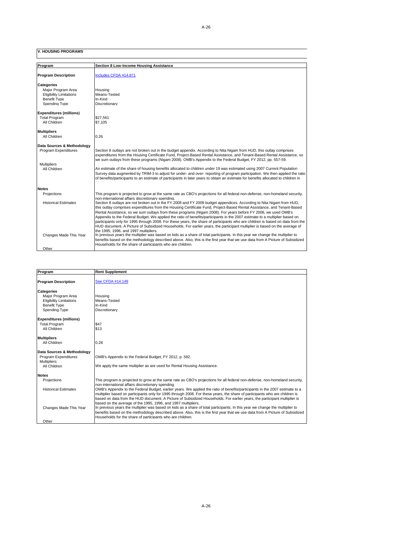**V. HOUSING PROGRAMS**

| Program                        | Section 8 Low-Income Housing Assistance                                                                                                                                                                                                                      |
|--------------------------------|--------------------------------------------------------------------------------------------------------------------------------------------------------------------------------------------------------------------------------------------------------------|
| <b>Program Description</b>     | Includes CFDA #14.871                                                                                                                                                                                                                                        |
|                                |                                                                                                                                                                                                                                                              |
| <b>Categories</b>              |                                                                                                                                                                                                                                                              |
| Maior Program Area             | Housing                                                                                                                                                                                                                                                      |
| <b>Eligibility Limitations</b> | Means-Tested                                                                                                                                                                                                                                                 |
| <b>Benefit Type</b>            | In-Kind                                                                                                                                                                                                                                                      |
| Spending Type                  | Discretionary                                                                                                                                                                                                                                                |
| <b>Expenditures (millions)</b> |                                                                                                                                                                                                                                                              |
| <b>Total Program</b>           | \$27.561                                                                                                                                                                                                                                                     |
| All Children                   | \$7.105                                                                                                                                                                                                                                                      |
|                                |                                                                                                                                                                                                                                                              |
| <b>Multipliers</b>             |                                                                                                                                                                                                                                                              |
| All Children                   | 0.26                                                                                                                                                                                                                                                         |
| Data Sources & Methodology     |                                                                                                                                                                                                                                                              |
| Program Expenditures           | Section 8 outlays are not broken out in the budget appendix. According to Nita Nigam from HUD, this outlay comprises                                                                                                                                         |
|                                | expenditures from the Housing Certificate Fund, Project-Based Rental Assistance, and Tenant-Based Rental Assistance, so                                                                                                                                      |
|                                | we sum outlays from these programs (Nigam 2008). OMB's Appendix to the Federal Budget, FY 2012, pp. 557-59.                                                                                                                                                  |
| <b>Multipliers</b>             |                                                                                                                                                                                                                                                              |
| All Children                   | An estimate of the share of housing benefits allocated to children under 19 was estimated using 2007 Current Population<br>Survey data augmented by TRIM-3 to adjust for under- and over- reporting of program participation. We then applied the ratio      |
|                                | of benefits/participants to an estimate of participants in later years to obtain an estimate for benefits allocated to children in                                                                                                                           |
|                                |                                                                                                                                                                                                                                                              |
| <b>Notes</b>                   |                                                                                                                                                                                                                                                              |
| Projections                    | This program is projected to grow at the same rate as CBO's projections for all federal non-defense, non-homeland security,                                                                                                                                  |
|                                | non-international affairs discretionary spending.                                                                                                                                                                                                            |
| <b>Historical Estimates</b>    | Section 8 outlays are not broken out in the FY 2008 and FY 2009 budget appendices. According to Nita Nigam from HUD,                                                                                                                                         |
|                                | this outlay comprises expenditures from the Housing Certificate Fund, Project-Based Rental Assistance, and Tenant-Based                                                                                                                                      |
|                                | Rental Assistance, so we sum outlays from these programs (Nigam 2008). For years before FY 2008, we used OMB's                                                                                                                                               |
|                                | Appendix to the Federal Budget. We applied the ratio of benefits/participants in the 2007 estimate to a multiplier based on                                                                                                                                  |
|                                | participants only for 1995 through 2008. For these years, the share of participants who are children is based on data from the<br>HUD document, A Picture of Subsidized Households. For earlier years, the participant multiplier is based on the average of |
|                                | the 1995, 1996, and 1997 multipliers.                                                                                                                                                                                                                        |
| Changes Made This Year         | In previous years the multiplier was based on kids as a share of total participants. In this year we change the multiplier to                                                                                                                                |
|                                | benefits based on the methodology described above. Also, this is the first year that we use data from A Picture of Subsidized                                                                                                                                |
|                                | Households for the share of participants who are children.                                                                                                                                                                                                   |
| Other                          |                                                                                                                                                                                                                                                              |

| Program                        | <b>Rent Supplement</b>                                                                                                                                                                                                                                      |
|--------------------------------|-------------------------------------------------------------------------------------------------------------------------------------------------------------------------------------------------------------------------------------------------------------|
| <b>Program Description</b>     | See CFDA #14.149                                                                                                                                                                                                                                            |
| <b>Categories</b>              |                                                                                                                                                                                                                                                             |
| Maior Program Area             | Housing                                                                                                                                                                                                                                                     |
| <b>Eligibility Limitations</b> | Means-Tested                                                                                                                                                                                                                                                |
| <b>Benefit Type</b>            | In-Kind                                                                                                                                                                                                                                                     |
| Spending Type                  | Discretionary                                                                                                                                                                                                                                               |
| <b>Expenditures (millions)</b> |                                                                                                                                                                                                                                                             |
| <b>Total Program</b>           | \$47                                                                                                                                                                                                                                                        |
| All Children                   | \$13                                                                                                                                                                                                                                                        |
| <b>Multipliers</b>             |                                                                                                                                                                                                                                                             |
| All Children                   | 0.28                                                                                                                                                                                                                                                        |
| Data Sources & Methodology     |                                                                                                                                                                                                                                                             |
| Program Expenditures           | OMB's Appendix to the Federal Budget, FY 2012, p. 582.                                                                                                                                                                                                      |
| <b>Multipliers</b>             |                                                                                                                                                                                                                                                             |
| All Children                   | We apply the same multiplier as are used for Rental Housing Assistance.                                                                                                                                                                                     |
| <b>Notes</b>                   |                                                                                                                                                                                                                                                             |
| Projections                    | This program is projected to grow at the same rate as CBO's projections for all federal non-defense, non-homeland security,<br>non-international affairs discretionary spending.                                                                            |
| <b>Historical Estimates</b>    | OMB's Appendix to the Federal Budget, earlier years. We applied the ratio of benefits/participants in the 2007 estimate to a<br>multiplier based on participants only for 1995 through 2008. For these years, the share of participants who are children is |
|                                | based on data from the HUD document, A Picture of Subsidized Households. For earlier years, the participant multiplier is                                                                                                                                   |
|                                | based on the average of the 1995, 1996, and 1997 multipliers.                                                                                                                                                                                               |
| Changes Made This Year         | In previous years the multiplier was based on kids as a share of total participants. In this year we change the multiplier to                                                                                                                               |
|                                | benefits based on the methodology described above. Also, this is the first year that we use data from A Picture of Subsidized<br>Households for the share of participants who are children.                                                                 |
| Other                          |                                                                                                                                                                                                                                                             |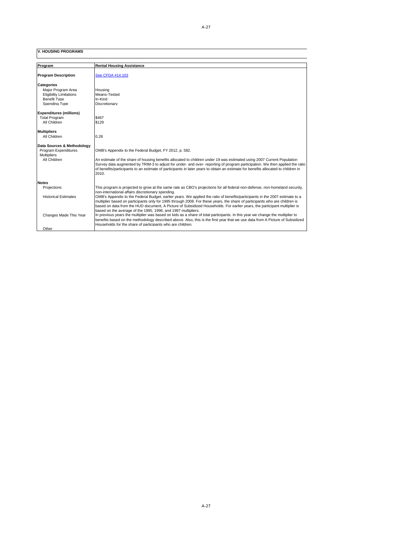**V. HOUSING PROGRAMS**

| Program                                                                                                           | <b>Rental Housing Assistance</b>                                                                                                                                                                                                                                                                                                                                                                                                                                 |
|-------------------------------------------------------------------------------------------------------------------|------------------------------------------------------------------------------------------------------------------------------------------------------------------------------------------------------------------------------------------------------------------------------------------------------------------------------------------------------------------------------------------------------------------------------------------------------------------|
| <b>Program Description</b>                                                                                        | See CFDA #14.103                                                                                                                                                                                                                                                                                                                                                                                                                                                 |
| <b>Categories</b><br>Maior Program Area<br><b>Eligibility Limitations</b><br><b>Benefit Type</b><br>Spending Type | Housing<br>Means-Tested<br>In-Kind<br>Discretionary                                                                                                                                                                                                                                                                                                                                                                                                              |
| <b>Expenditures (millions)</b><br><b>Total Program</b><br>All Children                                            | \$467<br>\$129                                                                                                                                                                                                                                                                                                                                                                                                                                                   |
| <b>Multipliers</b><br>All Children                                                                                | 0.28                                                                                                                                                                                                                                                                                                                                                                                                                                                             |
| Data Sources & Methodology<br>Program Expenditures<br><b>Multipliers</b><br>All Children                          | OMB's Appendix to the Federal Budget, FY 2012, p. 582.<br>An estimate of the share of housing benefits allocated to children under 19 was estimated using 2007 Current Population<br>Survey data augmented by TRIM-3 to adjust for under- and over- reporting of program participation. We then applied the ratio<br>of benefits/participants to an estimate of participants in later years to obtain an estimate for benefits allocated to children in<br>2010. |
| <b>Notes</b>                                                                                                      |                                                                                                                                                                                                                                                                                                                                                                                                                                                                  |
| Projections                                                                                                       | This program is projected to grow at the same rate as CBO's projections for all federal non-defense, non-homeland security,<br>non-international affairs discretionary spending.                                                                                                                                                                                                                                                                                 |
| <b>Historical Estimates</b>                                                                                       | OMB's Appendix to the Federal Budget, earlier years. We applied the ratio of benefits/participants in the 2007 estimate to a<br>multiplier based on participants only for 1995 through 2008. For these years, the share of participants who are children is<br>based on data from the HUD document, A Picture of Subsidized Households. For earlier years, the participant multiplier is<br>based on the average of the 1995, 1996, and 1997 multipliers.        |
| Changes Made This Year<br>Other                                                                                   | In previous years the multiplier was based on kids as a share of total participants. In this year we change the multiplier to<br>benefits based on the methodology described above. Also, this is the first year that we use data from A Picture of Subsidized<br>Households for the share of participants who are children.                                                                                                                                     |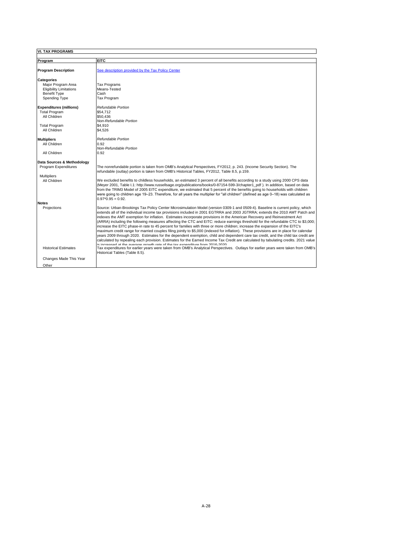| <b>VI. TAX PROGRAMS</b>                    |                                                                                                                                                                                                                                                                                                                                                                                                                                                                                                                                                                                                                                                                                                                                                                                                                                                                                                                                                                                                                                                                                                                                                                                                                                                                                                                                            |
|--------------------------------------------|--------------------------------------------------------------------------------------------------------------------------------------------------------------------------------------------------------------------------------------------------------------------------------------------------------------------------------------------------------------------------------------------------------------------------------------------------------------------------------------------------------------------------------------------------------------------------------------------------------------------------------------------------------------------------------------------------------------------------------------------------------------------------------------------------------------------------------------------------------------------------------------------------------------------------------------------------------------------------------------------------------------------------------------------------------------------------------------------------------------------------------------------------------------------------------------------------------------------------------------------------------------------------------------------------------------------------------------------|
| Program                                    | <b>EITC</b>                                                                                                                                                                                                                                                                                                                                                                                                                                                                                                                                                                                                                                                                                                                                                                                                                                                                                                                                                                                                                                                                                                                                                                                                                                                                                                                                |
| <b>Program Description</b>                 | See description provided by the Tax Policy Center                                                                                                                                                                                                                                                                                                                                                                                                                                                                                                                                                                                                                                                                                                                                                                                                                                                                                                                                                                                                                                                                                                                                                                                                                                                                                          |
| Categories                                 |                                                                                                                                                                                                                                                                                                                                                                                                                                                                                                                                                                                                                                                                                                                                                                                                                                                                                                                                                                                                                                                                                                                                                                                                                                                                                                                                            |
| Maior Program Area                         | <b>Tax Programs</b>                                                                                                                                                                                                                                                                                                                                                                                                                                                                                                                                                                                                                                                                                                                                                                                                                                                                                                                                                                                                                                                                                                                                                                                                                                                                                                                        |
| <b>Eligibility Limitations</b>             | Means-Tested                                                                                                                                                                                                                                                                                                                                                                                                                                                                                                                                                                                                                                                                                                                                                                                                                                                                                                                                                                                                                                                                                                                                                                                                                                                                                                                               |
| <b>Benefit Type</b>                        | Cash                                                                                                                                                                                                                                                                                                                                                                                                                                                                                                                                                                                                                                                                                                                                                                                                                                                                                                                                                                                                                                                                                                                                                                                                                                                                                                                                       |
| Spending Type                              | <b>Tax Program</b>                                                                                                                                                                                                                                                                                                                                                                                                                                                                                                                                                                                                                                                                                                                                                                                                                                                                                                                                                                                                                                                                                                                                                                                                                                                                                                                         |
| <b>Expenditures (millions)</b>             | Refundable Portion                                                                                                                                                                                                                                                                                                                                                                                                                                                                                                                                                                                                                                                                                                                                                                                                                                                                                                                                                                                                                                                                                                                                                                                                                                                                                                                         |
| <b>Total Program</b>                       | \$54.712                                                                                                                                                                                                                                                                                                                                                                                                                                                                                                                                                                                                                                                                                                                                                                                                                                                                                                                                                                                                                                                                                                                                                                                                                                                                                                                                   |
| All Children                               | \$50.436                                                                                                                                                                                                                                                                                                                                                                                                                                                                                                                                                                                                                                                                                                                                                                                                                                                                                                                                                                                                                                                                                                                                                                                                                                                                                                                                   |
|                                            | Non-Refundable Portion                                                                                                                                                                                                                                                                                                                                                                                                                                                                                                                                                                                                                                                                                                                                                                                                                                                                                                                                                                                                                                                                                                                                                                                                                                                                                                                     |
| <b>Total Program</b>                       | \$4.910                                                                                                                                                                                                                                                                                                                                                                                                                                                                                                                                                                                                                                                                                                                                                                                                                                                                                                                                                                                                                                                                                                                                                                                                                                                                                                                                    |
| All Children                               | \$4.526                                                                                                                                                                                                                                                                                                                                                                                                                                                                                                                                                                                                                                                                                                                                                                                                                                                                                                                                                                                                                                                                                                                                                                                                                                                                                                                                    |
| <b>Multipliers</b>                         | Refundable Portion                                                                                                                                                                                                                                                                                                                                                                                                                                                                                                                                                                                                                                                                                                                                                                                                                                                                                                                                                                                                                                                                                                                                                                                                                                                                                                                         |
| All Children                               | 0.92                                                                                                                                                                                                                                                                                                                                                                                                                                                                                                                                                                                                                                                                                                                                                                                                                                                                                                                                                                                                                                                                                                                                                                                                                                                                                                                                       |
|                                            | Non-Refundable Portion                                                                                                                                                                                                                                                                                                                                                                                                                                                                                                                                                                                                                                                                                                                                                                                                                                                                                                                                                                                                                                                                                                                                                                                                                                                                                                                     |
| All Children                               | 0.92                                                                                                                                                                                                                                                                                                                                                                                                                                                                                                                                                                                                                                                                                                                                                                                                                                                                                                                                                                                                                                                                                                                                                                                                                                                                                                                                       |
| Data Sources & Methodology                 |                                                                                                                                                                                                                                                                                                                                                                                                                                                                                                                                                                                                                                                                                                                                                                                                                                                                                                                                                                                                                                                                                                                                                                                                                                                                                                                                            |
| Program Expenditures                       | The nonrefundable portion is taken from OMB's Analytical Perspectives, FY2012, p. 243. (Income Security Section). The<br>refundable (outlay) portion is taken from OMB's Historical Tables, FY2012, Table 8.5, p.159.                                                                                                                                                                                                                                                                                                                                                                                                                                                                                                                                                                                                                                                                                                                                                                                                                                                                                                                                                                                                                                                                                                                      |
| <b>Multipliers</b>                         |                                                                                                                                                                                                                                                                                                                                                                                                                                                                                                                                                                                                                                                                                                                                                                                                                                                                                                                                                                                                                                                                                                                                                                                                                                                                                                                                            |
| All Children                               | We excluded benefits to childless households, an estimated 3 percent of all benefits according to a study using 2000 CPS data<br>(Meyer 2001, Table I.1: http://www.russellsage.org/publications/books/0-87154-599-3/chapter1 pdf). In addition, based on data<br>from the TRIM3 Model of 2005 EITC expenditure, we estimated that 5 percent of the benefits going to households with children<br>were going to children age 19-23. Therefore, for all years the multiplier for "all children" (defined as age 0-18) was calculated as<br>$0.97*0.95 = 0.92$ .                                                                                                                                                                                                                                                                                                                                                                                                                                                                                                                                                                                                                                                                                                                                                                             |
| <b>Notes</b>                               |                                                                                                                                                                                                                                                                                                                                                                                                                                                                                                                                                                                                                                                                                                                                                                                                                                                                                                                                                                                                                                                                                                                                                                                                                                                                                                                                            |
| Projections<br><b>Historical Estimates</b> | Source: Urban-Brookings Tax Policy Center Microsimulation Model (version 0309-1 and 0509-4). Baseline is current policy, which<br>extends all of the individual income tax provisions included in 2001 EGTRRA and 2003 JGTRRA; extends the 2010 AMT Patch and<br>indexes the AMT exemption for inflation. Estimates incorporate provisions in the American Recovery and Reinvestment Act<br>(ARRA) including the following measures affecting the CTC and EITC: reduce earnings threshold for the refundable CTC to \$3,000;<br>increase the EITC phase-in rate to 45 percent for families with three or more children; increase the expansion of the EITC's<br>maximum credit range for married couples filing jointly to \$5,000 (indexed for inflation). These provisions are in place for calendar<br>years 2009 through 2020. Estimates for the dependent exemption, child and dependent care tax credit, and the child tax credit are<br>calculated by repealing each provision. Estimates for the Earned Income Tax Credit are calculated by tabulating credits. 2021 value<br>is increased at the average growth rate of the tax expenditure from 2016-2020<br>Tax expenditures for earlier years were taken from OMB's Analytical Perspectives. Outlays for earlier years were taken from OMB's<br>Historical Tables (Table 8.5). |
| Changes Made This Year                     |                                                                                                                                                                                                                                                                                                                                                                                                                                                                                                                                                                                                                                                                                                                                                                                                                                                                                                                                                                                                                                                                                                                                                                                                                                                                                                                                            |
|                                            |                                                                                                                                                                                                                                                                                                                                                                                                                                                                                                                                                                                                                                                                                                                                                                                                                                                                                                                                                                                                                                                                                                                                                                                                                                                                                                                                            |
| Other                                      |                                                                                                                                                                                                                                                                                                                                                                                                                                                                                                                                                                                                                                                                                                                                                                                                                                                                                                                                                                                                                                                                                                                                                                                                                                                                                                                                            |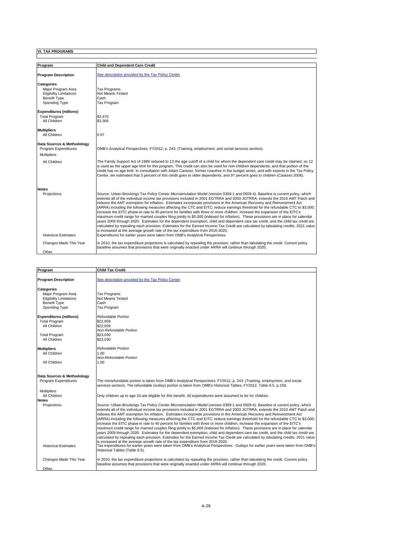| Program                                                                                                           | <b>Child and Dependent Care Credit</b>                                                                                                                                                                                                                                                                                                                                                                                                                                                                                                                                                                                                                                                                                                                                                                                                                                                                                                                                                                                                                                                                                                                               |
|-------------------------------------------------------------------------------------------------------------------|----------------------------------------------------------------------------------------------------------------------------------------------------------------------------------------------------------------------------------------------------------------------------------------------------------------------------------------------------------------------------------------------------------------------------------------------------------------------------------------------------------------------------------------------------------------------------------------------------------------------------------------------------------------------------------------------------------------------------------------------------------------------------------------------------------------------------------------------------------------------------------------------------------------------------------------------------------------------------------------------------------------------------------------------------------------------------------------------------------------------------------------------------------------------|
| <b>Program Description</b>                                                                                        | See description provided by the Tax Policy Center                                                                                                                                                                                                                                                                                                                                                                                                                                                                                                                                                                                                                                                                                                                                                                                                                                                                                                                                                                                                                                                                                                                    |
| <b>Categories</b><br>Major Program Area<br><b>Eligibility Limitations</b><br><b>Benefit Type</b><br>Spending Type | <b>Tax Programs</b><br>Not Means-Tested<br>Cash<br>Tax Program                                                                                                                                                                                                                                                                                                                                                                                                                                                                                                                                                                                                                                                                                                                                                                                                                                                                                                                                                                                                                                                                                                       |
| <b>Expenditures (millions)</b><br><b>Total Program</b><br>All Children                                            | \$3,470<br>\$3,366                                                                                                                                                                                                                                                                                                                                                                                                                                                                                                                                                                                                                                                                                                                                                                                                                                                                                                                                                                                                                                                                                                                                                   |
| <b>Multipliers</b><br>All Children                                                                                | 0.97                                                                                                                                                                                                                                                                                                                                                                                                                                                                                                                                                                                                                                                                                                                                                                                                                                                                                                                                                                                                                                                                                                                                                                 |
| Data Sources & Methodology<br>Program Expenditures<br><b>Multipliers</b>                                          | OMB's Analytical Perspectives, FY2012, p. 243. (Training, employment, and social services section).                                                                                                                                                                                                                                                                                                                                                                                                                                                                                                                                                                                                                                                                                                                                                                                                                                                                                                                                                                                                                                                                  |
| All Children                                                                                                      | The Family Support Act of 1988 reduced to 13 the age cutoff of a child for whom the dependent care credit may be claimed, so 12<br>is used as the upper age limit for this program. This credit can also be used for non-children dependents, and that portion of the<br>credit has no age limit. In consultation with Adam Carasso, former coauthor in the budget series, and with experts in the Tax Policy<br>Center, we estimated that 3 percent of this credit goes to older dependents, and 97 percent goes to children (Carasso 2008).                                                                                                                                                                                                                                                                                                                                                                                                                                                                                                                                                                                                                        |
| <b>Notes</b><br>Projections                                                                                       | Source: Urban-Brookings Tax Policy Center Microsimulation Model (version 0309-1 and 0509-4). Baseline is current policy, which<br>extends all of the individual income tax provisions included in 2001 EGTRRA and 2003 JGTRRA; extends the 2010 AMT Patch and<br>indexes the AMT exemption for inflation. Estimates incorporate provisions in the American Recovery and Reinvestment Act<br>(ARRA) including the following measures affecting the CTC and EITC: reduce earnings threshold for the refundable CTC to \$3,000;<br>increase the EITC phase-in rate to 45 percent for families with three or more children; increase the expansion of the EITC's<br>maximum credit range for married couples filing jointly to \$5,000 (indexed for inflation). These provisions are in place for calendar<br>years 2009 through 2020. Estimates for the dependent exemption, child and dependent care tax credit, and the child tax credit are<br>calculated by repealing each provision. Estimates for the Earned Income Tax Credit are calculated by tabulating credits. 2021 value<br>is increased at the average growth rate of the tax expenditure from 2016-2020. |
| <b>Historical Estimates</b><br>Changes Made This Year<br>Other                                                    | Expenditures for earlier years were taken from OMB's Analytical Perspectives.<br>In 2010, the tax expenditure projections is calculated by repealing the provision, rather than tabulating the credit. Current policy<br>baseline assumes that provisions that were originally enacted under ARRA will continue through 2020.                                                                                                                                                                                                                                                                                                                                                                                                                                                                                                                                                                                                                                                                                                                                                                                                                                        |

 $\Box$ 

| Program                        | <b>Child Tax Credit</b>                                                                                                                                                                                                                                                                                                                                                                                                                                                                                                                                                                                                                                                                                                                                                                                                                                                                                                                                                                                                                                                            |
|--------------------------------|------------------------------------------------------------------------------------------------------------------------------------------------------------------------------------------------------------------------------------------------------------------------------------------------------------------------------------------------------------------------------------------------------------------------------------------------------------------------------------------------------------------------------------------------------------------------------------------------------------------------------------------------------------------------------------------------------------------------------------------------------------------------------------------------------------------------------------------------------------------------------------------------------------------------------------------------------------------------------------------------------------------------------------------------------------------------------------|
| <b>Program Description</b>     | See description provided by the Tax Policy Center                                                                                                                                                                                                                                                                                                                                                                                                                                                                                                                                                                                                                                                                                                                                                                                                                                                                                                                                                                                                                                  |
| <b>Categories</b>              |                                                                                                                                                                                                                                                                                                                                                                                                                                                                                                                                                                                                                                                                                                                                                                                                                                                                                                                                                                                                                                                                                    |
| Maior Program Area             | <b>Tax Programs</b>                                                                                                                                                                                                                                                                                                                                                                                                                                                                                                                                                                                                                                                                                                                                                                                                                                                                                                                                                                                                                                                                |
| <b>Eligibility Limitations</b> | Not Means-Tested                                                                                                                                                                                                                                                                                                                                                                                                                                                                                                                                                                                                                                                                                                                                                                                                                                                                                                                                                                                                                                                                   |
| <b>Benefit Type</b>            | Cash                                                                                                                                                                                                                                                                                                                                                                                                                                                                                                                                                                                                                                                                                                                                                                                                                                                                                                                                                                                                                                                                               |
| Spending Type                  | <b>Tax Program</b>                                                                                                                                                                                                                                                                                                                                                                                                                                                                                                                                                                                                                                                                                                                                                                                                                                                                                                                                                                                                                                                                 |
| <b>Expenditures (millions)</b> | Refundable Portion                                                                                                                                                                                                                                                                                                                                                                                                                                                                                                                                                                                                                                                                                                                                                                                                                                                                                                                                                                                                                                                                 |
| <b>Total Program</b>           | \$22.659                                                                                                                                                                                                                                                                                                                                                                                                                                                                                                                                                                                                                                                                                                                                                                                                                                                                                                                                                                                                                                                                           |
| All Children                   | \$22,659                                                                                                                                                                                                                                                                                                                                                                                                                                                                                                                                                                                                                                                                                                                                                                                                                                                                                                                                                                                                                                                                           |
|                                | Non-Refundable Portion                                                                                                                                                                                                                                                                                                                                                                                                                                                                                                                                                                                                                                                                                                                                                                                                                                                                                                                                                                                                                                                             |
| <b>Total Program</b>           | \$23,030                                                                                                                                                                                                                                                                                                                                                                                                                                                                                                                                                                                                                                                                                                                                                                                                                                                                                                                                                                                                                                                                           |
| All Children                   | \$23,030                                                                                                                                                                                                                                                                                                                                                                                                                                                                                                                                                                                                                                                                                                                                                                                                                                                                                                                                                                                                                                                                           |
| <b>Multipliers</b>             | Refundable Portion                                                                                                                                                                                                                                                                                                                                                                                                                                                                                                                                                                                                                                                                                                                                                                                                                                                                                                                                                                                                                                                                 |
| All Children                   | 1.00                                                                                                                                                                                                                                                                                                                                                                                                                                                                                                                                                                                                                                                                                                                                                                                                                                                                                                                                                                                                                                                                               |
|                                | Non-Refundable Portion                                                                                                                                                                                                                                                                                                                                                                                                                                                                                                                                                                                                                                                                                                                                                                                                                                                                                                                                                                                                                                                             |
| All Children                   | 1.00                                                                                                                                                                                                                                                                                                                                                                                                                                                                                                                                                                                                                                                                                                                                                                                                                                                                                                                                                                                                                                                                               |
| Data Sources & Methodology     |                                                                                                                                                                                                                                                                                                                                                                                                                                                                                                                                                                                                                                                                                                                                                                                                                                                                                                                                                                                                                                                                                    |
| Program Expenditures           | The nonrefundable portion is taken from OMB's Analytical Perspectives, FY2012, p. 243. (Training, employment, and social                                                                                                                                                                                                                                                                                                                                                                                                                                                                                                                                                                                                                                                                                                                                                                                                                                                                                                                                                           |
|                                | services section). The refundable (outlay) portion is taken from OMB's Historical Tables, FY2012, Table 8.5, p.159.                                                                                                                                                                                                                                                                                                                                                                                                                                                                                                                                                                                                                                                                                                                                                                                                                                                                                                                                                                |
| <b>Multipliers</b>             |                                                                                                                                                                                                                                                                                                                                                                                                                                                                                                                                                                                                                                                                                                                                                                                                                                                                                                                                                                                                                                                                                    |
| All Children                   | Only children up to age 16 are eligible for this benefit. All expenditures were assumed to be for children.                                                                                                                                                                                                                                                                                                                                                                                                                                                                                                                                                                                                                                                                                                                                                                                                                                                                                                                                                                        |
| <b>Notes</b>                   |                                                                                                                                                                                                                                                                                                                                                                                                                                                                                                                                                                                                                                                                                                                                                                                                                                                                                                                                                                                                                                                                                    |
| Projections                    | Source: Urban-Brookings Tax Policy Center Microsimulation Model (version 0309-1 and 0509-4). Baseline is current policy, which<br>extends all of the individual income tax provisions included in 2001 EGTRRA and 2003 JGTRRA; extends the 2010 AMT Patch and<br>indexes the AMT exemption for inflation. Estimates incorporate provisions in the American Recovery and Reinvestment Act<br>(ARRA) including the following measures affecting the CTC and EITC: reduce earnings threshold for the refundable CTC to \$3,000;<br>increase the EITC phase-in rate to 45 percent for families with three or more children; increase the expansion of the EITC's<br>maximum credit range for married couples filing jointly to \$5,000 (indexed for inflation). These provisions are in place for calendar<br>years 2009 through 2020. Estimates for the dependent exemption, child and dependent care tax credit, and the child tax credit are<br>calculated by repealing each provision. Estimates for the Earned Income Tax Credit are calculated by tabulating credits. 2021 value |
| <b>Historical Estimates</b>    | is increased at the average growth rate of the tax expenditure from 2016-2020.<br>Tax expenditures for earlier years were taken from OMB's Analytical Perspectives. Outlays for earlier years were taken from OMB's<br>Historical Tables (Table 8.5).                                                                                                                                                                                                                                                                                                                                                                                                                                                                                                                                                                                                                                                                                                                                                                                                                              |
| Changes Made This Year         | In 2010, the tax expenditure projections is calculated by repealing the provision, rather than tabulating the credit. Current policy<br>baseline assumes that provisions that were originally enacted under ARRA will continue through 2020.                                                                                                                                                                                                                                                                                                                                                                                                                                                                                                                                                                                                                                                                                                                                                                                                                                       |
| Other                          |                                                                                                                                                                                                                                                                                                                                                                                                                                                                                                                                                                                                                                                                                                                                                                                                                                                                                                                                                                                                                                                                                    |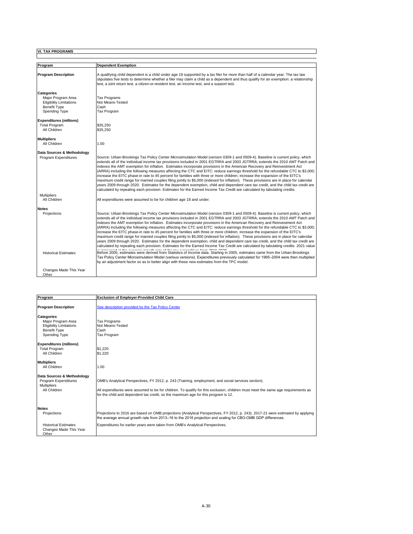| Program                              | <b>Dependent Exemption</b>                                                                                                                                                                                                                                                                                                                                                                                                                                                                                                                                                                                                                                                                                                                                                                                                                                                                                                                                                                                                                                                                                                                  |
|--------------------------------------|---------------------------------------------------------------------------------------------------------------------------------------------------------------------------------------------------------------------------------------------------------------------------------------------------------------------------------------------------------------------------------------------------------------------------------------------------------------------------------------------------------------------------------------------------------------------------------------------------------------------------------------------------------------------------------------------------------------------------------------------------------------------------------------------------------------------------------------------------------------------------------------------------------------------------------------------------------------------------------------------------------------------------------------------------------------------------------------------------------------------------------------------|
| <b>Program Description</b>           | A qualifying child dependent is a child under age 19 supported by a tax filer for more than half of a calendar year. The tax law<br>stipulates five tests to determine whether a filer may claim a child as a dependent and thus qualify for an exemption: a relationship<br>test, a joint return test, a citizen-or-resident test, an income test, and a support test,                                                                                                                                                                                                                                                                                                                                                                                                                                                                                                                                                                                                                                                                                                                                                                     |
| Categories                           |                                                                                                                                                                                                                                                                                                                                                                                                                                                                                                                                                                                                                                                                                                                                                                                                                                                                                                                                                                                                                                                                                                                                             |
| Maior Program Area                   | <b>Tax Programs</b>                                                                                                                                                                                                                                                                                                                                                                                                                                                                                                                                                                                                                                                                                                                                                                                                                                                                                                                                                                                                                                                                                                                         |
| <b>Eligibility Limitations</b>       | Not Means-Tested<br>Cash                                                                                                                                                                                                                                                                                                                                                                                                                                                                                                                                                                                                                                                                                                                                                                                                                                                                                                                                                                                                                                                                                                                    |
| <b>Benefit Type</b><br>Spending Type | Tax Program                                                                                                                                                                                                                                                                                                                                                                                                                                                                                                                                                                                                                                                                                                                                                                                                                                                                                                                                                                                                                                                                                                                                 |
| <b>Expenditures (millions)</b>       |                                                                                                                                                                                                                                                                                                                                                                                                                                                                                                                                                                                                                                                                                                                                                                                                                                                                                                                                                                                                                                                                                                                                             |
| <b>Total Program</b>                 | \$35,250                                                                                                                                                                                                                                                                                                                                                                                                                                                                                                                                                                                                                                                                                                                                                                                                                                                                                                                                                                                                                                                                                                                                    |
| All Children                         | \$35,250                                                                                                                                                                                                                                                                                                                                                                                                                                                                                                                                                                                                                                                                                                                                                                                                                                                                                                                                                                                                                                                                                                                                    |
| <b>Multipliers</b>                   |                                                                                                                                                                                                                                                                                                                                                                                                                                                                                                                                                                                                                                                                                                                                                                                                                                                                                                                                                                                                                                                                                                                                             |
| All Children                         | 1.00                                                                                                                                                                                                                                                                                                                                                                                                                                                                                                                                                                                                                                                                                                                                                                                                                                                                                                                                                                                                                                                                                                                                        |
| Data Sources & Methodology           |                                                                                                                                                                                                                                                                                                                                                                                                                                                                                                                                                                                                                                                                                                                                                                                                                                                                                                                                                                                                                                                                                                                                             |
| Program Expenditures                 | Source: Urban-Brookings Tax Policy Center Microsimulation Model (version 0309-1 and 0509-4). Baseline is current policy, which<br>extends all of the individual income tax provisions included in 2001 EGTRRA and 2003 JGTRRA; extends the 2010 AMT Patch and<br>indexes the AMT exemption for inflation. Estimates incorporate provisions in the American Recovery and Reinvestment Act<br>(ARRA) including the following measures affecting the CTC and EITC: reduce earnings threshold for the refundable CTC to \$3,000;<br>increase the EITC phase-in rate to 45 percent for families with three or more children; increase the expansion of the EITC's<br>maximum credit range for married couples filing jointly to \$5,000 (indexed for inflation). These provisions are in place for calendar<br>years 2009 through 2020. Estimates for the dependent exemption, child and dependent care tax credit, and the child tax credit are<br>calculated by repealing each provision. Estimates for the Earned Income Tax Credit are calculated by tabulating credits.                                                                     |
| <b>Multipliers</b>                   |                                                                                                                                                                                                                                                                                                                                                                                                                                                                                                                                                                                                                                                                                                                                                                                                                                                                                                                                                                                                                                                                                                                                             |
| All Children                         | All expenditures were assumed to be for children age 18 and under.                                                                                                                                                                                                                                                                                                                                                                                                                                                                                                                                                                                                                                                                                                                                                                                                                                                                                                                                                                                                                                                                          |
| <b>Notes</b>                         |                                                                                                                                                                                                                                                                                                                                                                                                                                                                                                                                                                                                                                                                                                                                                                                                                                                                                                                                                                                                                                                                                                                                             |
| Projections                          | Source: Urban-Brookings Tax Policy Center Microsimulation Model (version 0309-1 and 0509-4). Baseline is current policy, which<br>extends all of the individual income tax provisions included in 2001 EGTRRA and 2003 JGTRRA; extends the 2010 AMT Patch and<br>indexes the AMT exemption for inflation. Estimates incorporate provisions in the American Recovery and Reinvestment Act<br>(ARRA) including the following measures affecting the CTC and EITC: reduce earnings threshold for the refundable CTC to \$3,000;<br>increase the EITC phase-in rate to 45 percent for families with three or more children; increase the expansion of the EITC's<br>maximum credit range for married couples filing jointly to \$5,000 (indexed for inflation). These provisions are in place for calendar<br>years 2009 through 2020. Estimates for the dependent exemption, child and dependent care tax credit, and the child tax credit are<br>calculated by repealing each provision. Estimates for the Earned Income Tax Credit are calculated by tabulating credits. 2021 value<br>ide asks of this korror consideration form noten nonn |
| <b>Historical Estimates</b>          | Before 2005, estimates were derived from Statistics of Income data. Starting in 2005, estimates came from the Urban-Brookings<br>Tax Policy Center Microsimulation Model (various versions). Expenditures previously calculated for 1995–2004 were then multiplied<br>by an adjustment factor so as to better align with these new estimates from the TPC model.                                                                                                                                                                                                                                                                                                                                                                                                                                                                                                                                                                                                                                                                                                                                                                            |
| Changes Made This Year<br>Other      |                                                                                                                                                                                                                                                                                                                                                                                                                                                                                                                                                                                                                                                                                                                                                                                                                                                                                                                                                                                                                                                                                                                                             |

 $\blacksquare$ 

| Program                                                                                                                                                                     | <b>Exclusion of Employer-Provided Child Care</b>                                                                                                                                                                                                                                                                              |
|-----------------------------------------------------------------------------------------------------------------------------------------------------------------------------|-------------------------------------------------------------------------------------------------------------------------------------------------------------------------------------------------------------------------------------------------------------------------------------------------------------------------------|
| <b>Program Description</b>                                                                                                                                                  | See description provided by the Tax Policy Center                                                                                                                                                                                                                                                                             |
| <b>Categories</b><br>Major Program Area<br><b>Eligibility Limitations</b><br><b>Benefit Type</b><br>Spending Type<br><b>Expenditures (millions)</b><br><b>Total Program</b> | <b>Tax Programs</b><br>Not Means-Tested<br>Cash<br><b>Tax Program</b><br>\$1.220                                                                                                                                                                                                                                              |
| All Children<br><b>Multipliers</b>                                                                                                                                          | \$1.220                                                                                                                                                                                                                                                                                                                       |
| All Children                                                                                                                                                                | 1.00                                                                                                                                                                                                                                                                                                                          |
| Data Sources & Methodology<br>Program Expenditures<br><b>Multipliers</b><br>All Children                                                                                    | OMB's Analytical Perspectives, FY 2012, p. 243 (Training, employment, and social services section).<br>All expenditures were assumed to be for children. To qualify for this exclusion, children must meet the same age requirements as<br>for the child and dependent tax credit, so the maximum age for this program is 12. |
| <b>Notes</b><br>Projections                                                                                                                                                 | Projections to 2016 are based on OMB projections (Analytical Perspectives, FY 2012, p. 243). 2017-21 were estimated by applying<br>the average annual growth rate from 2013-16 to the 2016 projection and scaling for CBO-OMB GDP differences.                                                                                |
| <b>Historical Estimates</b><br>Changes Made This Year<br>Other                                                                                                              | Expenditures for earlier years were taken from OMB's Analytical Perspectives.                                                                                                                                                                                                                                                 |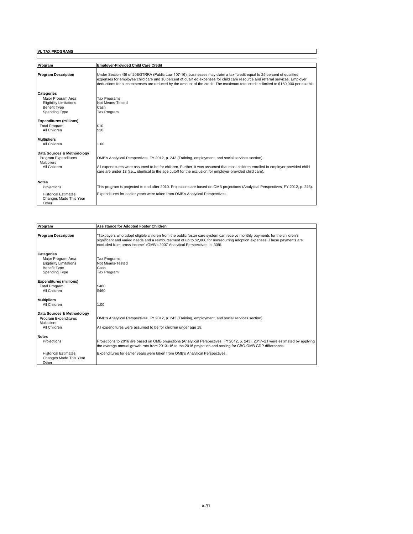| Program                                                                                                                                                                     | <b>Employer-Provided Child Care Credit</b>                                                                                                                                                                                                                                                                                                                                                    |
|-----------------------------------------------------------------------------------------------------------------------------------------------------------------------------|-----------------------------------------------------------------------------------------------------------------------------------------------------------------------------------------------------------------------------------------------------------------------------------------------------------------------------------------------------------------------------------------------|
| <b>Program Description</b>                                                                                                                                                  | Under Section 45f of 20EGTRRA (Public Law 107-16), businesses may claim a tax "credit equal to 25 percent of qualified<br>expenses for employee child care and 10 percent of qualified expenses for child care resource and referral services. Employer<br>deductions for such expenses are reduced by the amount of the credit. The maximum total credit is limited to \$150,000 per taxable |
| <b>Categories</b><br>Major Program Area<br><b>Eligibility Limitations</b><br><b>Benefit Type</b><br>Spending Type<br><b>Expenditures (millions)</b><br><b>Total Program</b> | <b>Tax Programs</b><br>Not Means-Tested<br>Cash<br><b>Tax Program</b><br>\$10                                                                                                                                                                                                                                                                                                                 |
| All Children<br><b>Multipliers</b>                                                                                                                                          | \$10                                                                                                                                                                                                                                                                                                                                                                                          |
| All Children                                                                                                                                                                | 1.00                                                                                                                                                                                                                                                                                                                                                                                          |
| Data Sources & Methodology<br>Program Expenditures<br><b>Multipliers</b><br>All Children                                                                                    | OMB's Analytical Perspectives, FY 2012, p. 243 (Training, employment, and social services section).<br>All expenditures were assumed to be for children. Further, it was assumed that most children enrolled in employer-provided child<br>care are under 13 (i.e.,. identical to the age cutoff for the exclusion for employer-provided child care).                                         |
| <b>Notes</b>                                                                                                                                                                |                                                                                                                                                                                                                                                                                                                                                                                               |
| Projections                                                                                                                                                                 | This program is projected to end after 2010. Projections are based on OMB projections (Analytical Perspectives, FY 2012, p. 243).                                                                                                                                                                                                                                                             |
| <b>Historical Estimates</b><br>Changes Made This Year<br>Other                                                                                                              | Expenditures for earlier years were taken from OMB's Analytical Perspectives.                                                                                                                                                                                                                                                                                                                 |

 $\Box$ 

| Program                                                                                                           | <b>Assistance for Adopted Foster Children</b>                                                                                                                                                                                                                                                                                      |
|-------------------------------------------------------------------------------------------------------------------|------------------------------------------------------------------------------------------------------------------------------------------------------------------------------------------------------------------------------------------------------------------------------------------------------------------------------------|
| <b>Program Description</b>                                                                                        | "Taxpayers who adopt eligible children from the public foster care system can receive monthly payments for the children's<br>significant and varied needs and a reimbursement of up to \$2,000 for nonrecurring adoption expenses. These payments are<br>excluded from gross income" (OMB's 2007 Analytical Perspectives, p. 309). |
| <b>Categories</b><br>Maior Program Area<br><b>Eligibility Limitations</b><br><b>Benefit Type</b><br>Spending Type | <b>Tax Programs</b><br>Not Means-Tested<br>Cash<br>Tax Program                                                                                                                                                                                                                                                                     |
| <b>Expenditures (millions)</b><br><b>Total Program</b><br>All Children                                            | \$460<br>\$460                                                                                                                                                                                                                                                                                                                     |
| <b>Multipliers</b><br>All Children                                                                                | 1.00                                                                                                                                                                                                                                                                                                                               |
| Data Sources & Methodology<br>Program Expenditures<br><b>Multipliers</b><br>All Children                          | OMB's Analytical Perspectives, FY 2012, p. 243 (Training, employment, and social services section).<br>All expenditures were assumed to be for children under age 18.                                                                                                                                                              |
| <b>Notes</b><br>Projections                                                                                       | Projections to 2016 are based on OMB projections (Analytical Perspectives, FY 2012, p. 243). 2017–21 were estimated by applying<br>the average annual growth rate from 2013-16 to the 2016 projection and scaling for CBO-OMB GDP differences.                                                                                     |
| <b>Historical Estimates</b><br>Changes Made This Year<br>Other                                                    | Expenditures for earlier years were taken from OMB's Analytical Perspectives.                                                                                                                                                                                                                                                      |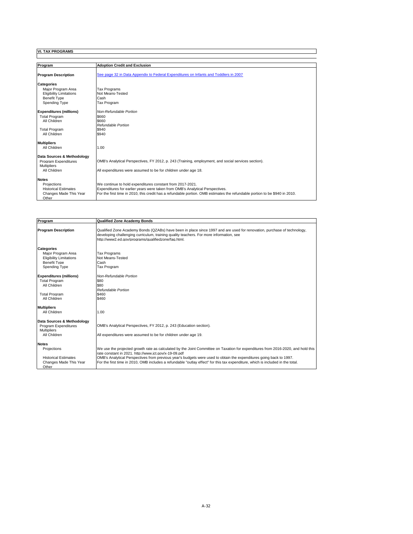| Program                                            | <b>Adoption Credit and Exclusion</b>                                                                                        |
|----------------------------------------------------|-----------------------------------------------------------------------------------------------------------------------------|
| <b>Program Description</b>                         | See page 32 in Data Appendix to Federal Expenditures on Infants and Toddlers in 2007                                        |
| <b>Categories</b>                                  |                                                                                                                             |
| Maior Program Area                                 | <b>Tax Programs</b>                                                                                                         |
| <b>Eligibility Limitations</b>                     | Not Means-Tested                                                                                                            |
| <b>Benefit Type</b>                                | Cash                                                                                                                        |
| Spending Type                                      | Tax Program                                                                                                                 |
| <b>Expenditures (millions)</b>                     | Non-Refundable Portion                                                                                                      |
| <b>Total Program</b>                               | \$660                                                                                                                       |
| All Children                                       | \$660                                                                                                                       |
|                                                    | Refundable Portion                                                                                                          |
| <b>Total Program</b>                               | \$940                                                                                                                       |
| All Children                                       | \$940                                                                                                                       |
| <b>Multipliers</b>                                 |                                                                                                                             |
| All Children                                       | 1.00                                                                                                                        |
|                                                    |                                                                                                                             |
| Data Sources & Methodology<br>Program Expenditures | OMB's Analytical Perspectives, FY 2012, p. 243 (Training, employment, and social services section).                         |
| <b>Multipliers</b>                                 |                                                                                                                             |
| All Children                                       | All expenditures were assumed to be for children under age 18.                                                              |
|                                                    |                                                                                                                             |
| <b>Notes</b>                                       |                                                                                                                             |
| Projections                                        | We continue to hold expenditures constant from 2017-2021.                                                                   |
| <b>Historical Estimates</b>                        | Expenditures for earlier years were taken from OMB's Analytical Perspectives.                                               |
| Changes Made This Year                             | For the first time in 2010, this credit has a refundable portion. OMB estimates the refundable portion to be \$940 in 2010. |
| Other                                              |                                                                                                                             |

I

| Program                        | <b>Qualified Zone Academy Bonds</b>                                                                                                                                                                                                                                       |
|--------------------------------|---------------------------------------------------------------------------------------------------------------------------------------------------------------------------------------------------------------------------------------------------------------------------|
| <b>Program Description</b>     | Qualified Zone Academy Bonds (QZABs) have been in place since 1997 and are used for renovation, purchase of technology,<br>developing challenging curriculum, training quality teachers. For more information, see<br>http://www2.ed.gov/programs/gualifiedzone/fag.html. |
| Categories                     |                                                                                                                                                                                                                                                                           |
| Maior Program Area             | <b>Tax Programs</b>                                                                                                                                                                                                                                                       |
| <b>Eligibility Limitations</b> | Not Means-Tested                                                                                                                                                                                                                                                          |
| <b>Benefit Type</b>            | Cash                                                                                                                                                                                                                                                                      |
| Spending Type                  | Tax Program                                                                                                                                                                                                                                                               |
| <b>Expenditures (millions)</b> | Non-Refundable Portion                                                                                                                                                                                                                                                    |
| <b>Total Program</b>           | \$80                                                                                                                                                                                                                                                                      |
| All Children                   | \$80                                                                                                                                                                                                                                                                      |
|                                | Refundable Portion                                                                                                                                                                                                                                                        |
| <b>Total Program</b>           | \$460                                                                                                                                                                                                                                                                     |
| All Children                   | \$460                                                                                                                                                                                                                                                                     |
| <b>Multipliers</b>             |                                                                                                                                                                                                                                                                           |
| All Children                   | 1.00                                                                                                                                                                                                                                                                      |
| Data Sources & Methodology     |                                                                                                                                                                                                                                                                           |
| Program Expenditures           | OMB's Analytical Perspectives, FY 2012, p. 243 (Education section).                                                                                                                                                                                                       |
| <b>Multipliers</b>             |                                                                                                                                                                                                                                                                           |
| All Children                   | All expenditures were assumed to be for children under age 19.                                                                                                                                                                                                            |
| <b>Notes</b>                   |                                                                                                                                                                                                                                                                           |
| Projections                    | We use the projected growth rate as calculated by the Joint Committee on Taxation for expenditures from 2016-2020, and hold this                                                                                                                                          |
|                                | rate constant in 2021. http://www.ict.gov/x-19-09.pdf                                                                                                                                                                                                                     |
| <b>Historical Estimates</b>    | OMB's Analytical Perspectives from previous year's budgets were used to obtain the expenditures going back to 1997.                                                                                                                                                       |
| Changes Made This Year         | For the first time in 2010, OMB includes a refundable "outlay effect" for this tax expenditure, which is included in the total.                                                                                                                                           |
| Other                          |                                                                                                                                                                                                                                                                           |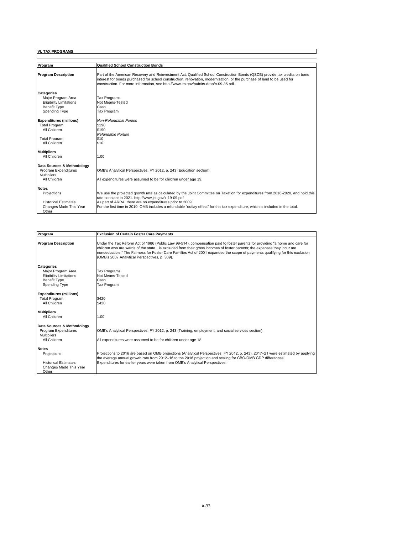| Program                                                                                                           | <b>Qualified School Construction Bonds</b>                                                                                                                                                                                                                                                                                                                                                |
|-------------------------------------------------------------------------------------------------------------------|-------------------------------------------------------------------------------------------------------------------------------------------------------------------------------------------------------------------------------------------------------------------------------------------------------------------------------------------------------------------------------------------|
| <b>Program Description</b>                                                                                        | Part of the American Recovery and Reinvestment Act, Qualified School Construction Bonds (QSCB) provide tax credits on bond<br>interest for bonds purchased for school construction, renovation, modernization, or the purchase of land to be used for<br>construction. For more information, see http://www.irs.gov/pub/irs-drop/n-09-35.pdf.                                             |
| <b>Categories</b><br>Major Program Area<br><b>Eligibility Limitations</b><br><b>Benefit Type</b><br>Spending Type | <b>Tax Programs</b><br>Not Means-Tested<br>Cash<br><b>Tax Program</b>                                                                                                                                                                                                                                                                                                                     |
| <b>Expenditures (millions)</b><br><b>Total Program</b><br>All Children<br><b>Total Program</b><br>All Children    | Non-Refundable Portion<br>\$190<br>\$190<br>Refundable Portion<br>\$10<br>\$10                                                                                                                                                                                                                                                                                                            |
| <b>Multipliers</b><br>All Children                                                                                | 1.00                                                                                                                                                                                                                                                                                                                                                                                      |
| Data Sources & Methodology<br>Program Expenditures<br><b>Multipliers</b><br>All Children                          | OMB's Analytical Perspectives, FY 2012, p. 243 (Education section).<br>All expenditures were assumed to be for children under age 19.                                                                                                                                                                                                                                                     |
| <b>Notes</b><br>Projections<br><b>Historical Estimates</b><br>Changes Made This Year<br>Other                     | We use the projected growth rate as calculated by the Joint Committee on Taxation for expenditures from 2016-2020, and hold this<br>rate constant in 2021, http://www.ict.gov/x-19-09.pdf<br>As part of ARRA, there are no expenditures prior to 2009.<br>For the first time in 2010, OMB includes a refundable "outlay effect" for this tax expenditure, which is included in the total. |

 $\Box$ 

| Program                                                                                                           | <b>Exclusion of Certain Foster Care Payments</b>                                                                                                                                                                                                                                                                                                                                                                                           |
|-------------------------------------------------------------------------------------------------------------------|--------------------------------------------------------------------------------------------------------------------------------------------------------------------------------------------------------------------------------------------------------------------------------------------------------------------------------------------------------------------------------------------------------------------------------------------|
| <b>Program Description</b>                                                                                        | Under the Tax Reform Act of 1986 (Public Law 99-514), compensation paid to foster parents for providing "a home and care for<br>children who are wards of the state is excluded from their gross incomes of foster parents; the expenses they incur are<br>nondeductible." The Fairness for Foster Care Families Act of 2001 expanded the scope of payments qualifying for this exclusion<br>(OMB's 2007 Analytical Perspectives, p. 309). |
| <b>Categories</b><br>Maior Program Area<br><b>Eligibility Limitations</b><br><b>Benefit Type</b><br>Spending Type | <b>Tax Programs</b><br>Not Means-Tested<br>Cash<br><b>Tax Program</b>                                                                                                                                                                                                                                                                                                                                                                      |
| <b>Expenditures (millions)</b><br><b>Total Program</b><br>All Children                                            | \$420<br>\$420                                                                                                                                                                                                                                                                                                                                                                                                                             |
| <b>Multipliers</b><br>All Children                                                                                | 1.00                                                                                                                                                                                                                                                                                                                                                                                                                                       |
| Data Sources & Methodology<br>Program Expenditures<br><b>Multipliers</b><br>All Children                          | OMB's Analytical Perspectives, FY 2012, p. 243 (Training, employment, and social services section).<br>All expenditures were assumed to be for children under age 18.                                                                                                                                                                                                                                                                      |
| <b>Notes</b><br>Projections<br><b>Historical Estimates</b><br>Changes Made This Year<br>Other                     | Projections to 2016 are based on OMB projections (Analytical Perspectives, FY 2012, p. 243). 2017–21 were estimated by applying<br>the average annual growth rate from 2012-16 to the 2016 projection and scaling for CBO-OMB GDP differences.<br>Expenditures for earlier years were taken from OMB's Analytical Perspectives.                                                                                                            |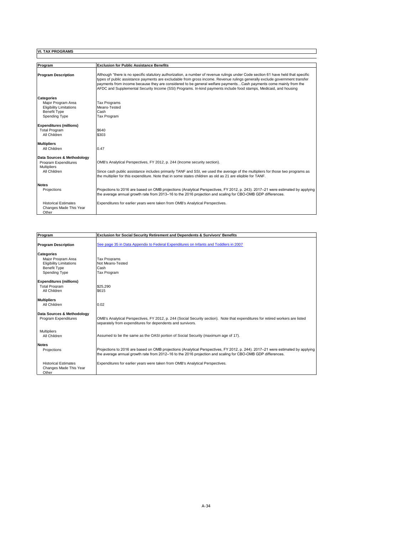| Program                                                                                                    | <b>Exclusion for Public Assistance Benefits</b>                                                                                                                                                                                                                                                                                                                                                                                                                                                            |
|------------------------------------------------------------------------------------------------------------|------------------------------------------------------------------------------------------------------------------------------------------------------------------------------------------------------------------------------------------------------------------------------------------------------------------------------------------------------------------------------------------------------------------------------------------------------------------------------------------------------------|
| <b>Program Description</b>                                                                                 | Although "there is no specific statutory authorization, a number of revenue rulings under Code section 61 have held that specific<br>types of public assistance payments are excludable from gross income. Revenue rulings generally exclude government transfer<br>payments from income because they are considered to be general welfare paymentsCash payments come mainly from the<br>AFDC and Supplemental Security Income (SSI) Programs, In-kind payments include food stamps, Medicaid, and housing |
| Categories<br>Maior Program Area<br><b>Eligibility Limitations</b><br><b>Benefit Type</b><br>Spending Type | <b>Tax Programs</b><br>Means-Tested<br>Cash<br>Tax Program                                                                                                                                                                                                                                                                                                                                                                                                                                                 |
| <b>Expenditures (millions)</b><br><b>Total Program</b><br>All Children                                     | \$640<br>\$303                                                                                                                                                                                                                                                                                                                                                                                                                                                                                             |
| <b>Multipliers</b><br>All Children                                                                         | 0.47                                                                                                                                                                                                                                                                                                                                                                                                                                                                                                       |
| Data Sources & Methodology<br>Program Expenditures<br><b>Multipliers</b><br>All Children                   | OMB's Analytical Perspectives, FY 2012, p. 244 (Income security section).<br>Since cash public assistance includes primarily TANF and SSI, we used the average of the multipliers for those two programs as<br>the multiplier for this expenditure. Note that in some states children as old as 21 are eligible for TANF.                                                                                                                                                                                  |
| <b>Notes</b><br>Projections                                                                                | Projections to 2016 are based on OMB projections (Analytical Perspectives, FY 2012, p. 243). 2017–21 were estimated by applying<br>the average annual growth rate from 2013-16 to the 2016 projection and scaling for CBO-OMB GDP differences.                                                                                                                                                                                                                                                             |
| <b>Historical Estimates</b><br>Changes Made This Year<br>Other                                             | Expenditures for earlier years were taken from OMB's Analytical Perspectives.                                                                                                                                                                                                                                                                                                                                                                                                                              |

 $\blacksquare$ 

| Program                                                        | <b>Exclusion for Social Security Retirement and Dependents &amp; Survivors' Benefits</b>                                                                                                                                                       |
|----------------------------------------------------------------|------------------------------------------------------------------------------------------------------------------------------------------------------------------------------------------------------------------------------------------------|
|                                                                |                                                                                                                                                                                                                                                |
| <b>Program Description</b>                                     | See page 35 in Data Appendix to Federal Expenditures on Infants and Toddlers in 2007                                                                                                                                                           |
| <b>Categories</b>                                              |                                                                                                                                                                                                                                                |
| Maior Program Area                                             | <b>Tax Programs</b>                                                                                                                                                                                                                            |
| <b>Eligibility Limitations</b>                                 | Not Means-Tested                                                                                                                                                                                                                               |
| <b>Benefit Type</b>                                            | Cash                                                                                                                                                                                                                                           |
| Spending Type                                                  | <b>Tax Program</b>                                                                                                                                                                                                                             |
| <b>Expenditures (millions)</b>                                 |                                                                                                                                                                                                                                                |
| <b>Total Program</b>                                           | \$25,290                                                                                                                                                                                                                                       |
| All Children                                                   | \$615                                                                                                                                                                                                                                          |
| <b>Multipliers</b>                                             |                                                                                                                                                                                                                                                |
| All Children                                                   | 0.02                                                                                                                                                                                                                                           |
| Data Sources & Methodology                                     |                                                                                                                                                                                                                                                |
| Program Expenditures                                           | OMB's Analytical Perspectives, FY 2012, p. 244 (Social Security section). Note that expenditures for retired workers are listed<br>separately from expenditures for dependents and survivors.                                                  |
| <b>Multipliers</b>                                             |                                                                                                                                                                                                                                                |
| All Children                                                   | Assumed to be the same as the OASI portion of Social Security (maximum age of 17).                                                                                                                                                             |
| <b>Notes</b>                                                   |                                                                                                                                                                                                                                                |
| Projections                                                    | Projections to 2016 are based on OMB projections (Analytical Perspectives, FY 2012, p. 244). 2017–21 were estimated by applying<br>the average annual growth rate from 2012-16 to the 2016 projection and scaling for CBO-OMB GDP differences. |
| <b>Historical Estimates</b><br>Changes Made This Year<br>Other | Expenditures for earlier years were taken from OMB's Analytical Perspectives.                                                                                                                                                                  |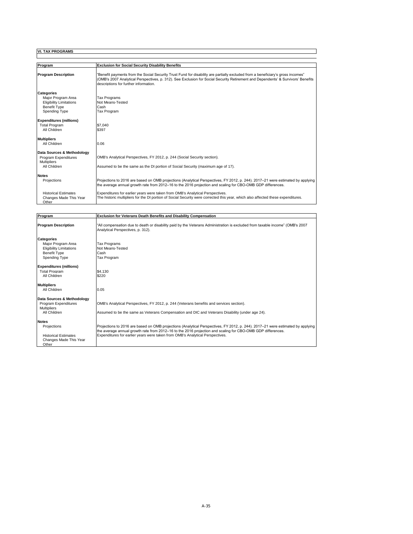| Program                         | <b>Exclusion for Social Security Disability Benefits</b>                                                                                                                                                                                                                                                     |
|---------------------------------|--------------------------------------------------------------------------------------------------------------------------------------------------------------------------------------------------------------------------------------------------------------------------------------------------------------|
| <b>Program Description</b>      | "Benefit payments from the Social Security Trust Fund for disability are partially excluded from a beneficiary's gross incomes"<br>(OMB's 2007 Analytical Perspectives, p. 312). See Exclusion for Social Security Retirement and Dependents' & Survivors' Benefits<br>descriptions for further information. |
| <b>Categories</b>               |                                                                                                                                                                                                                                                                                                              |
| Maior Program Area              | <b>Tax Programs</b>                                                                                                                                                                                                                                                                                          |
| <b>Eligibility Limitations</b>  | Not Means-Tested                                                                                                                                                                                                                                                                                             |
| <b>Benefit Type</b>             | Cash                                                                                                                                                                                                                                                                                                         |
| Spending Type                   | Tax Program                                                                                                                                                                                                                                                                                                  |
| <b>Expenditures (millions)</b>  |                                                                                                                                                                                                                                                                                                              |
| <b>Total Program</b>            | \$7.040                                                                                                                                                                                                                                                                                                      |
| All Children                    | \$397                                                                                                                                                                                                                                                                                                        |
| <b>Multipliers</b>              |                                                                                                                                                                                                                                                                                                              |
| All Children                    | 0.06                                                                                                                                                                                                                                                                                                         |
| Data Sources & Methodology      |                                                                                                                                                                                                                                                                                                              |
| Program Expenditures            | OMB's Analytical Perspectives, FY 2012, p. 244 (Social Security section).                                                                                                                                                                                                                                    |
| <b>Multipliers</b>              |                                                                                                                                                                                                                                                                                                              |
| All Children                    | Assumed to be the same as the DI portion of Social Security (maximum age of 17).                                                                                                                                                                                                                             |
| <b>Notes</b>                    |                                                                                                                                                                                                                                                                                                              |
| Projections                     | Projections to 2016 are based on OMB projections (Analytical Perspectives, FY 2012, p. 244). 2017–21 were estimated by applying<br>the average annual growth rate from 2012–16 to the 2016 projection and scaling for CBO-OMB GDP differences.                                                               |
| <b>Historical Estimates</b>     | Expenditures for earlier years were taken from OMB's Analytical Perspectives.                                                                                                                                                                                                                                |
| Changes Made This Year<br>Other | The historic multipliers for the DI portion of Social Security were corrected this year, which also affected these expenditures.                                                                                                                                                                             |

 $\blacksquare$ 

| Program                                                                                                           | <b>Exclusion for Veterans Death Benefits and Disability Compensation</b>                                                                                                                                                                                                                                                        |
|-------------------------------------------------------------------------------------------------------------------|---------------------------------------------------------------------------------------------------------------------------------------------------------------------------------------------------------------------------------------------------------------------------------------------------------------------------------|
| <b>Program Description</b>                                                                                        | "All compensation due to death or disability paid by the Veterans Administration is excluded from taxable income" (OMB's 2007<br>Analytical Perspectives, p. 312).                                                                                                                                                              |
| <b>Categories</b><br>Major Program Area<br><b>Eligibility Limitations</b><br><b>Benefit Type</b><br>Spending Type | <b>Tax Programs</b><br>Not Means-Tested<br>Cash<br><b>Tax Program</b>                                                                                                                                                                                                                                                           |
| <b>Expenditures (millions)</b><br><b>Total Program</b><br>All Children                                            | \$4.130<br>\$220                                                                                                                                                                                                                                                                                                                |
| <b>Multipliers</b><br>All Children                                                                                | 0.05                                                                                                                                                                                                                                                                                                                            |
| Data Sources & Methodology<br>Program Expenditures<br><b>Multipliers</b><br>All Children                          | OMB's Analytical Perspectives, FY 2012, p. 244 (Veterans benefits and services section).<br>Assumed to be the same as Veterans Compensation and DIC and Veterans Disability (under age 24).                                                                                                                                     |
| <b>Notes</b><br>Projections<br><b>Historical Estimates</b><br>Changes Made This Year<br>Other                     | Projections to 2016 are based on OMB projections (Analytical Perspectives, FY 2012, p. 244). 2017–21 were estimated by applying<br>the average annual growth rate from 2012-16 to the 2016 projection and scaling for CBO-OMB GDP differences.<br>Expenditures for earlier years were taken from OMB's Analytical Perspectives. |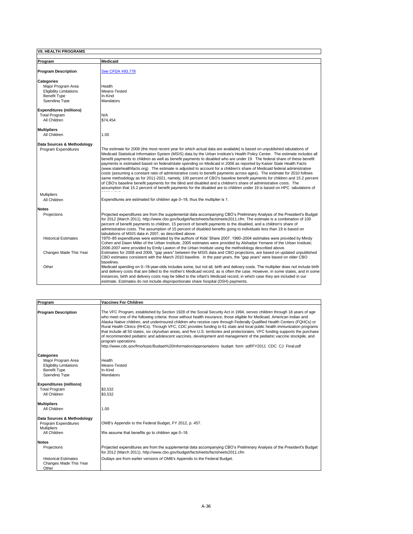| <b>VII. HEALTH PROGRAMS</b>    |                                                                                                                                                                                                                                                                                                                                                                                                                                                                                                                                                                                                                                          |
|--------------------------------|------------------------------------------------------------------------------------------------------------------------------------------------------------------------------------------------------------------------------------------------------------------------------------------------------------------------------------------------------------------------------------------------------------------------------------------------------------------------------------------------------------------------------------------------------------------------------------------------------------------------------------------|
| Program                        | Medicaid                                                                                                                                                                                                                                                                                                                                                                                                                                                                                                                                                                                                                                 |
| <b>Program Description</b>     | See CFDA #93.778                                                                                                                                                                                                                                                                                                                                                                                                                                                                                                                                                                                                                         |
| <b>Categories</b>              |                                                                                                                                                                                                                                                                                                                                                                                                                                                                                                                                                                                                                                          |
| Maior Program Area             | Health                                                                                                                                                                                                                                                                                                                                                                                                                                                                                                                                                                                                                                   |
| <b>Eligibility Limitations</b> | Means-Tested                                                                                                                                                                                                                                                                                                                                                                                                                                                                                                                                                                                                                             |
| <b>Benefit Type</b>            | In-Kind                                                                                                                                                                                                                                                                                                                                                                                                                                                                                                                                                                                                                                  |
| Spending Type                  | Mandatory                                                                                                                                                                                                                                                                                                                                                                                                                                                                                                                                                                                                                                |
| <b>Expenditures (millions)</b> |                                                                                                                                                                                                                                                                                                                                                                                                                                                                                                                                                                                                                                          |
| <b>Total Program</b>           | N/A                                                                                                                                                                                                                                                                                                                                                                                                                                                                                                                                                                                                                                      |
| All Children                   | \$74.454                                                                                                                                                                                                                                                                                                                                                                                                                                                                                                                                                                                                                                 |
| <b>Multipliers</b>             |                                                                                                                                                                                                                                                                                                                                                                                                                                                                                                                                                                                                                                          |
| All Children                   | 1.00                                                                                                                                                                                                                                                                                                                                                                                                                                                                                                                                                                                                                                     |
|                                |                                                                                                                                                                                                                                                                                                                                                                                                                                                                                                                                                                                                                                          |
| Data Sources & Methodology     | The estimate for 2008 (the most recent year for which actual data are available) is based on unpublished tabulations of                                                                                                                                                                                                                                                                                                                                                                                                                                                                                                                  |
| Program Expenditures           | Medicaid Statistical Information System (MSIS) data by the Urban Institute's Health Policy Center. The estimate includes all<br>benefit payments to children as well as benefit payments to disabled who are under 19. The federal share of these benefit<br>payments is estimated based on federal/state spending on Medicaid in 2008 as reported by Kaiser State Health Facts<br>(www.statehealthfacts.org). The estimate is adjusted to account for a children's share of Medicaid federal administrative<br>costs (assuming a constant ratio of administrative costs to benefit payments across ages). The estimate for 2010 follows |
|                                | same methodology as for 2011-2021, namely, 100 percent of CBO's baseline benefit payments for children and 15.2 percent<br>of CBO's baseline benefit payments for the blind and disabled and a children's share of administrative costs. The<br>assumption that 15.2 percent of benefit payments for the disabled are to children under 19 is based on HPC tabulations of                                                                                                                                                                                                                                                                |
| <b>Multipliers</b>             |                                                                                                                                                                                                                                                                                                                                                                                                                                                                                                                                                                                                                                          |
| All Children                   | Expenditures are estimated for children age 0-18, thus the multiplier is 1.                                                                                                                                                                                                                                                                                                                                                                                                                                                                                                                                                              |
| <b>Notes</b>                   |                                                                                                                                                                                                                                                                                                                                                                                                                                                                                                                                                                                                                                          |
| Projections                    | Projected expenditures are from the supplemental data accompanying CBO's Preliminary Analysis of the President's Budget<br>for 2012 (March 2011). http://www.cbo.gov/budget/factsheets/factsheets2011.cfm. The estimate is a combination of 100<br>percent of benefit payments to children, 15 percent of benefit payments to the disabled, and a children's share of<br>administrative costs. The assumption of 15 percent of disabled benefits going to individuals less than 19 is based on<br>tabulations of MSIS data in 2007, as described above.                                                                                  |
| <b>Historical Estimates</b>    | 1970–85 expenditures were estimated by the authors of Kids' Share 2007. 1990–2004 estimates were provided by Mindy<br>Cohen and Dawn Miller of the Urban Institute. 2005 estimates were provided by Alshadye Yemane of the Urban Institute;<br>2006-2007 were provided by Emily Lawton of the Urban Institute using the methodology described above.                                                                                                                                                                                                                                                                                     |
| Changes Made This Year         | Estimates for 2008 and 2009, "gap years" between the MSIS data and CBO projections, are based on updated unpublished<br>CBO estimates consistent with the March 2010 baseline. In the past years, the "gap years" were based on older CBO<br>baselines.                                                                                                                                                                                                                                                                                                                                                                                  |
| Other                          | Medicaid spending on 0–18-year-olds includes some, but not all, birth and delivery costs. The multiplier does not include birth<br>and delivery costs that are billed to the mother's Medicaid record, as is often the case. However, in some states, and in some<br>instances, birth and delivery costs may be billed to the infant's Medicaid record, in which case they are included in our<br>estimate. Estimates do not include disproportionate share hospital (DSH) payments.                                                                                                                                                     |

| Program                                                                                      | <b>Vaccines For Children</b>                                                                                                                                                                                                                                                                                                                                                                                                                                                                                                                                                                                                                                                                                                                                                                                                                                                                                |
|----------------------------------------------------------------------------------------------|-------------------------------------------------------------------------------------------------------------------------------------------------------------------------------------------------------------------------------------------------------------------------------------------------------------------------------------------------------------------------------------------------------------------------------------------------------------------------------------------------------------------------------------------------------------------------------------------------------------------------------------------------------------------------------------------------------------------------------------------------------------------------------------------------------------------------------------------------------------------------------------------------------------|
| <b>Program Description</b>                                                                   | The VFC Program, established by Section 1928 of the Social Security Act in 1994, serves children through 18 years of age<br>who meet one of the following criteria: those without health insurance, those eligible for Medicaid, American Indian and<br>Alaska Native children, and underinsured children who receive care through Federally Qualified Health Centers (FQHCs) or<br>Rural Health Clinics (RHCs). Through VFC, CDC provides funding to 61 state and local public health immunization programs<br>that include all 50 states, six city/urban areas, and five U.S. territories and protectorates. VFC funding supports the purchase<br>of recommended pediatric and adolescent vaccines, development and management of the pediatric vaccine stockpile, and<br>program operations.<br>http://www.cdc.gov/fmo/topic/Budget%20Information/appropriations budget form pdf/FY2011 CDC CJ Final.pdf |
| <b>Categories</b>                                                                            |                                                                                                                                                                                                                                                                                                                                                                                                                                                                                                                                                                                                                                                                                                                                                                                                                                                                                                             |
| Maior Program Area<br><b>Eligibility Limitations</b><br><b>Benefit Type</b><br>Spending Type | Health<br>Means-Tested<br>In-Kind<br>Mandatory                                                                                                                                                                                                                                                                                                                                                                                                                                                                                                                                                                                                                                                                                                                                                                                                                                                              |
| <b>Expenditures (millions)</b>                                                               |                                                                                                                                                                                                                                                                                                                                                                                                                                                                                                                                                                                                                                                                                                                                                                                                                                                                                                             |
| <b>Total Program</b><br>All Children                                                         | \$3.532<br>\$3,532                                                                                                                                                                                                                                                                                                                                                                                                                                                                                                                                                                                                                                                                                                                                                                                                                                                                                          |
|                                                                                              |                                                                                                                                                                                                                                                                                                                                                                                                                                                                                                                                                                                                                                                                                                                                                                                                                                                                                                             |
| <b>Multipliers</b><br>All Children                                                           | 1.00                                                                                                                                                                                                                                                                                                                                                                                                                                                                                                                                                                                                                                                                                                                                                                                                                                                                                                        |
| Data Sources & Methodology<br>Program Expenditures                                           | OMB's Appendix to the Federal Budget, FY 2012, p. 457.                                                                                                                                                                                                                                                                                                                                                                                                                                                                                                                                                                                                                                                                                                                                                                                                                                                      |
| <b>Multipliers</b><br>All Children                                                           | We assume that benefits go to children age 0-18.                                                                                                                                                                                                                                                                                                                                                                                                                                                                                                                                                                                                                                                                                                                                                                                                                                                            |
| <b>Notes</b>                                                                                 |                                                                                                                                                                                                                                                                                                                                                                                                                                                                                                                                                                                                                                                                                                                                                                                                                                                                                                             |
| Projections                                                                                  | Projected expenditures are from the supplemental data accompanying CBO's Preliminary Analysis of the President's Budget<br>for 2012 (March 2011). http://www.cbo.gov/budget/factsheets/factsheets2011.cfm                                                                                                                                                                                                                                                                                                                                                                                                                                                                                                                                                                                                                                                                                                   |
| <b>Historical Estimates</b><br>Changes Made This Year<br>Other                               | Outlays are from earlier versions of OMB's Appendix to the Federal Budget.                                                                                                                                                                                                                                                                                                                                                                                                                                                                                                                                                                                                                                                                                                                                                                                                                                  |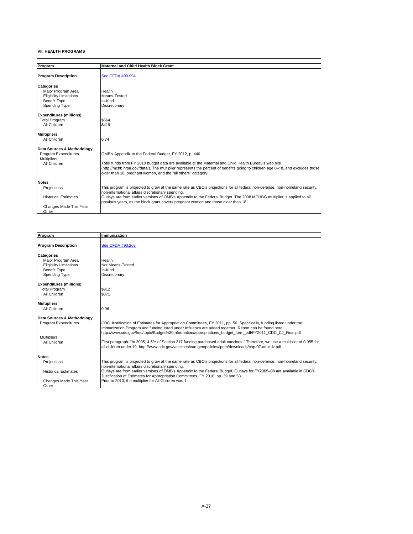| Program                         | <b>Maternal and Child Health Block Grant</b>                                                                                                                                                                                                                                                             |
|---------------------------------|----------------------------------------------------------------------------------------------------------------------------------------------------------------------------------------------------------------------------------------------------------------------------------------------------------|
| <b>Program Description</b>      | See CFDA #93.994                                                                                                                                                                                                                                                                                         |
| <b>Categories</b>               |                                                                                                                                                                                                                                                                                                          |
| Maior Program Area              | Health                                                                                                                                                                                                                                                                                                   |
| <b>Eligibility Limitations</b>  | Means-Tested                                                                                                                                                                                                                                                                                             |
| <b>Benefit Type</b>             | In-Kind                                                                                                                                                                                                                                                                                                  |
| Spending Type                   | Discretionary                                                                                                                                                                                                                                                                                            |
| <b>Expenditures (millions)</b>  |                                                                                                                                                                                                                                                                                                          |
| <b>Total Program</b>            | \$564                                                                                                                                                                                                                                                                                                    |
| All Children                    | \$419                                                                                                                                                                                                                                                                                                    |
|                                 |                                                                                                                                                                                                                                                                                                          |
| <b>Multipliers</b>              |                                                                                                                                                                                                                                                                                                          |
| All Children                    | 0.74                                                                                                                                                                                                                                                                                                     |
| Data Sources & Methodology      |                                                                                                                                                                                                                                                                                                          |
| Program Expenditures            | OMB's Appendix to the Federal Budget, FY 2012, p. 440                                                                                                                                                                                                                                                    |
| <b>Multipliers</b>              |                                                                                                                                                                                                                                                                                                          |
| All Children                    | Total funds from FY 2010 budget data are available at the Maternal and Child Health Bureau's web site<br>(http://mchb.hrsa.gov/data/). The multiplier represents the percent of benefits going to children age 0-18, and excludes those<br>older than 18, pregnant women, and the "all others" category. |
| <b>Notes</b>                    |                                                                                                                                                                                                                                                                                                          |
| Projections                     | This program is projected to grow at the same rate as CBO's projections for all federal non-defense, non-homeland security,<br>non-international affairs discretionary spending.                                                                                                                         |
| <b>Historical Estimates</b>     | Outlays are from earlier versions of OMB's Appendix to the Federal Budget. The 2008 MCHBG multiplier is applied to all<br>previous years, as the block grant covers pregnant women and those older than 18.                                                                                              |
| Changes Made This Year<br>Other |                                                                                                                                                                                                                                                                                                          |

| Program                         | Immunization                                                                                                                                                                                                                                                                                                                              |
|---------------------------------|-------------------------------------------------------------------------------------------------------------------------------------------------------------------------------------------------------------------------------------------------------------------------------------------------------------------------------------------|
| <b>Program Description</b>      | See CFDA #93.268                                                                                                                                                                                                                                                                                                                          |
| <b>Categories</b>               |                                                                                                                                                                                                                                                                                                                                           |
| Maior Program Area              | Health                                                                                                                                                                                                                                                                                                                                    |
| <b>Eligibility Limitations</b>  | Not Means-Tested                                                                                                                                                                                                                                                                                                                          |
| <b>Benefit Type</b>             | In-Kind                                                                                                                                                                                                                                                                                                                                   |
| Spending Type                   | Discretionary                                                                                                                                                                                                                                                                                                                             |
| <b>Expenditures (millions)</b>  |                                                                                                                                                                                                                                                                                                                                           |
| <b>Total Program</b>            | \$912                                                                                                                                                                                                                                                                                                                                     |
| All Children                    | \$871                                                                                                                                                                                                                                                                                                                                     |
| <b>Multipliers</b>              |                                                                                                                                                                                                                                                                                                                                           |
| All Children                    | 0.96                                                                                                                                                                                                                                                                                                                                      |
| Data Sources & Methodology      |                                                                                                                                                                                                                                                                                                                                           |
| Program Expenditures            | CDC Justification of Estimates for Appropriation Committees, FY 2011, pp. 50. Specifically, funding listed under the<br>Immunization Program and funding listed under Influenza are added together. Report can be found here:<br>http://www.cdc.gov/fmo/topic/Budget%20Information/appropriations budget form pdf/FY2011 CDC CJ Final.pdf |
| <b>Multipliers</b>              |                                                                                                                                                                                                                                                                                                                                           |
| All Children                    | First paragraph: "In 2005, 4.5% of Section 317 funding purchased adult vaccines." Therefore, we use a multiplier of 0.955 for<br>all children under 19. http://www.cdc.gov/vaccines/vac-gen/policies/ipom/downloads/chp-07-adult-iz.pdf                                                                                                   |
| <b>Notes</b>                    |                                                                                                                                                                                                                                                                                                                                           |
| Projections                     | This program is projected to grow at the same rate as CBO's projections for all federal non-defense, non-homeland security,<br>non-international affairs discretionary spending.                                                                                                                                                          |
| <b>Historical Estimates</b>     | Outlays are from earlier versions of OMB's Appendix to the Federal Budget. Outlays for FY2005-08 are available in CDC's<br>Justification of Estimates for Appropriation Committees, FY 2010, pp. 39 and 53.                                                                                                                               |
| Changes Made This Year<br>Other | Prior to 2010, the multiplier for All Children was 1.                                                                                                                                                                                                                                                                                     |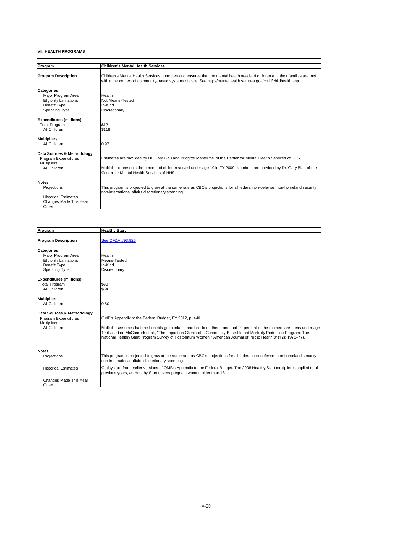| Program                                                                   | <b>Children's Mental Health Services</b>                                                                                                                                                                                                       |
|---------------------------------------------------------------------------|------------------------------------------------------------------------------------------------------------------------------------------------------------------------------------------------------------------------------------------------|
| <b>Program Description</b>                                                | Children's Mental Health Services promotes and ensures that the mental health needs of children and their families are met<br>within the context of community-based systems of care. See http://mentalhealth.samhsa.gov/child/childhealth.asp. |
| <b>Categories</b><br>Major Program Area<br><b>Eligibility Limitations</b> | Health<br>Not Means-Tested                                                                                                                                                                                                                     |
| <b>Benefit Type</b><br>Spending Type                                      | In-Kind<br>Discretionary                                                                                                                                                                                                                       |
| <b>Expenditures (millions)</b>                                            |                                                                                                                                                                                                                                                |
| <b>Total Program</b><br>All Children                                      | \$121<br>\$118                                                                                                                                                                                                                                 |
| <b>Multipliers</b>                                                        |                                                                                                                                                                                                                                                |
| All Children                                                              | 0.97                                                                                                                                                                                                                                           |
| Data Sources & Methodology                                                |                                                                                                                                                                                                                                                |
| Program Expenditures<br><b>Multipliers</b>                                | Estimates are provided by Dr. Gary Blau and Bridgitte Manteuffel of the Center for Mental Health Services of HHS.                                                                                                                              |
| All Children                                                              | Multiplier represents the percent of children served under age 19 in FY 2009. Numbers are provided by Dr. Gary Blau of the<br>Center for Mental Health Services of HHS.                                                                        |
| <b>Notes</b>                                                              |                                                                                                                                                                                                                                                |
| Projections                                                               | This program is projected to grow at the same rate as CBO's projections for all federal non-defense, non-homeland security,<br>non-international affairs discretionary spending.                                                               |
| <b>Historical Estimates</b>                                               |                                                                                                                                                                                                                                                |
| Changes Made This Year<br>Other                                           |                                                                                                                                                                                                                                                |

| Program                                                                                                           | <b>Healthy Start</b>                                                                                                                                                                                                                                                                                                                                                                                                              |
|-------------------------------------------------------------------------------------------------------------------|-----------------------------------------------------------------------------------------------------------------------------------------------------------------------------------------------------------------------------------------------------------------------------------------------------------------------------------------------------------------------------------------------------------------------------------|
| <b>Program Description</b>                                                                                        | See CFDA #93.926                                                                                                                                                                                                                                                                                                                                                                                                                  |
| <b>Categories</b><br>Maior Program Area<br><b>Eligibility Limitations</b><br><b>Benefit Type</b><br>Spending Type | Health<br>Means-Tested<br>In-Kind<br>Discretionary                                                                                                                                                                                                                                                                                                                                                                                |
| <b>Expenditures (millions)</b><br><b>Total Program</b><br>All Children                                            | \$90<br>\$54                                                                                                                                                                                                                                                                                                                                                                                                                      |
| <b>Multipliers</b><br>All Children                                                                                | 0.60                                                                                                                                                                                                                                                                                                                                                                                                                              |
| Data Sources & Methodology<br>Program Expenditures<br><b>Multipliers</b><br>All Children                          | OMB's Appendix to the Federal Budget, FY 2012, p. 440.<br>Multiplier assumes half the benefits go to infants and half to mothers, and that 20 percent of the mothers are teens under age<br>19 (based on McCormick et al., "The Impact on Clients of a Community-Based Infant Mortality Reduction Program: The<br>National Healthy Start Program Survey of Postpartum Women," American Journal of Public Health 91(12): 1975–77). |
| <b>Notes</b><br>Projections                                                                                       | This program is projected to grow at the same rate as CBO's projections for all federal non-defense, non-homeland security,<br>non-international affairs discretionary spending.                                                                                                                                                                                                                                                  |
| <b>Historical Estimates</b>                                                                                       | Outlays are from earlier versions of OMB's Appendix to the Federal Budget. The 2008 Healthy Start multiplier is applied to all<br>previous years, as Healthy Start covers pregnant women older than 18.                                                                                                                                                                                                                           |
| Changes Made This Year<br>Other                                                                                   |                                                                                                                                                                                                                                                                                                                                                                                                                                   |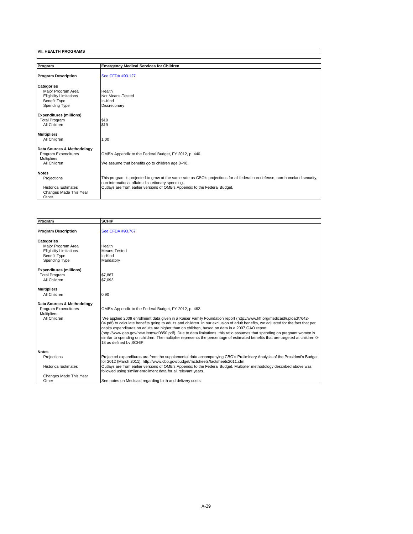| Program                        | <b>Emergency Medical Services for Children</b>                                                                              |
|--------------------------------|-----------------------------------------------------------------------------------------------------------------------------|
| <b>Program Description</b>     | See CFDA #93.127                                                                                                            |
| <b>Categories</b>              |                                                                                                                             |
| Major Program Area             | Health                                                                                                                      |
| <b>Eligibility Limitations</b> | Not Means-Tested                                                                                                            |
| <b>Benefit Type</b>            | In-Kind                                                                                                                     |
| Spending Type                  | Discretionary                                                                                                               |
| <b>Expenditures (millions)</b> |                                                                                                                             |
| <b>Total Program</b>           | \$19                                                                                                                        |
| All Children                   | \$19                                                                                                                        |
| <b>Multipliers</b>             |                                                                                                                             |
| All Children                   | 1.00                                                                                                                        |
| Data Sources & Methodology     |                                                                                                                             |
| Program Expenditures           | OMB's Appendix to the Federal Budget, FY 2012, p. 440.                                                                      |
| <b>Multipliers</b>             |                                                                                                                             |
| All Children                   | We assume that benefits go to children age 0-18.                                                                            |
| <b>Notes</b>                   |                                                                                                                             |
| Projections                    | This program is projected to grow at the same rate as CBO's projections for all federal non-defense, non-homeland security, |
|                                | non-international affairs discretionary spending.                                                                           |
| <b>Historical Estimates</b>    | Outlays are from earlier versions of OMB's Appendix to the Federal Budget.                                                  |
| Changes Made This Year         |                                                                                                                             |
| Other                          |                                                                                                                             |

| Program                                                                                                                                             | <b>SCHIP</b>                                                                                                                                                                                                                                                                                                                                                                             |
|-----------------------------------------------------------------------------------------------------------------------------------------------------|------------------------------------------------------------------------------------------------------------------------------------------------------------------------------------------------------------------------------------------------------------------------------------------------------------------------------------------------------------------------------------------|
|                                                                                                                                                     |                                                                                                                                                                                                                                                                                                                                                                                          |
| <b>Program Description</b>                                                                                                                          | See CFDA #93.767                                                                                                                                                                                                                                                                                                                                                                         |
| <b>Categories</b><br>Maior Program Area<br><b>Eligibility Limitations</b><br><b>Benefit Type</b><br>Spending Type<br><b>Expenditures (millions)</b> | Health<br>Means-Tested<br>In-Kind<br>Mandatory                                                                                                                                                                                                                                                                                                                                           |
| <b>Total Program</b>                                                                                                                                | \$7.887                                                                                                                                                                                                                                                                                                                                                                                  |
| All Children                                                                                                                                        | \$7.093                                                                                                                                                                                                                                                                                                                                                                                  |
| <b>Multipliers</b><br>All Children<br>Data Sources & Methodology<br>Program Expenditures<br><b>Multipliers</b><br>All Children                      | 0.90<br>OMB's Appendix to the Federal Budget, FY 2012, p. 462.<br>We applied 2009 enrollment data given in a Kaiser Family Foundation report (http://www.kff.org/medicaid/upload/7642-<br>04.pdf) to calculate benefits going to adults and children. In our exclusion of adult benefits, we adjusted for the fact that per                                                              |
|                                                                                                                                                     | capita expenditures on adults are higher than on children, based on data in a 2007 GAO report<br>(http://www.qao.qov/new.items/d0850.pdf). Due to data limitations, this ratio assumes that spending on pregnant women is<br>similar to spending on children. The multiplier represents the percentage of estimated benefits that are targeted at children 0-<br>18 as defined by SCHIP. |
| <b>Notes</b>                                                                                                                                        |                                                                                                                                                                                                                                                                                                                                                                                          |
| Projections<br><b>Historical Estimates</b>                                                                                                          | Projected expenditures are from the supplemental data accompanying CBO's Preliminary Analysis of the President's Budget<br>for 2012 (March 2011). http://www.cbo.gov/budget/factsheets/factsheets2011.cfm<br>Outlays are from earlier versions of OMB's Appendix to the Federal Budget. Multiplier methodology described above was                                                       |
|                                                                                                                                                     | followed using similar enrollment data for all relevant vears.                                                                                                                                                                                                                                                                                                                           |
| Changes Made This Year<br>Other                                                                                                                     | See notes on Medicaid regarding birth and delivery costs.                                                                                                                                                                                                                                                                                                                                |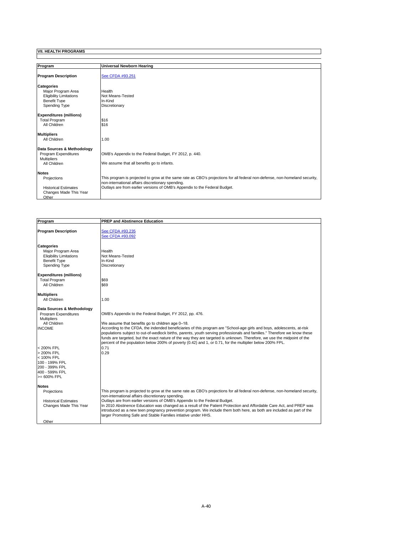| Program                                 | <b>Universal Newborn Hearing</b>                                                                                                                                                 |
|-----------------------------------------|----------------------------------------------------------------------------------------------------------------------------------------------------------------------------------|
| <b>Program Description</b>              | See CFDA #93.251                                                                                                                                                                 |
| <b>Categories</b><br>Major Program Area | Health                                                                                                                                                                           |
| <b>Eligibility Limitations</b>          | Not Means-Tested                                                                                                                                                                 |
| <b>Benefit Type</b><br>Spending Type    | In-Kind<br>Discretionary                                                                                                                                                         |
| <b>Expenditures (millions)</b>          |                                                                                                                                                                                  |
| <b>Total Program</b>                    | \$16                                                                                                                                                                             |
| All Children                            | \$16                                                                                                                                                                             |
| <b>Multipliers</b>                      |                                                                                                                                                                                  |
| All Children                            | 1.00                                                                                                                                                                             |
| Data Sources & Methodology              |                                                                                                                                                                                  |
| Program Expenditures                    | OMB's Appendix to the Federal Budget, FY 2012, p. 440.                                                                                                                           |
| <b>Multipliers</b>                      |                                                                                                                                                                                  |
| All Children                            | We assume that all benefits go to infants.                                                                                                                                       |
| <b>Notes</b>                            |                                                                                                                                                                                  |
| Projections                             | This program is projected to grow at the same rate as CBO's projections for all federal non-defense, non-homeland security,<br>non-international affairs discretionary spending. |
| <b>Historical Estimates</b>             | Outlays are from earlier versions of OMB's Appendix to the Federal Budget.                                                                                                       |
| Changes Made This Year<br>Other         |                                                                                                                                                                                  |

| Program                                               | <b>PREP and Abstinence Education</b>                                                                                        |
|-------------------------------------------------------|-----------------------------------------------------------------------------------------------------------------------------|
|                                                       |                                                                                                                             |
| <b>Program Description</b>                            | See CFDA #93.235                                                                                                            |
|                                                       | See CFDA #93.092                                                                                                            |
|                                                       |                                                                                                                             |
| <b>Categories</b>                                     |                                                                                                                             |
| Major Program Area                                    | Health<br>Not Means-Tested                                                                                                  |
| <b>Eligibility Limitations</b><br><b>Benefit Type</b> | In-Kind                                                                                                                     |
|                                                       |                                                                                                                             |
| Spending Type                                         | Discretionary                                                                                                               |
| <b>Expenditures (millions)</b>                        |                                                                                                                             |
| <b>Total Program</b>                                  | \$69                                                                                                                        |
| All Children                                          | \$69                                                                                                                        |
| <b>Multipliers</b>                                    |                                                                                                                             |
| All Children                                          | 1.00                                                                                                                        |
|                                                       |                                                                                                                             |
| Data Sources & Methodology                            |                                                                                                                             |
| Program Expenditures                                  | OMB's Appendix to the Federal Budget, FY 2012, pp. 476.                                                                     |
| <b>Multipliers</b>                                    |                                                                                                                             |
| All Children                                          | We assume that benefits go to children age 0-18.                                                                            |
| <b>INCOME</b>                                         | According to the CFDA, the indended beneficiaries of this program are "School-age girls and boys, adolescents, at-risk      |
|                                                       | populations subject to out-of-wedlock births, parents, youth serving professionals and families." Therefore we know these   |
|                                                       | funds are targeted, but the exact nature of the way they are targeted is unknown. Therefore, we use the midpoint of the     |
|                                                       | percent of the population below 200% of poverty (0.42) and 1, or 0.71, for the multiplier below 200% FPL.                   |
| < 200% FPL                                            | 0.71                                                                                                                        |
| > 200% FPL                                            | 0.29                                                                                                                        |
| < 100% FPL<br>100 - 199% FPL                          |                                                                                                                             |
| 200 - 399% FPL                                        |                                                                                                                             |
| 400 - 599% FPL                                        |                                                                                                                             |
| $>= 600\%$ FPL                                        |                                                                                                                             |
|                                                       |                                                                                                                             |
| <b>Notes</b>                                          |                                                                                                                             |
| Projections                                           | This program is projected to grow at the same rate as CBO's projections for all federal non-defense, non-homeland security, |
|                                                       | non-international affairs discretionary spending.                                                                           |
| <b>Historical Estimates</b>                           | Outlays are from earlier versions of OMB's Appendix to the Federal Budget.                                                  |
| Changes Made This Year                                | In 2010 Abstinence Education was changed as a result of the Patient Protection and Affordable Care Act, and PREP was        |
|                                                       | introduced as a new teen pregnancy prevention program. We include them both here, as both are included as part of the       |
|                                                       | larger Promoting Safe and Stable Families intiative under HHS.                                                              |
| Other                                                 |                                                                                                                             |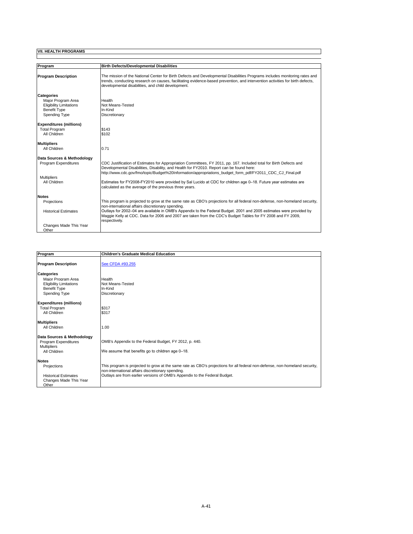| Program                        | <b>Birth Defects/Developmental Disabilities</b>                                                                                                                                                                                                                                                                             |
|--------------------------------|-----------------------------------------------------------------------------------------------------------------------------------------------------------------------------------------------------------------------------------------------------------------------------------------------------------------------------|
|                                |                                                                                                                                                                                                                                                                                                                             |
| <b>Program Description</b>     | The mission of the National Center for Birth Defects and Developmental Disabilities Programs includes monitoring rates and<br>trends, conducting research on causes, facilitating evidence-based prevention, and intervention activities for birth defects,<br>developmental disabilities, and child development.           |
| <b>Categories</b>              |                                                                                                                                                                                                                                                                                                                             |
| Maior Program Area             | Health                                                                                                                                                                                                                                                                                                                      |
| <b>Eligibility Limitations</b> | Not Means-Tested                                                                                                                                                                                                                                                                                                            |
| <b>Benefit Type</b>            | In-Kind                                                                                                                                                                                                                                                                                                                     |
| Spending Type                  | Discretionary                                                                                                                                                                                                                                                                                                               |
| <b>Expenditures (millions)</b> |                                                                                                                                                                                                                                                                                                                             |
| <b>Total Program</b>           | \$143                                                                                                                                                                                                                                                                                                                       |
| All Children                   | \$102                                                                                                                                                                                                                                                                                                                       |
| <b>Multipliers</b>             |                                                                                                                                                                                                                                                                                                                             |
| All Children                   | 0.71                                                                                                                                                                                                                                                                                                                        |
| Data Sources & Methodology     |                                                                                                                                                                                                                                                                                                                             |
| Program Expenditures           | CDC Justification of Estimates for Appropriation Committees, FY 2011, pp. 167. Included total for Birth Defects and<br>Developmental Disabilities, Disability, and Health for FY2010. Report can be found here:<br>http://www.cdc.gov/fmo/topic/Budget%20Information/appropriations budget form pdf/FY2011 CDC CJ Final.pdf |
| <b>Multipliers</b>             |                                                                                                                                                                                                                                                                                                                             |
| All Children                   | Estimates for FY2008-FY2010 were provided by Sal Lucido at CDC for children age 0-18. Future year estimates are<br>calculated as the average of the previous three vears.                                                                                                                                                   |
| <b>Notes</b>                   |                                                                                                                                                                                                                                                                                                                             |
| Projections                    | This program is projected to grow at the same rate as CBO's projections for all federal non-defense, non-homeland security,                                                                                                                                                                                                 |
|                                | non-international affairs discretionary spending.                                                                                                                                                                                                                                                                           |
| <b>Historical Estimates</b>    | Outlays for 2002-04 are available in OMB's Appendix to the Federal Budget. 2001 and 2005 estimates were provided by<br>Maggie Kelly at CDC. Data for 2006 and 2007 are taken from the CDC's Budget Tables for FY 2008 and FY 2009,<br>respectively.                                                                         |
| Changes Made This Year         |                                                                                                                                                                                                                                                                                                                             |
| Other                          |                                                                                                                                                                                                                                                                                                                             |

| Program                        | <b>Children's Graduate Medical Education</b>                                                                                |
|--------------------------------|-----------------------------------------------------------------------------------------------------------------------------|
| <b>Program Description</b>     | See CFDA #93.255                                                                                                            |
| <b>Categories</b>              |                                                                                                                             |
| Maior Program Area             | Health                                                                                                                      |
| <b>Eligibility Limitations</b> | Not Means-Tested                                                                                                            |
| <b>Benefit Type</b>            | In-Kind                                                                                                                     |
| Spending Type                  | Discretionary                                                                                                               |
| <b>Expenditures (millions)</b> |                                                                                                                             |
| <b>Total Program</b>           | \$317                                                                                                                       |
| All Children                   | \$317                                                                                                                       |
| <b>Multipliers</b>             |                                                                                                                             |
| All Children                   | 1.00                                                                                                                        |
| Data Sources & Methodology     |                                                                                                                             |
| Program Expenditures           | OMB's Appendix to the Federal Budget, FY 2012, p. 440.                                                                      |
| <b>Multipliers</b>             |                                                                                                                             |
| All Children                   | We assume that benefits go to children age 0-18.                                                                            |
| <b>Notes</b>                   |                                                                                                                             |
| Projections                    | This program is projected to grow at the same rate as CBO's projections for all federal non-defense, non-homeland security, |
|                                | non-international affairs discretionary spending.                                                                           |
| <b>Historical Estimates</b>    | Outlays are from earlier versions of OMB's Appendix to the Federal Budget.                                                  |
| Changes Made This Year         |                                                                                                                             |
| Other                          |                                                                                                                             |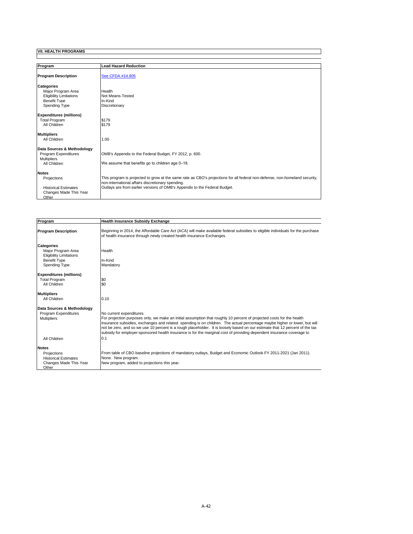| Program                        | <b>Lead Hazard Reduction</b>                                                                                                |
|--------------------------------|-----------------------------------------------------------------------------------------------------------------------------|
|                                |                                                                                                                             |
| <b>Program Description</b>     | See CFDA #14.905                                                                                                            |
| <b>Categories</b>              |                                                                                                                             |
| Major Program Area             | Health                                                                                                                      |
| <b>Eligibility Limitations</b> | Not Means-Tested                                                                                                            |
| <b>Benefit Type</b>            | In-Kind                                                                                                                     |
| Spending Type                  | Discretionary                                                                                                               |
| <b>Expenditures (millions)</b> |                                                                                                                             |
| <b>Total Program</b>           | \$179                                                                                                                       |
| All Children                   | \$179                                                                                                                       |
| <b>Multipliers</b>             |                                                                                                                             |
| All Children                   | 1.00                                                                                                                        |
| Data Sources & Methodology     |                                                                                                                             |
| Program Expenditures           | OMB's Appendix to the Federal Budget, FY 2012, p. 600.                                                                      |
| <b>Multipliers</b>             |                                                                                                                             |
| All Children                   | We assume that benefits go to children age 0-18.                                                                            |
| <b>Notes</b>                   |                                                                                                                             |
| Projections                    | This program is projected to grow at the same rate as CBO's projections for all federal non-defense, non-homeland security, |
|                                | non-international affairs discretionary spending.                                                                           |
| <b>Historical Estimates</b>    | Outlays are from earlier versions of OMB's Appendix to the Federal Budget.                                                  |
| Changes Made This Year         |                                                                                                                             |
| Other                          |                                                                                                                             |

| Program                                                                                          | <b>Health Insurance Subsidy Exchange</b>                                                                                                                                                                                                                                                                                                                                                                                                                                                                                                |  |
|--------------------------------------------------------------------------------------------------|-----------------------------------------------------------------------------------------------------------------------------------------------------------------------------------------------------------------------------------------------------------------------------------------------------------------------------------------------------------------------------------------------------------------------------------------------------------------------------------------------------------------------------------------|--|
| <b>Program Description</b>                                                                       | Beginning in 2014, the Affordable Care Act (ACA) will make available federal subsidies to eligible individuals for the purchase<br>of health insurance through newly created health insurance Exchanges.                                                                                                                                                                                                                                                                                                                                |  |
| <b>Categories</b><br>Major Program Area<br><b>Eligibility Limitations</b><br><b>Benefit Type</b> | Health<br>In-Kind                                                                                                                                                                                                                                                                                                                                                                                                                                                                                                                       |  |
| Spending Type                                                                                    | Mandatory                                                                                                                                                                                                                                                                                                                                                                                                                                                                                                                               |  |
| <b>Expenditures (millions)</b><br><b>Total Program</b><br>All Children                           | \$0<br>\$0                                                                                                                                                                                                                                                                                                                                                                                                                                                                                                                              |  |
| <b>Multipliers</b><br>All Children                                                               | 0.10                                                                                                                                                                                                                                                                                                                                                                                                                                                                                                                                    |  |
| Data Sources & Methodology<br>Program Expenditures<br><b>Multipliers</b>                         | No current expenditures.<br>For projection purposes only, we make an initial assumption that roughly 10 percent of projected costs for the health<br>insurance subsidies, exchanges and related spending is on children. The actual percentage maybe higher or lower, but will<br>not be zero, and so we use 10 percent is a rough placeholder. It is loosely based on our estimate that 12 percent of the tax<br>subsidy for employer-sponsored health insurance is for the marginal cost of providing dependent insurance coverage to |  |
| All Children                                                                                     | 0.1                                                                                                                                                                                                                                                                                                                                                                                                                                                                                                                                     |  |
| <b>Notes</b><br>Projections<br><b>Historical Estimates</b><br>Changes Made This Year             | From table of CBO baseline projections of mandatory outlays, Budget and Economic Outlook FY 2011-2021 (Jan 2011).<br>None. New program.<br>New program, added to projections this year.                                                                                                                                                                                                                                                                                                                                                 |  |
| Other                                                                                            |                                                                                                                                                                                                                                                                                                                                                                                                                                                                                                                                         |  |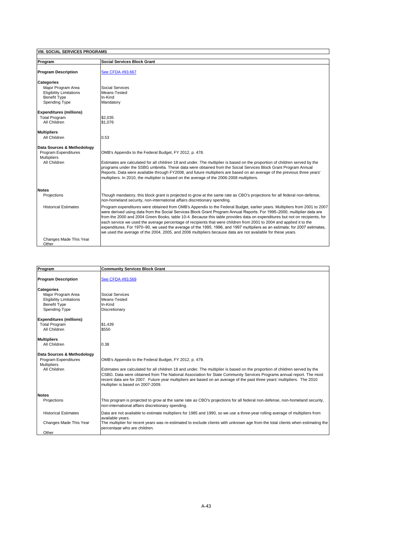|  | <b>VIII. SOCIAL SERVICES PROGRAMS</b> |
|--|---------------------------------------|
|  |                                       |

| Program                                                                                                                  | <b>Social Services Block Grant</b>                                                                                                                                                                                                                                                                                                                                                                                                                                                                                                                                                                                                                                                                                                                        |
|--------------------------------------------------------------------------------------------------------------------------|-----------------------------------------------------------------------------------------------------------------------------------------------------------------------------------------------------------------------------------------------------------------------------------------------------------------------------------------------------------------------------------------------------------------------------------------------------------------------------------------------------------------------------------------------------------------------------------------------------------------------------------------------------------------------------------------------------------------------------------------------------------|
| <b>Program Description</b>                                                                                               | See CFDA #93.667                                                                                                                                                                                                                                                                                                                                                                                                                                                                                                                                                                                                                                                                                                                                          |
| <b>Categories</b><br>Maior Program Area<br><b>Eligibility Limitations</b><br><b>Benefit Type</b><br><b>Spending Type</b> | Social Services<br>Means-Tested<br>In-Kind<br>Mandatory                                                                                                                                                                                                                                                                                                                                                                                                                                                                                                                                                                                                                                                                                                   |
| <b>Expenditures (millions)</b><br><b>Total Program</b><br>All Children                                                   | \$2,035<br>\$1.076                                                                                                                                                                                                                                                                                                                                                                                                                                                                                                                                                                                                                                                                                                                                        |
| <b>Multipliers</b><br>All Children                                                                                       | 0.53                                                                                                                                                                                                                                                                                                                                                                                                                                                                                                                                                                                                                                                                                                                                                      |
| Data Sources & Methodology<br>Program Expenditures<br><b>Multipliers</b><br>All Children                                 | OMB's Appendix to the Federal Budget, FY 2012, p. 478.<br>Estimates are calculated for all children 18 and under. The multiplier is based on the proportion of children served by the<br>programs under the SSBG umbrella. These data were obtained from the Social Services Block Grant Program Annual<br>Reports. Data were available through FY2008, and future multipliers are based on an average of the previous three years'<br>multipliers. In 2010, the multiplier is based on the average of the 2006-2008 multipliers.                                                                                                                                                                                                                         |
| <b>Notes</b>                                                                                                             |                                                                                                                                                                                                                                                                                                                                                                                                                                                                                                                                                                                                                                                                                                                                                           |
| Projections                                                                                                              | Though mandatory, this block grant is projected to grow at the same rate as CBO's projections for all federal non-defense,<br>non-homeland security, non-international affairs discretionary spending.                                                                                                                                                                                                                                                                                                                                                                                                                                                                                                                                                    |
| <b>Historical Estimates</b>                                                                                              | Program expenditures were obtained from OMB's Appendix to the Federal Budget, earlier years. Multipliers from 2001 to 2007<br>were derived using data from the Social Services Block Grant Program Annual Reports. For 1995-2000, multiplier data are<br>from the 2000 and 2004 Green Books, table 10-4. Because this table provides data on expenditures but not on recipients, for<br>each service we used the average percentage of recipients that were children from 2001 to 2004 and applied it to the<br>expenditures. For 1970–90, we used the average of the 1995, 1996, and 1997 multipliers as an estimate; for 2007 estimates,<br>we used the average of the 2004, 2005, and 2006 multipliers because data are not available for these years. |
| Changes Made This Year<br>Other                                                                                          |                                                                                                                                                                                                                                                                                                                                                                                                                                                                                                                                                                                                                                                                                                                                                           |

٦

| Program                                                                                                           | <b>Community Services Block Grant</b>                                                                                                                                                                                                                                                                                                                                                                                                                                          |
|-------------------------------------------------------------------------------------------------------------------|--------------------------------------------------------------------------------------------------------------------------------------------------------------------------------------------------------------------------------------------------------------------------------------------------------------------------------------------------------------------------------------------------------------------------------------------------------------------------------|
| <b>Program Description</b>                                                                                        | See CFDA #93.569                                                                                                                                                                                                                                                                                                                                                                                                                                                               |
| <b>Categories</b><br>Major Program Area<br><b>Eligibility Limitations</b><br><b>Benefit Type</b><br>Spending Type | Social Services<br>Means-Tested<br>In-Kind<br>Discretionary                                                                                                                                                                                                                                                                                                                                                                                                                    |
| <b>Expenditures (millions)</b><br><b>Total Program</b><br>All Children                                            | \$1.439<br>\$550                                                                                                                                                                                                                                                                                                                                                                                                                                                               |
| <b>Multipliers</b><br>All Children                                                                                | 0.38                                                                                                                                                                                                                                                                                                                                                                                                                                                                           |
| Data Sources & Methodology<br>Program Expenditures<br><b>Multipliers</b><br>All Children                          | OMB's Appendix to the Federal Budget, FY 2012, p. 479.<br>Estimates are calculated for all children 18 and under. The multiplier is based on the proportion of children served by the<br>CSBG. Data were obtained from The National Association for State Community Services Programs annual report. The most<br>recent data are for 2007. Future year multipliers are based on an average of the past three years' multipliers. The 2010<br>multiplier is based on 2007-2009. |
| <b>Notes</b><br>Projections                                                                                       | This program is projected to grow at the same rate as CBO's projections for all federal non-defense, non-homeland security,<br>non-international affairs discretionary spending.                                                                                                                                                                                                                                                                                               |
| <b>Historical Estimates</b><br>Changes Made This Year<br>Other                                                    | Data are not available to estimate multipliers for 1985 and 1990, so we use a three-year rolling average of multipliers from<br>available vears.<br>The multiplier for recent years was re-estimated to exclude clients with unknown age from the total clients when estimating the<br>percentage who are children.                                                                                                                                                            |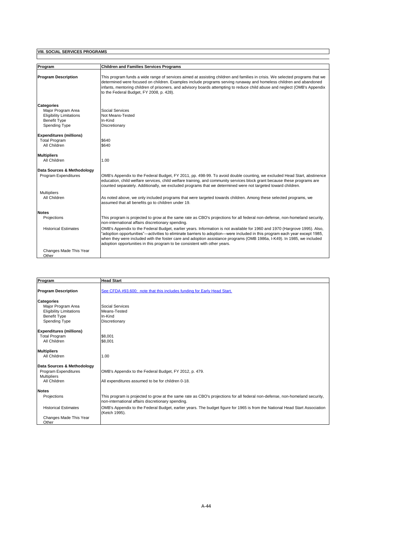| Program                                                                                                           | <b>Children and Families Services Programs</b>                                                                                                                                                                                                                                                                                                                                                                                                                  |
|-------------------------------------------------------------------------------------------------------------------|-----------------------------------------------------------------------------------------------------------------------------------------------------------------------------------------------------------------------------------------------------------------------------------------------------------------------------------------------------------------------------------------------------------------------------------------------------------------|
| <b>Program Description</b>                                                                                        | This program funds a wide range of services aimed at assisting children and families in crisis. We selected programs that we<br>determined were focused on children. Examples include programs serving runaway and homeless children and abandoned<br>infants, mentoring children of prisoners, and advisory boards attempting to reduce child abuse and neglect (OMB's Appendix<br>to the Federal Budget, FY 2008, p. 428).                                    |
| Categories<br>Maior Program Area<br><b>Eligibility Limitations</b><br><b>Benefit Type</b><br><b>Spending Type</b> | Social Services<br>Not Means-Tested<br>In-Kind<br>Discretionary                                                                                                                                                                                                                                                                                                                                                                                                 |
| <b>Expenditures (millions)</b><br><b>Total Program</b><br>All Children                                            | \$640<br>\$640                                                                                                                                                                                                                                                                                                                                                                                                                                                  |
| <b>Multipliers</b><br>All Children                                                                                | 1.00                                                                                                                                                                                                                                                                                                                                                                                                                                                            |
| Data Sources & Methodology<br>Program Expenditures                                                                | OMB's Appendix to the Federal Budget, FY 2011, pp. 498-99. To avoid double counting, we excluded Head Start, abstinence<br>education, child welfare services, child welfare training, and community services block grant because these programs are<br>counted separately. Additionally, we excluded programs that we determined were not targeted toward children.                                                                                             |
| <b>Multipliers</b><br>All Children                                                                                | As noted above, we only included programs that were targeted towards children. Among these selected programs, we<br>assumed that all benefits go to children under 19.                                                                                                                                                                                                                                                                                          |
| <b>Notes</b>                                                                                                      |                                                                                                                                                                                                                                                                                                                                                                                                                                                                 |
| Projections                                                                                                       | This program is projected to grow at the same rate as CBO's projections for all federal non-defense, non-homeland security,<br>non-international affairs discretionary spending.                                                                                                                                                                                                                                                                                |
| <b>Historical Estimates</b>                                                                                       | OMB's Appendix to the Federal Budget, earlier years. Information is not available for 1960 and 1970 (Hargrove 1995). Also,<br>"adoption opportunities"—activities to eliminate barriers to adoption—were included in this program each year except 1985,<br>when they were included with the foster care and adoption assistance programs (OMB 1986a, I-K49). In 1985, we included<br>adoption opportunities in this program to be consistent with other years. |
| Changes Made This Year<br>Other                                                                                   |                                                                                                                                                                                                                                                                                                                                                                                                                                                                 |

| Program                        | <b>Head Start</b>                                                                                                                            |
|--------------------------------|----------------------------------------------------------------------------------------------------------------------------------------------|
| <b>Program Description</b>     | See CFDA #93.600; note that this includes funding for Early Head Start.                                                                      |
| <b>Categories</b>              |                                                                                                                                              |
| Maior Program Area             | Social Services                                                                                                                              |
| <b>Eligibility Limitations</b> | Means-Tested                                                                                                                                 |
| <b>Benefit Type</b>            | In-Kind                                                                                                                                      |
| <b>Spending Type</b>           | Discretionary                                                                                                                                |
| <b>Expenditures (millions)</b> |                                                                                                                                              |
| <b>Total Program</b>           | \$8.001                                                                                                                                      |
| All Children                   | \$8.001                                                                                                                                      |
|                                |                                                                                                                                              |
| <b>Multipliers</b>             |                                                                                                                                              |
| All Children                   | 1.00                                                                                                                                         |
|                                |                                                                                                                                              |
| Data Sources & Methodology     |                                                                                                                                              |
| Program Expenditures           | OMB's Appendix to the Federal Budget, FY 2012, p. 479.                                                                                       |
| <b>Multipliers</b>             |                                                                                                                                              |
| All Children                   | All expenditures assumed to be for children 0-18.                                                                                            |
| <b>Notes</b>                   |                                                                                                                                              |
| Projections                    | This program is projected to grow at the same rate as CBO's projections for all federal non-defense, non-homeland security,                  |
|                                | non-international affairs discretionary spending.                                                                                            |
| <b>Historical Estimates</b>    | OMB's Appendix to the Federal Budget, earlier years. The budget figure for 1965 is from the National Head Start Association<br>(Ketch 1995). |
| Changes Made This Year         |                                                                                                                                              |
| Other                          |                                                                                                                                              |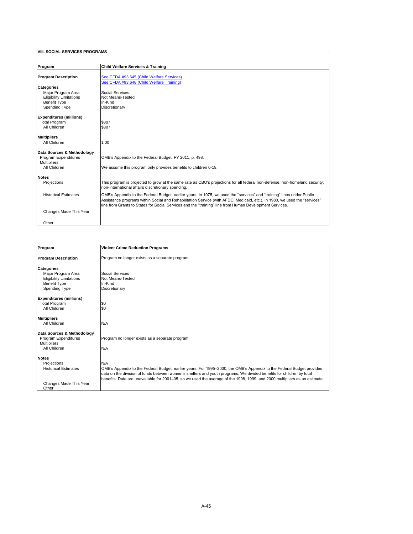| Program                        | <b>Child Welfare Services &amp; Training</b>                                                                                                                                                                                         |
|--------------------------------|--------------------------------------------------------------------------------------------------------------------------------------------------------------------------------------------------------------------------------------|
|                                |                                                                                                                                                                                                                                      |
| <b>Program Description</b>     | See CFDA #93.645 (Child Welfare Services)                                                                                                                                                                                            |
|                                | See CFDA #93.648 (Child Welfare Training)                                                                                                                                                                                            |
| <b>Categories</b>              |                                                                                                                                                                                                                                      |
| Maior Program Area             | Social Services                                                                                                                                                                                                                      |
| <b>Eligibility Limitations</b> | Not Means-Tested                                                                                                                                                                                                                     |
| <b>Benefit Type</b>            | In-Kind                                                                                                                                                                                                                              |
| Spending Type                  | Discretionary                                                                                                                                                                                                                        |
| <b>Expenditures (millions)</b> |                                                                                                                                                                                                                                      |
| <b>Total Program</b>           | \$307                                                                                                                                                                                                                                |
| All Children                   | \$307                                                                                                                                                                                                                                |
|                                |                                                                                                                                                                                                                                      |
| <b>Multipliers</b>             |                                                                                                                                                                                                                                      |
| All Children                   | 1.00                                                                                                                                                                                                                                 |
| Data Sources & Methodology     |                                                                                                                                                                                                                                      |
| Program Expenditures           | OMB's Appendix to the Federal Budget, FY 2011, p. 498.                                                                                                                                                                               |
| <b>Multipliers</b>             |                                                                                                                                                                                                                                      |
| All Children                   | We assume this program only provides benefits to children 0-18.                                                                                                                                                                      |
| <b>Notes</b>                   |                                                                                                                                                                                                                                      |
| Projections                    | This program is projected to grow at the same rate as CBO's projections for all federal non-defense, non-homeland security,                                                                                                          |
|                                | non-international affairs discretionary spending.                                                                                                                                                                                    |
| <b>Historical Estimates</b>    | OMB's Appendix to the Federal Budget, earlier years. In 1975, we used the "services" and "training" lines under Public                                                                                                               |
|                                | Assistance programs within Social and Rehabilitation Service (with AFDC, Medicaid, etc.). In 1980, we used the "services"<br>line from Grants to States for Social Services and the "training" line from Human Development Services. |
| Changes Made This Year         |                                                                                                                                                                                                                                      |
|                                |                                                                                                                                                                                                                                      |
| Other                          |                                                                                                                                                                                                                                      |

| Program                        | <b>Violent Crime Reduction Programs</b>                                                                                    |
|--------------------------------|----------------------------------------------------------------------------------------------------------------------------|
| <b>Program Description</b>     | Program no longer exists as a separate program.                                                                            |
| <b>Categories</b>              |                                                                                                                            |
| Maior Program Area             | Social Services                                                                                                            |
| <b>Eligibility Limitations</b> | Not Means-Tested                                                                                                           |
| <b>Benefit Type</b>            | In-Kind                                                                                                                    |
| <b>Spending Type</b>           | Discretionary                                                                                                              |
| <b>Expenditures (millions)</b> |                                                                                                                            |
| <b>Total Program</b>           | \$0                                                                                                                        |
| All Children                   | \$0                                                                                                                        |
| <b>Multipliers</b>             |                                                                                                                            |
| All Children                   | N/A                                                                                                                        |
| Data Sources & Methodology     |                                                                                                                            |
| Program Expenditures           | Program no longer exists as a separate program.                                                                            |
| <b>Multipliers</b>             |                                                                                                                            |
| All Children                   | N/A                                                                                                                        |
| <b>Notes</b>                   |                                                                                                                            |
| Projections                    | N/A                                                                                                                        |
| <b>Historical Estimates</b>    | OMB's Appendix to the Federal Budget, earlier years. For 1995–2000, the OMB's Appendix to the Federal Budget provides      |
|                                | data on the division of funds between women's shelters and youth programs. We divided benefits for children by total       |
|                                | benefits. Data are unavailable for 2001–05, so we used the average of the 1998, 1999, and 2000 multipliers as an estimate. |
| Changes Made This Year         |                                                                                                                            |
| Other                          |                                                                                                                            |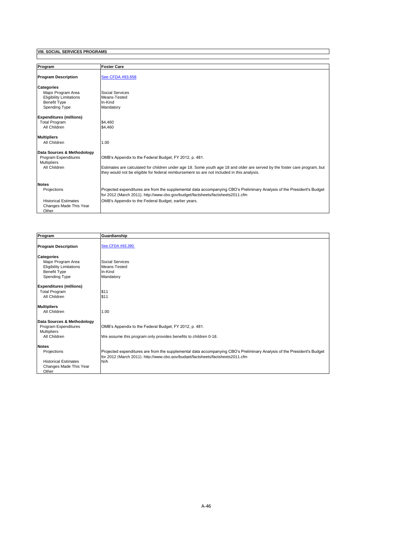| Program                                                        | <b>Foster Care</b>                                                                                                                                                                                                       |
|----------------------------------------------------------------|--------------------------------------------------------------------------------------------------------------------------------------------------------------------------------------------------------------------------|
| <b>Program Description</b>                                     | See CFDA #93.658                                                                                                                                                                                                         |
| <b>Categories</b><br>Maior Program Area                        | Social Services                                                                                                                                                                                                          |
| <b>Eligibility Limitations</b>                                 | Means-Tested                                                                                                                                                                                                             |
| <b>Benefit Type</b>                                            | In-Kind                                                                                                                                                                                                                  |
| Spending Type                                                  | Mandatory                                                                                                                                                                                                                |
| <b>Expenditures (millions)</b>                                 |                                                                                                                                                                                                                          |
| <b>Total Program</b>                                           | \$4,460                                                                                                                                                                                                                  |
| All Children                                                   | \$4,460                                                                                                                                                                                                                  |
| <b>Multipliers</b>                                             |                                                                                                                                                                                                                          |
| All Children                                                   | 1.00                                                                                                                                                                                                                     |
| Data Sources & Methodology                                     |                                                                                                                                                                                                                          |
| Program Expenditures<br><b>Multipliers</b>                     | OMB's Appendix to the Federal Budget, FY 2012, p. 481.                                                                                                                                                                   |
| All Children                                                   | Estimates are calculated for children under age 18. Some youth age 18 and older are served by the foster care program, but<br>they would not be eligible for federal reimbursement so are not included in this analysis. |
| <b>Notes</b>                                                   |                                                                                                                                                                                                                          |
| Projections                                                    | Projected expenditures are from the supplemental data accompanying CBO's Preliminary Analysis of the President's Budget<br>for 2012 (March 2011). http://www.cbo.gov/budget/factsheets/factsheets2011.cfm                |
| <b>Historical Estimates</b><br>Changes Made This Year<br>Other | OMB's Appendix to the Federal Budget, earlier years.                                                                                                                                                                     |

| Program                                                                                                           | Guardianship                                                                                                                                                                                                     |
|-------------------------------------------------------------------------------------------------------------------|------------------------------------------------------------------------------------------------------------------------------------------------------------------------------------------------------------------|
| <b>Program Description</b>                                                                                        | See CFDA #93.390                                                                                                                                                                                                 |
| <b>Categories</b><br>Maior Program Area<br><b>Eligibility Limitations</b><br><b>Benefit Type</b><br>Spending Type | Social Services<br>Means-Tested<br>In-Kind<br>Mandatory                                                                                                                                                          |
| <b>Expenditures (millions)</b><br><b>Total Program</b><br>All Children                                            | \$11<br>\$11                                                                                                                                                                                                     |
| <b>Multipliers</b><br>All Children                                                                                | 1.00                                                                                                                                                                                                             |
| Data Sources & Methodology<br><b>Program Expenditures</b><br><b>Multipliers</b><br>All Children                   | OMB's Appendix to the Federal Budget, FY 2012, p. 481.<br>We assume this program only provides benefits to children 0-18.                                                                                        |
| <b>Notes</b><br>Projections<br><b>Historical Estimates</b><br>Changes Made This Year<br>Other                     | Projected expenditures are from the supplemental data accompanying CBO's Preliminary Analysis of the President's Budget<br>for 2012 (March 2011), http://www.cbo.gov/budget/factsheets/factsheets2011.cfm<br>N/A |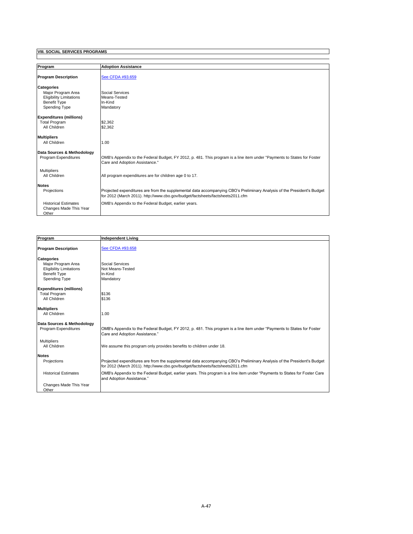| Program                                                                                                           | <b>Adoption Assistance</b>                                                                                                                                                                                |
|-------------------------------------------------------------------------------------------------------------------|-----------------------------------------------------------------------------------------------------------------------------------------------------------------------------------------------------------|
| <b>Program Description</b>                                                                                        | See CFDA #93.659                                                                                                                                                                                          |
| <b>Categories</b><br>Major Program Area<br><b>Eligibility Limitations</b><br><b>Benefit Type</b><br>Spending Type | Social Services<br>Means-Tested<br>In-Kind<br>Mandatory                                                                                                                                                   |
| <b>Expenditures (millions)</b><br><b>Total Program</b><br>All Children                                            | \$2.362<br>\$2,362                                                                                                                                                                                        |
| <b>Multipliers</b><br>All Children                                                                                | 1.00                                                                                                                                                                                                      |
| Data Sources & Methodology<br>Program Expenditures                                                                | OMB's Appendix to the Federal Budget, FY 2012, p. 481. This program is a line item under "Payments to States for Foster<br>Care and Adoption Assistance."                                                 |
| <b>Multipliers</b><br>All Children                                                                                | All program expenditures are for children age 0 to 17.                                                                                                                                                    |
| <b>Notes</b><br>Projections                                                                                       | Projected expenditures are from the supplemental data accompanying CBO's Preliminary Analysis of the President's Budget<br>for 2012 (March 2011). http://www.cbo.gov/budget/factsheets/factsheets2011.cfm |
| <b>Historical Estimates</b><br>Changes Made This Year<br>Other                                                    | OMB's Appendix to the Federal Budget, earlier years.                                                                                                                                                      |

| Program                                                                                                           | <b>Independent Living</b>                                                                                                                                                                                 |
|-------------------------------------------------------------------------------------------------------------------|-----------------------------------------------------------------------------------------------------------------------------------------------------------------------------------------------------------|
| <b>Program Description</b>                                                                                        | See CFDA #93.658                                                                                                                                                                                          |
| <b>Categories</b><br>Major Program Area<br><b>Eligibility Limitations</b><br>Benefit Type<br><b>Spending Type</b> | Social Services<br>Not Means-Tested<br>In-Kind<br>Mandatory                                                                                                                                               |
| <b>Expenditures (millions)</b><br><b>Total Program</b><br>All Children                                            | \$136<br>\$136                                                                                                                                                                                            |
| <b>Multipliers</b><br>All Children                                                                                | 1.00                                                                                                                                                                                                      |
| Data Sources & Methodology<br>Program Expenditures                                                                | OMB's Appendix to the Federal Budget, FY 2012, p. 481. This program is a line item under "Payments to States for Foster<br>Care and Adoption Assistance."                                                 |
| <b>Multipliers</b><br>All Children                                                                                | We assume this program only provides benefits to children under 18.                                                                                                                                       |
| <b>Notes</b><br>Projections                                                                                       | Projected expenditures are from the supplemental data accompanying CBO's Preliminary Analysis of the President's Budget<br>for 2012 (March 2011). http://www.cbo.gov/budget/factsheets/factsheets2011.cfm |
| <b>Historical Estimates</b>                                                                                       | OMB's Appendix to the Federal Budget, earlier years. This program is a line item under "Payments to States for Foster Care<br>and Adoption Assistance."                                                   |
| Changes Made This Year<br>Other                                                                                   |                                                                                                                                                                                                           |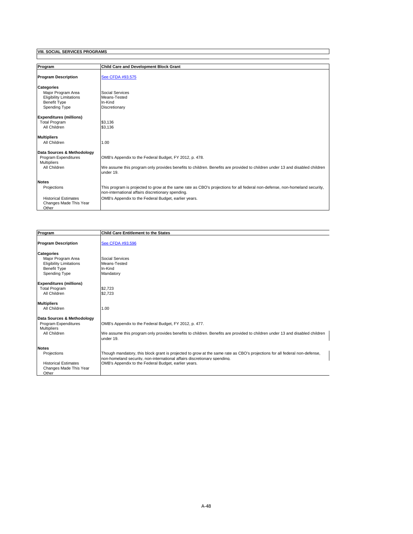| Program                        | <b>Child Care and Development Block Grant</b>                                                                               |
|--------------------------------|-----------------------------------------------------------------------------------------------------------------------------|
|                                |                                                                                                                             |
| <b>Program Description</b>     | See CFDA #93.575                                                                                                            |
| <b>Categories</b>              |                                                                                                                             |
| Maior Program Area             | Social Services                                                                                                             |
| <b>Eligibility Limitations</b> | Means-Tested                                                                                                                |
| <b>Benefit Type</b>            | In-Kind                                                                                                                     |
| Spending Type                  | Discretionary                                                                                                               |
|                                |                                                                                                                             |
| <b>Expenditures (millions)</b> |                                                                                                                             |
| <b>Total Program</b>           | \$3.136                                                                                                                     |
| All Children                   | \$3,136                                                                                                                     |
|                                |                                                                                                                             |
| <b>Multipliers</b>             |                                                                                                                             |
| All Children                   | 1.00                                                                                                                        |
|                                |                                                                                                                             |
| Data Sources & Methodology     |                                                                                                                             |
| Program Expenditures           | OMB's Appendix to the Federal Budget, FY 2012, p. 478.                                                                      |
| <b>Multipliers</b>             |                                                                                                                             |
| All Children                   | We assume this program only provides benefits to children. Benefits are provided to children under 13 and disabled children |
|                                | under 19.                                                                                                                   |
| <b>Notes</b>                   |                                                                                                                             |
| Projections                    | This program is projected to grow at the same rate as CBO's projections for all federal non-defense, non-homeland security, |
|                                | non-international affairs discretionary spending.                                                                           |
| <b>Historical Estimates</b>    |                                                                                                                             |
|                                | OMB's Appendix to the Federal Budget, earlier years.                                                                        |
| Changes Made This Year         |                                                                                                                             |
| Other                          |                                                                                                                             |

| Program                                 | <b>Child Care Entitlement to the States</b>                                                                                                                                                            |
|-----------------------------------------|--------------------------------------------------------------------------------------------------------------------------------------------------------------------------------------------------------|
| <b>Program Description</b>              | See CFDA #93.596                                                                                                                                                                                       |
| <b>Categories</b><br>Maior Program Area | Social Services                                                                                                                                                                                        |
| <b>Eligibility Limitations</b>          | Means-Tested                                                                                                                                                                                           |
| <b>Benefit Type</b>                     | In-Kind                                                                                                                                                                                                |
| Spending Type                           | Mandatory                                                                                                                                                                                              |
| <b>Expenditures (millions)</b>          |                                                                                                                                                                                                        |
| <b>Total Program</b>                    | \$2.723                                                                                                                                                                                                |
| All Children                            | \$2,723                                                                                                                                                                                                |
| <b>Multipliers</b>                      |                                                                                                                                                                                                        |
| All Children                            | 1.00                                                                                                                                                                                                   |
| Data Sources & Methodology              |                                                                                                                                                                                                        |
| Program Expenditures                    | OMB's Appendix to the Federal Budget, FY 2012, p. 477.                                                                                                                                                 |
| <b>Multipliers</b>                      |                                                                                                                                                                                                        |
| All Children                            | We assume this program only provides benefits to children. Benefits are provided to children under 13 and disabled children<br>under 19.                                                               |
| <b>Notes</b>                            |                                                                                                                                                                                                        |
| Projections                             | Though mandatory, this block grant is projected to grow at the same rate as CBO's projections for all federal non-defense,<br>non-homeland security, non-international affairs discretionary spending. |
| <b>Historical Estimates</b>             | OMB's Appendix to the Federal Budget, earlier years.                                                                                                                                                   |
| Changes Made This Year                  |                                                                                                                                                                                                        |
| Other                                   |                                                                                                                                                                                                        |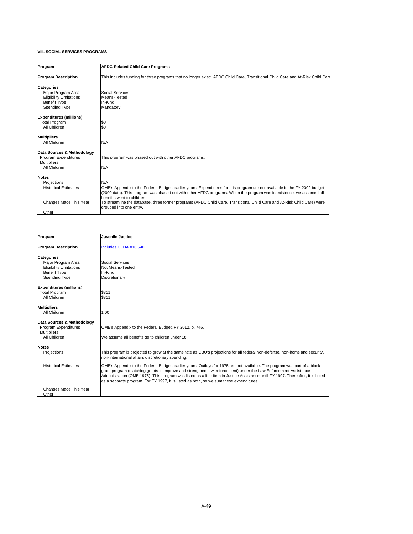| Program                        | <b>AFDC-Related Child Care Programs</b>                                                                                                             |
|--------------------------------|-----------------------------------------------------------------------------------------------------------------------------------------------------|
| <b>Program Description</b>     | This includes funding for three programs that no longer exist: AFDC Child Care, Transitional Child Care and At-Risk Child Care                      |
| <b>Categories</b>              |                                                                                                                                                     |
| Major Program Area             | Social Services                                                                                                                                     |
| <b>Eligibility Limitations</b> | Means-Tested                                                                                                                                        |
| <b>Benefit Type</b>            | In-Kind                                                                                                                                             |
| <b>Spending Type</b>           | Mandatory                                                                                                                                           |
| <b>Expenditures (millions)</b> |                                                                                                                                                     |
| <b>Total Program</b>           | \$0                                                                                                                                                 |
| All Children                   | \$0                                                                                                                                                 |
| <b>Multipliers</b>             |                                                                                                                                                     |
| All Children                   | N/A                                                                                                                                                 |
| Data Sources & Methodology     |                                                                                                                                                     |
| Program Expenditures           | This program was phased out with other AFDC programs.                                                                                               |
| <b>Multipliers</b>             |                                                                                                                                                     |
| All Children                   | N/A                                                                                                                                                 |
| <b>Notes</b>                   |                                                                                                                                                     |
| Projections                    | N/A                                                                                                                                                 |
| <b>Historical Estimates</b>    | OMB's Appendix to the Federal Budget, earlier years. Expenditures for this program are not available in the FY 2002 budget                          |
|                                | (2000 data). This program was phased out with other AFDC programs. When the program was in existence, we assumed all                                |
|                                | benefits went to children.                                                                                                                          |
| Changes Made This Year         | To streamline the database, three former programs (AFDC Child Care, Transitional Child Care and At-Risk Child Care) were<br>grouped into one entry. |
| Other                          |                                                                                                                                                     |

| Program                            | Juvenile Justice                                                                                                                                                                                                                                                                                                                                                                                                                                                         |
|------------------------------------|--------------------------------------------------------------------------------------------------------------------------------------------------------------------------------------------------------------------------------------------------------------------------------------------------------------------------------------------------------------------------------------------------------------------------------------------------------------------------|
|                                    |                                                                                                                                                                                                                                                                                                                                                                                                                                                                          |
| <b>Program Description</b>         | Includes CFDA #16.540                                                                                                                                                                                                                                                                                                                                                                                                                                                    |
| <b>Categories</b>                  |                                                                                                                                                                                                                                                                                                                                                                                                                                                                          |
| Maior Program Area                 | Social Services                                                                                                                                                                                                                                                                                                                                                                                                                                                          |
| <b>Eligibility Limitations</b>     | Not Means-Tested                                                                                                                                                                                                                                                                                                                                                                                                                                                         |
| <b>Benefit Type</b>                | In-Kind                                                                                                                                                                                                                                                                                                                                                                                                                                                                  |
| Spending Type                      | Discretionary                                                                                                                                                                                                                                                                                                                                                                                                                                                            |
| <b>Expenditures (millions)</b>     |                                                                                                                                                                                                                                                                                                                                                                                                                                                                          |
| <b>Total Program</b>               | \$311                                                                                                                                                                                                                                                                                                                                                                                                                                                                    |
| All Children                       | \$311                                                                                                                                                                                                                                                                                                                                                                                                                                                                    |
| <b>Multipliers</b>                 |                                                                                                                                                                                                                                                                                                                                                                                                                                                                          |
| All Children                       | 1.00                                                                                                                                                                                                                                                                                                                                                                                                                                                                     |
| Data Sources & Methodology         |                                                                                                                                                                                                                                                                                                                                                                                                                                                                          |
| Program Expenditures               | OMB's Appendix to the Federal Budget, FY 2012, p. 746.                                                                                                                                                                                                                                                                                                                                                                                                                   |
| <b>Multipliers</b><br>All Children | We assume all benefits go to children under 18.                                                                                                                                                                                                                                                                                                                                                                                                                          |
| <b>Notes</b>                       |                                                                                                                                                                                                                                                                                                                                                                                                                                                                          |
| Projections                        | This program is projected to grow at the same rate as CBO's projections for all federal non-defense, non-homeland security,<br>non-international affairs discretionary spending.                                                                                                                                                                                                                                                                                         |
| <b>Historical Estimates</b>        | OMB's Appendix to the Federal Budget, earlier years. Outlays for 1975 are not available. The program was part of a block<br>grant program (matching grants to improve and strengthen law enforcement) under the Law Enforcement Assistance<br>Administration (OMB 1975). This program was listed as a line item in Justice Assistance until FY 1997. Thereafter, it is listed<br>as a separate program. For FY 1997, it is listed as both, so we sum these expenditures. |
| Changes Made This Year<br>Other    |                                                                                                                                                                                                                                                                                                                                                                                                                                                                          |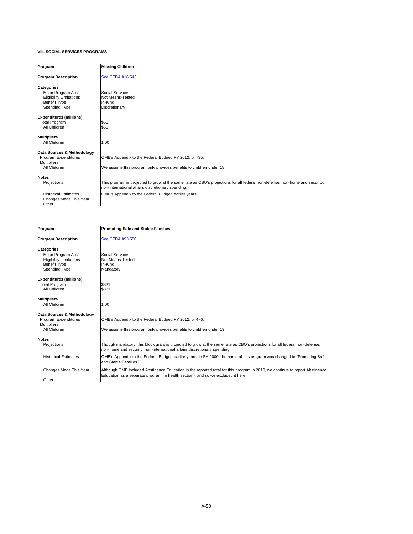| Program                                                                                                           | <b>Missing Children</b>                                                                                                                                                          |
|-------------------------------------------------------------------------------------------------------------------|----------------------------------------------------------------------------------------------------------------------------------------------------------------------------------|
|                                                                                                                   |                                                                                                                                                                                  |
| <b>Program Description</b>                                                                                        | See CFDA #16.543                                                                                                                                                                 |
| <b>Categories</b><br>Maior Program Area<br><b>Eligibility Limitations</b><br><b>Benefit Type</b><br>Spending Type | Social Services<br>Not Means-Tested<br>In-Kind<br>Discretionary                                                                                                                  |
| <b>Expenditures (millions)</b><br><b>Total Program</b><br>All Children                                            | \$61<br>\$61                                                                                                                                                                     |
| <b>Multipliers</b><br>All Children                                                                                | 1.00                                                                                                                                                                             |
| Data Sources & Methodology<br>Program Expenditures<br><b>Multipliers</b><br>All Children                          | OMB's Appendix to the Federal Budget, FY 2012, p. 735.<br>We assume this program only provides benefits to children under 18.                                                    |
| <b>Notes</b><br>Projections                                                                                       | This program is projected to grow at the same rate as CBO's projections for all federal non-defense, non-homeland security,<br>non-international affairs discretionary spending. |
| <b>Historical Estimates</b><br>Changes Made This Year<br>Other                                                    | OMB's Appendix to the Federal Budget, earlier years.                                                                                                                             |

| Program                              | <b>Promoting Safe and Stable Families</b>                                                                                                                                                                       |
|--------------------------------------|-----------------------------------------------------------------------------------------------------------------------------------------------------------------------------------------------------------------|
| <b>Program Description</b>           | See CFDA #93.556                                                                                                                                                                                                |
| <b>Categories</b>                    |                                                                                                                                                                                                                 |
| Maior Program Area                   | Social Services                                                                                                                                                                                                 |
| <b>Eligibility Limitations</b>       | Not Means-Tested                                                                                                                                                                                                |
| <b>Benefit Type</b><br>Spending Type | In-Kind<br>Mandatory                                                                                                                                                                                            |
|                                      |                                                                                                                                                                                                                 |
| <b>Expenditures (millions)</b>       |                                                                                                                                                                                                                 |
| <b>Total Program</b>                 | \$331                                                                                                                                                                                                           |
| All Children                         | \$331                                                                                                                                                                                                           |
|                                      |                                                                                                                                                                                                                 |
| <b>Multipliers</b>                   |                                                                                                                                                                                                                 |
| All Children                         | 1.00                                                                                                                                                                                                            |
| Data Sources & Methodology           |                                                                                                                                                                                                                 |
| Program Expenditures                 | OMB's Appendix to the Federal Budget, FY 2012, p. 476.                                                                                                                                                          |
| <b>Multipliers</b>                   |                                                                                                                                                                                                                 |
| All Children                         | We assume this program only provides benefits to children under 19.                                                                                                                                             |
|                                      |                                                                                                                                                                                                                 |
| <b>Notes</b>                         |                                                                                                                                                                                                                 |
| Projections                          | Though mandatory, this block grant is projected to grow at the same rate as CBO's projections for all federal non-defense,<br>non-homeland security, non-international affairs discretionary spending.          |
| <b>Historical Estimates</b>          | OMB's Appendix to the Federal Budget, earlier years. In FY 2000, the name of this program was changed to "Promoting Safe"<br>and Stable Families."                                                              |
| Changes Made This Year               | Although OMB included Abstinence Education in the reported total for this program in 2010, we continue to report Abstinence<br>Education as a separate program (in health section), and so we excluded it here. |
| Other                                |                                                                                                                                                                                                                 |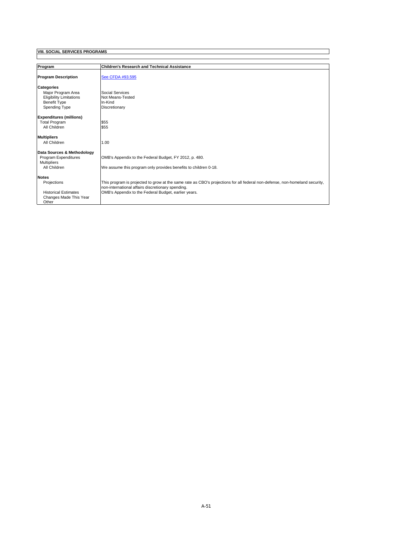| Program                        | <b>Children's Research and Technical Assistance</b>                                                                         |
|--------------------------------|-----------------------------------------------------------------------------------------------------------------------------|
| <b>Program Description</b>     | See CFDA #93.595                                                                                                            |
| <b>Categories</b>              |                                                                                                                             |
| Major Program Area             | Social Services                                                                                                             |
| <b>Eligibility Limitations</b> | Not Means-Tested                                                                                                            |
| <b>Benefit Type</b>            | In-Kind                                                                                                                     |
| Spending Type                  | Discretionary                                                                                                               |
| <b>Expenditures (millions)</b> |                                                                                                                             |
| <b>Total Program</b>           | \$55                                                                                                                        |
| All Children                   | \$55                                                                                                                        |
| <b>Multipliers</b>             |                                                                                                                             |
| All Children                   | 1.00                                                                                                                        |
| Data Sources & Methodology     |                                                                                                                             |
| Program Expenditures           | OMB's Appendix to the Federal Budget, FY 2012, p. 480.                                                                      |
| <b>Multipliers</b>             |                                                                                                                             |
| All Children                   | We assume this program only provides benefits to children 0-18.                                                             |
| <b>Notes</b>                   |                                                                                                                             |
| Projections                    | This program is projected to grow at the same rate as CBO's projections for all federal non-defense, non-homeland security, |
|                                | non-international affairs discretionary spending.                                                                           |
| <b>Historical Estimates</b>    | OMB's Appendix to the Federal Budget, earlier years.                                                                        |
| Changes Made This Year         |                                                                                                                             |
| Other                          |                                                                                                                             |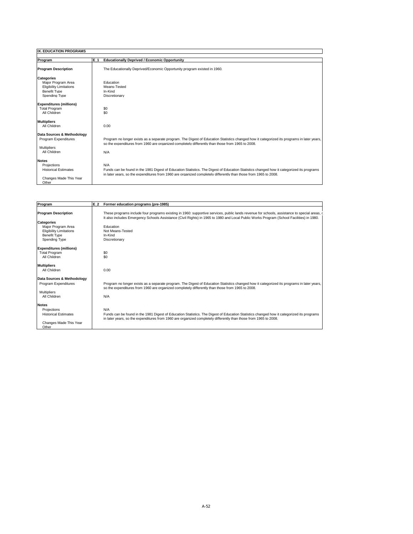| <b>IX. EDUCATION PROGRAMS</b>                                                                                     |                                                                                                                                                                                                                                                                      |
|-------------------------------------------------------------------------------------------------------------------|----------------------------------------------------------------------------------------------------------------------------------------------------------------------------------------------------------------------------------------------------------------------|
|                                                                                                                   |                                                                                                                                                                                                                                                                      |
| Program                                                                                                           | E 1<br><b>Educationally Deprived / Economic Opportunity</b>                                                                                                                                                                                                          |
| <b>Program Description</b>                                                                                        | The Educationally Deprived/Economic Opportunity program existed in 1960.                                                                                                                                                                                             |
| <b>Categories</b><br>Major Program Area<br><b>Eligibility Limitations</b><br><b>Benefit Type</b><br>Spending Type | Education<br>Means-Tested<br>In-Kind<br>Discretionary                                                                                                                                                                                                                |
| <b>Expenditures (millions)</b><br><b>Total Program</b><br>All Children                                            | \$0<br>\$0                                                                                                                                                                                                                                                           |
| <b>Multipliers</b><br>All Children                                                                                | 0.00                                                                                                                                                                                                                                                                 |
| Data Sources & Methodology<br>Program Expenditures<br><b>Multipliers</b><br>All Children                          | Program no longer exists as a separate program. The Digest of Education Statistics changed how it categorized its programs in later years,<br>so the expenditures from 1960 are organized completely differently than those from 1965 to 2008.<br>N/A                |
| <b>Notes</b><br>Projections<br><b>Historical Estimates</b><br>Changes Made This Year<br>Other                     | N/A<br>Funds can be found in the 1981 Digest of Education Statistics. The Digest of Education Statistics changed how it categorized its programs<br>in later years, so the expenditures from 1960 are organized completely differently than those from 1965 to 2008. |

| Program<br>E 2                 | Former education programs (pre-1985)                                                                                                                                                                                                                                                     |
|--------------------------------|------------------------------------------------------------------------------------------------------------------------------------------------------------------------------------------------------------------------------------------------------------------------------------------|
| <b>Program Description</b>     | These programs include four programs existing in 1960: supportive services, public lands revenue for schools, assistance to special areas, c<br>It also includes Emergency Schools Assistance (Civil Rights) in 1965 to 1980 and Local Public Works Program (School Facilities) in 1980. |
| <b>Categories</b>              |                                                                                                                                                                                                                                                                                          |
| Major Program Area             | Education                                                                                                                                                                                                                                                                                |
| <b>Eligibility Limitations</b> | Not Means-Tested                                                                                                                                                                                                                                                                         |
| <b>Benefit Type</b>            | In-Kind                                                                                                                                                                                                                                                                                  |
| Spending Type                  | Discretionary                                                                                                                                                                                                                                                                            |
| <b>Expenditures (millions)</b> |                                                                                                                                                                                                                                                                                          |
| <b>Total Program</b>           | \$0                                                                                                                                                                                                                                                                                      |
| All Children                   | \$0                                                                                                                                                                                                                                                                                      |
| <b>Multipliers</b>             |                                                                                                                                                                                                                                                                                          |
| All Children                   | 0.00                                                                                                                                                                                                                                                                                     |
| Data Sources & Methodology     |                                                                                                                                                                                                                                                                                          |
| Program Expenditures           | Program no longer exists as a separate program. The Digest of Education Statistics changed how it categorized its programs in later years,<br>so the expenditures from 1960 are organized completely differently than those from 1965 to 2008.                                           |
| <b>Multipliers</b>             |                                                                                                                                                                                                                                                                                          |
| All Children                   | N/A                                                                                                                                                                                                                                                                                      |
| <b>Notes</b>                   |                                                                                                                                                                                                                                                                                          |
| Projections                    | N/A                                                                                                                                                                                                                                                                                      |
| <b>Historical Estimates</b>    | Funds can be found in the 1981 Digest of Education Statistics. The Digest of Education Statistics changed how it categorized its programs<br>in later years, so the expenditures from 1960 are organized completely differently than those from 1965 to 2008.                            |
| Changes Made This Year         |                                                                                                                                                                                                                                                                                          |
| Other                          |                                                                                                                                                                                                                                                                                          |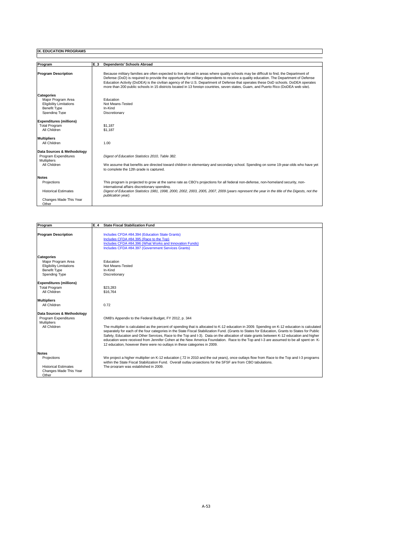| Program                                                                                                           | E <sub>3</sub><br><b>Dependents' Schools Abroad</b>                                                                                                                                                                                                                                                                                                                                                                                                                                                                                                            |
|-------------------------------------------------------------------------------------------------------------------|----------------------------------------------------------------------------------------------------------------------------------------------------------------------------------------------------------------------------------------------------------------------------------------------------------------------------------------------------------------------------------------------------------------------------------------------------------------------------------------------------------------------------------------------------------------|
| <b>Program Description</b>                                                                                        | Because military families are often expected to live abroad in areas where quality schools may be difficult to find, the Department of<br>Defense (DoD) is required to provide the opportunity for military dependents to receive a quality education. The Department of Defense<br>Education Activity (DoDEA) is the civilian agency of the U.S. Department of Defense that operates these DoD schools. DoDEA operates<br>more than 200 public schools in 15 districts located in 13 foreign countries, seven states, Guam, and Puerto Rico (DoDEA web site), |
| <b>Categories</b><br>Major Program Area<br><b>Eligibility Limitations</b><br><b>Benefit Type</b><br>Spending Type | Education<br>Not Means-Tested<br>In-Kind<br>Discretionary                                                                                                                                                                                                                                                                                                                                                                                                                                                                                                      |
| <b>Expenditures (millions)</b><br><b>Total Program</b><br>All Children                                            | \$1.187<br>\$1.187                                                                                                                                                                                                                                                                                                                                                                                                                                                                                                                                             |
| <b>Multipliers</b><br>All Children                                                                                | 1.00                                                                                                                                                                                                                                                                                                                                                                                                                                                                                                                                                           |
| Data Sources & Methodology<br>Program Expenditures<br><b>Multipliers</b><br>All Children                          | Digest of Education Statistics 2010. Table 382.<br>We assume that benefits are directed toward children in elementary and secondary school. Spending on some 19-year-olds who have yet<br>to complete the 12th grade is captured.                                                                                                                                                                                                                                                                                                                              |
| <b>Notes</b><br>Projections<br><b>Historical Estimates</b><br>Changes Made This Year<br>Other                     | This program is projected to grow at the same rate as CBO's projections for all federal non-defense, non-homeland security, non-<br>international affairs discretionary spending.<br>Digest of Education Statistics 1981, 1998, 2000, 2002, 2003, 2005, 2007, 2009 (years represent the year in the title of the Digests, not the<br>publication year).                                                                                                                                                                                                        |

I

| Program                                                                                                           | <b>State Fiscal Stabilization Fund</b><br>E 4                                                                                                                                                                                                                                                                                                                                                                                                                                                                                                                                                                                                                                                                             |
|-------------------------------------------------------------------------------------------------------------------|---------------------------------------------------------------------------------------------------------------------------------------------------------------------------------------------------------------------------------------------------------------------------------------------------------------------------------------------------------------------------------------------------------------------------------------------------------------------------------------------------------------------------------------------------------------------------------------------------------------------------------------------------------------------------------------------------------------------------|
| <b>Program Description</b>                                                                                        | Includes CFDA #84.394 (Education State Grants)<br>Includes CFDA #84.395 (Race to the Top)<br>Includes CFDA #84.396 (What Works and Innovation Funds)<br>Includes CFDA #84.397 (Government Services Grants)                                                                                                                                                                                                                                                                                                                                                                                                                                                                                                                |
| <b>Categories</b><br>Maior Program Area<br><b>Eligibility Limitations</b><br><b>Benefit Type</b><br>Spending Type | Education<br>Not Means-Tested<br>In-Kind<br>Discretionary                                                                                                                                                                                                                                                                                                                                                                                                                                                                                                                                                                                                                                                                 |
| <b>Expenditures (millions)</b><br><b>Total Program</b><br>All Children                                            | \$23.283<br>\$16.764                                                                                                                                                                                                                                                                                                                                                                                                                                                                                                                                                                                                                                                                                                      |
| <b>Multipliers</b><br>All Children                                                                                | 0.72                                                                                                                                                                                                                                                                                                                                                                                                                                                                                                                                                                                                                                                                                                                      |
| Data Sources & Methodology<br>Program Expenditures<br><b>Multipliers</b><br>All Children                          | OMB's Appendix to the Federal Budget, FY 2012, p. 344<br>The multiplier is calculated as the percent of spending that is allocated to K-12 education in 2009. Spending on K-12 education is calculated<br>separately for each of the four categories in the State Fiscal Stabilization Fund. (Grants to States for Education, Grants to States for Public<br>Safety, Education and Other Services, Race to the Top and I-3). Data on the allocation of state grants between K-12 education and higher<br>education were received from Jennifer Cohen at the New America Foundation. Race to the Top and I-3 are assumed to be all spent on K-<br>12 education, however there were no outlays in these categories in 2009. |
| <b>Notes</b><br>Projections<br><b>Historical Estimates</b><br>Changes Made This Year<br>Other                     | We project a higher multiplier on K-12 education (.72 in 2010 and the out years), once outlays flow from Race to the Top and I-3 programs<br>within the State Fiscal Stabilization Fund. Overall outlay projections for the SFSF are from CBO tabulations.<br>The program was established in 2009.                                                                                                                                                                                                                                                                                                                                                                                                                        |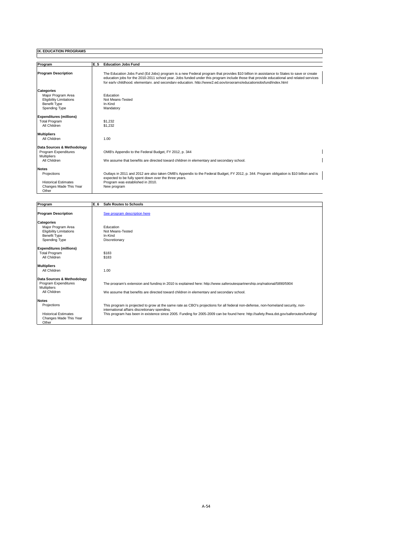| Program                                                                                                           | E 5<br><b>Education Jobs Fund</b>                                                                                                                                                                                                                                                                                                                                                                         |
|-------------------------------------------------------------------------------------------------------------------|-----------------------------------------------------------------------------------------------------------------------------------------------------------------------------------------------------------------------------------------------------------------------------------------------------------------------------------------------------------------------------------------------------------|
| <b>Program Description</b>                                                                                        | The Education Jobs Fund (Ed Jobs) program is a new Federal program that provides \$10 billion in assistance to States to save or create<br>education jobs for the 2010-2011 school year. Jobs funded under this program include those that provide educational and related services<br>for early childhood, elementary, and secondary education, http://www2.ed.gov/programs/educationiobsfund/index.html |
| <b>Categories</b><br>Major Program Area<br><b>Eligibility Limitations</b><br><b>Benefit Type</b><br>Spending Type | Education<br>Not Means-Tested<br>In-Kind<br>Mandatory                                                                                                                                                                                                                                                                                                                                                     |
| <b>Expenditures (millions)</b><br><b>Total Program</b><br>All Children                                            | \$1,232<br>\$1,232                                                                                                                                                                                                                                                                                                                                                                                        |
| <b>Multipliers</b><br>All Children                                                                                | 1.00                                                                                                                                                                                                                                                                                                                                                                                                      |
| Data Sources & Methodology<br>Program Expenditures<br><b>Multipliers</b><br>All Children                          | OMB's Appendix to the Federal Budget, FY 2012, p. 344<br>We assume that benefits are directed toward children in elementary and secondary school.                                                                                                                                                                                                                                                         |
| <b>Notes</b><br>Projections<br><b>Historical Estimates</b><br>Changes Made This Year<br>Other                     | Outlays in 2011 and 2012 are also taken OMB's Appendix to the Federal Budget, FY 2012, p. 344. Program obligation is \$10 billion and is<br>expected to be fully spent down over the three years.<br>Program was established in 2010.<br>New program                                                                                                                                                      |

 $\overline{\mathsf{I}}$ 

| Program                                                                                                           | E 6 | <b>Safe Routes to Schools</b>                                                                                                                                                                                                                                                                                               |
|-------------------------------------------------------------------------------------------------------------------|-----|-----------------------------------------------------------------------------------------------------------------------------------------------------------------------------------------------------------------------------------------------------------------------------------------------------------------------------|
| <b>Program Description</b>                                                                                        |     | See program description here                                                                                                                                                                                                                                                                                                |
| <b>Categories</b><br>Major Program Area<br><b>Eligibility Limitations</b><br><b>Benefit Type</b><br>Spending Type |     | Education<br>Not Means-Tested<br>In-Kind<br>Discretionary                                                                                                                                                                                                                                                                   |
| <b>Expenditures (millions)</b><br><b>Total Program</b><br>All Children                                            |     | \$183<br>\$183                                                                                                                                                                                                                                                                                                              |
| <b>Multipliers</b><br>All Children                                                                                |     | 1.00                                                                                                                                                                                                                                                                                                                        |
| Data Sources & Methodology<br>Program Expenditures<br><b>Multipliers</b><br>All Children                          |     | The program's extension and funding in 2010 is explained here; http://www.saferoutespartnership.org/national/5890/5904<br>We assume that benefits are directed toward children in elementary and secondary school.                                                                                                          |
| <b>Notes</b><br>Projections<br><b>Historical Estimates</b><br>Changes Made This Year<br>Other                     |     | This program is projected to grow at the same rate as CBO's projections for all federal non-defense, non-homeland security, non-<br>international affairs discretionary spending.<br>This program has been in existence since 2005. Funding for 2005-2009 can be found here: http://safety.fhwa.dot.gov/saferoutes/funding/ |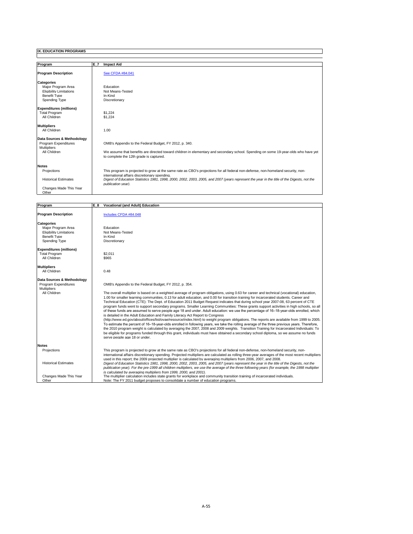| Program                        | E 7<br><b>Impact Aid</b>                                                                                                                                                       |
|--------------------------------|--------------------------------------------------------------------------------------------------------------------------------------------------------------------------------|
| <b>Program Description</b>     | See CFDA #84.041                                                                                                                                                               |
| <b>Categories</b>              |                                                                                                                                                                                |
| Major Program Area             | Education                                                                                                                                                                      |
| <b>Eligibility Limitations</b> | Not Means-Tested                                                                                                                                                               |
| <b>Benefit Type</b>            | In-Kind                                                                                                                                                                        |
| Spending Type                  | Discretionary                                                                                                                                                                  |
|                                |                                                                                                                                                                                |
| <b>Expenditures (millions)</b> |                                                                                                                                                                                |
| <b>Total Program</b>           | \$1,224                                                                                                                                                                        |
| All Children                   | \$1.224                                                                                                                                                                        |
| <b>Multipliers</b>             |                                                                                                                                                                                |
| All Children                   | 1.00                                                                                                                                                                           |
| Data Sources & Methodology     |                                                                                                                                                                                |
| Program Expenditures           | OMB's Appendix to the Federal Budget, FY 2012, p. 340.                                                                                                                         |
| <b>Multipliers</b>             |                                                                                                                                                                                |
| All Children                   | We assume that benefits are directed toward children in elementary and secondary school. Spending on some 19-year-olds who have yet<br>to complete the 12th grade is captured. |
|                                |                                                                                                                                                                                |
| <b>Notes</b>                   |                                                                                                                                                                                |
| Projections                    | This program is projected to grow at the same rate as CBO's projections for all federal non-defense, non-homeland security, non-                                               |
|                                | international affairs discretionary spending.                                                                                                                                  |
| <b>Historical Estimates</b>    | Digest of Education Statistics 1981, 1998, 2000, 2002, 2003, 2005, and 2007 (years represent the year in the title of the Digests, not the                                     |
|                                | publication vear).                                                                                                                                                             |
| Changes Made This Year         |                                                                                                                                                                                |
| Other                          |                                                                                                                                                                                |

I

| Program                        | E 8<br><b>Vocational (and Adult) Education</b>                                                                                                   |
|--------------------------------|--------------------------------------------------------------------------------------------------------------------------------------------------|
|                                |                                                                                                                                                  |
| <b>Program Description</b>     | Includes CFDA #84.048                                                                                                                            |
| Categories                     |                                                                                                                                                  |
| Maior Program Area             | Education                                                                                                                                        |
| <b>Eligibility Limitations</b> | Not Means-Tested                                                                                                                                 |
| <b>Benefit Type</b>            | In-Kind                                                                                                                                          |
| Spending Type                  | Discretionary                                                                                                                                    |
| <b>Expenditures (millions)</b> |                                                                                                                                                  |
| <b>Total Program</b>           | \$2,011                                                                                                                                          |
| All Children                   | \$965                                                                                                                                            |
| <b>Multipliers</b>             |                                                                                                                                                  |
| All Children                   | 0.48                                                                                                                                             |
| Data Sources & Methodology     |                                                                                                                                                  |
| Program Expenditures           | OMB's Appendix to the Federal Budget, FY 2012, p. 354.                                                                                           |
| Multipliers                    |                                                                                                                                                  |
| All Children                   | The overall multiplier is based on a weighted average of program obligations, using 0.63 for career and technical (vocational) education,        |
|                                | 1.00 for smaller learning communities, 0.13 for adult education, and 0.00 for transition training for incarcerated students. Career and          |
|                                |                                                                                                                                                  |
|                                | Technical Education (CTE): The Dept. of Education 2011 Budget Request indicates that during school year 2007-08, 63 percent of CTE               |
|                                | program funds went to support secondary programs. Smaller Learning Communities: These grants support activities in high schools, so all          |
|                                | of these funds are assumed to serve people age 18 and under. Adult education: we use the percentage of 16–18-year-olds enrolled, which           |
|                                | is detailed in the Adult Education and Family Literacy Act Report to Congress                                                                    |
|                                | (http://www.ed.gov/about/offices/list/ovae/resource/index.html) to weight program obligations. The reports are available from 1999 to 2005.      |
|                                | To estimate the percent of 16–18-year-olds enrolled in following years, we take the rolling average of the three previous years. Therefore,      |
|                                | the 2010 program weight is calculated by averaging the 2007, 2008 and 2009 weights. Transition Training for Incarcerated Individuals: To         |
|                                | be eligible for programs funded through this grant, individuals must have obtained a secondary school diploma, so we assume no funds             |
|                                | serve people age 18 or under.                                                                                                                    |
| <b>Notes</b>                   |                                                                                                                                                  |
| Projections                    | This program is projected to grow at the same rate as CBO's projections for all federal non-defense, non-homeland security, non-                 |
|                                | international affairs discretionary spending. Projected multipliers are calculated as rolling three-year averages of the most recent multipliers |
|                                | used in this report; the 2009 projected multiplier is calculated by averaging multipliers from 2006, 2007, and 2008,                             |
| <b>Historical Estimates</b>    | Digest of Education Statistics 1981, 1998, 2000, 2002, 2003, 2005, and 2007 (years represent the year in the title of the Digests, not the       |
|                                | publication year). For the pre-1999 all children multipliers, we use the average of the three following years (for example, the 1998 multiplier  |
|                                | is calculated by averaging multipliers from 1999, 2000, and 2001).                                                                               |
| Changes Made This Year         | The multiplier calculation includes state grants for workplace and community transition training of incarcerated individuals.                    |
| Other                          | Note: The FY 2011 budget proposes to consolidate a number of education programs.                                                                 |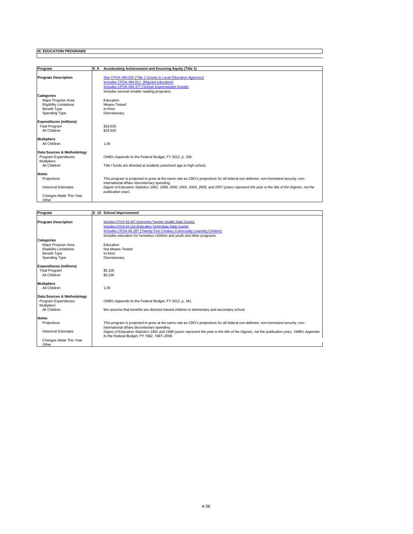| Program                        | Accelerating Achievement and Ensuring Equity (Title 1)<br>E 9                                                                              |
|--------------------------------|--------------------------------------------------------------------------------------------------------------------------------------------|
|                                |                                                                                                                                            |
| <b>Program Description</b>     | See CFDA #84.010 (Title 1 Grants to Local Education Agencies)                                                                              |
|                                | Includes CFDA #84.011 (Migrant education)                                                                                                  |
|                                | Includes CFDA #84.377 (School Improvement Grants)                                                                                          |
|                                |                                                                                                                                            |
|                                | Includes several smaller reading programs.                                                                                                 |
| <b>Categories</b>              |                                                                                                                                            |
| Major Program Area             | Education                                                                                                                                  |
| <b>Eligibility Limitations</b> | Means-Tested                                                                                                                               |
| <b>Benefit Type</b>            | In-Kind                                                                                                                                    |
| Spending Type                  | Discretionary                                                                                                                              |
| <b>Expenditures (millions)</b> |                                                                                                                                            |
| <b>Total Program</b>           | \$19.535                                                                                                                                   |
| All Children                   | \$19,535                                                                                                                                   |
|                                |                                                                                                                                            |
| <b>Multipliers</b>             |                                                                                                                                            |
| All Children                   | 1.00                                                                                                                                       |
|                                |                                                                                                                                            |
| Data Sources & Methodology     |                                                                                                                                            |
| Program Expenditures           | OMB's Appendix to the Federal Budget, FY 2012, p. 339.                                                                                     |
| <b>Multipliers</b>             |                                                                                                                                            |
| All Children                   | Title I funds are directed at students preschool age to high school.                                                                       |
|                                |                                                                                                                                            |
| <b>Notes</b>                   |                                                                                                                                            |
| Projections                    | This program is projected to grow at the same rate as CBO's projections for all federal non-defense, non-homeland security, non-           |
|                                | international affairs discretionary spending.                                                                                              |
| <b>Historical Estimates</b>    | Digest of Education Statistics 1981, 1998, 2000, 2002, 2003, 2005, and 2007 (years represent the year in the title of the Digests, not the |
|                                | publication year).                                                                                                                         |
| Changes Made This Year         |                                                                                                                                            |
| Other                          |                                                                                                                                            |

∃

| Program                         | E 10 School Improvement                                                                                                                                                                     |
|---------------------------------|---------------------------------------------------------------------------------------------------------------------------------------------------------------------------------------------|
| <b>Program Description</b>      | Includes CFDA 84.367 (Improving Teacher Quality State Grants)                                                                                                                               |
|                                 | Includes CFDA 84.318 (Education Technology State Grants)                                                                                                                                    |
|                                 | Includes CFDA 84.287 (Twenty First Century Community Learning Centers)                                                                                                                      |
|                                 | Includes education for homeless children and youth and other programs.                                                                                                                      |
| <b>Categories</b>               |                                                                                                                                                                                             |
| Major Program Area              | Education                                                                                                                                                                                   |
| <b>Eligibility Limitations</b>  | Not Means-Tested                                                                                                                                                                            |
| <b>Benefit Type</b>             | In-Kind                                                                                                                                                                                     |
| Spending Type                   | Discretionary                                                                                                                                                                               |
| <b>Expenditures (millions)</b>  |                                                                                                                                                                                             |
| <b>Total Program</b>            | \$5,326                                                                                                                                                                                     |
| All Children                    | \$5,326                                                                                                                                                                                     |
| <b>Multipliers</b>              |                                                                                                                                                                                             |
| All Children                    | 1.00                                                                                                                                                                                        |
| Data Sources & Methodology      |                                                                                                                                                                                             |
| Program Expenditures            | OMB's Appendix to the Federal Budget, FY 2012, p. 341.                                                                                                                                      |
| <b>Multipliers</b>              |                                                                                                                                                                                             |
| All Children                    | We assume that benefits are directed toward children in elementary and secondary school.                                                                                                    |
| <b>Notes</b>                    |                                                                                                                                                                                             |
| Projections                     | This program is projected to grow at the same rate as CBO's projections for all federal non-defense, non-homeland security, non-<br>international affairs discretionary spending.           |
| <b>Historical Estimates</b>     | Digest of Education Statistics 1981 and 1998 (years represent the year in the title of the Digests, not the publication year). OMB's Appendix<br>to the Federal Budget, FY 1992, 1997-2009. |
| Changes Made This Year<br>Other |                                                                                                                                                                                             |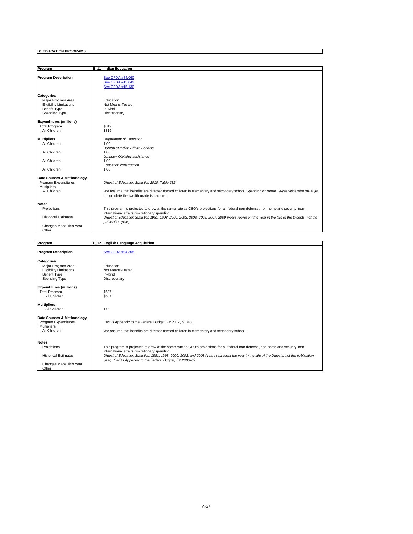| Program                        | E 11 Indian Education                                                                                                                        |
|--------------------------------|----------------------------------------------------------------------------------------------------------------------------------------------|
| <b>Program Description</b>     | See CFDA #84.060<br>See CFDA #15.042<br>See CFDA #15.130                                                                                     |
| <b>Categories</b>              |                                                                                                                                              |
| Major Program Area             | Education                                                                                                                                    |
| <b>Eligibility Limitations</b> | Not Means-Tested                                                                                                                             |
| <b>Benefit Type</b>            | In-Kind                                                                                                                                      |
| Spending Type                  | Discretionary                                                                                                                                |
|                                |                                                                                                                                              |
| <b>Expenditures (millions)</b> |                                                                                                                                              |
| <b>Total Program</b>           | \$819                                                                                                                                        |
| All Children                   | \$819                                                                                                                                        |
|                                |                                                                                                                                              |
| <b>Multipliers</b>             | Department of Education                                                                                                                      |
| All Children                   | 1.00                                                                                                                                         |
|                                | <b>Bureau of Indian Affairs Schools</b>                                                                                                      |
| All Children                   | 1.00                                                                                                                                         |
|                                | Johnson-O'Malley assistance                                                                                                                  |
| All Children                   | 1.00                                                                                                                                         |
|                                | Education construction                                                                                                                       |
| All Children                   | 1.00                                                                                                                                         |
| Data Sources & Methodology     |                                                                                                                                              |
| Program Expenditures           | Digest of Education Statistics 2010, Table 382.                                                                                              |
| <b>Multipliers</b>             |                                                                                                                                              |
| All Children                   | We assume that benefits are directed toward children in elementary and secondary school. Spending on some 19-year-olds who have yet          |
|                                | to complete the twelfth grade is captured.                                                                                                   |
|                                |                                                                                                                                              |
| <b>Notes</b>                   |                                                                                                                                              |
| Projections                    | This program is projected to grow at the same rate as CBO's projections for all federal non-defense, non-homeland security, non-             |
|                                | international affairs discretionary spending.                                                                                                |
| <b>Historical Estimates</b>    | Digest of Education Statistics 1981, 1998, 2000, 2002, 2003, 2005, 2007, 2009 (years represent the year in the title of the Digests, not the |
|                                | publication year).                                                                                                                           |
| Changes Made This Year         |                                                                                                                                              |
| Other                          |                                                                                                                                              |

 $\exists$ 

| Program                        | E_12 English Language Acquisition                                                                                                                                                                       |
|--------------------------------|---------------------------------------------------------------------------------------------------------------------------------------------------------------------------------------------------------|
|                                |                                                                                                                                                                                                         |
| <b>Program Description</b>     | See CFDA #84.365                                                                                                                                                                                        |
| <b>Categories</b>              |                                                                                                                                                                                                         |
| Maior Program Area             | Education                                                                                                                                                                                               |
| <b>Eligibility Limitations</b> | Not Means-Tested                                                                                                                                                                                        |
| <b>Benefit Type</b>            | In-Kind                                                                                                                                                                                                 |
| Spending Type                  | Discretionary                                                                                                                                                                                           |
| <b>Expenditures (millions)</b> |                                                                                                                                                                                                         |
| <b>Total Program</b>           | \$687                                                                                                                                                                                                   |
| All Children                   | \$687                                                                                                                                                                                                   |
| <b>Multipliers</b>             |                                                                                                                                                                                                         |
| All Children                   | 1.00                                                                                                                                                                                                    |
| Data Sources & Methodology     |                                                                                                                                                                                                         |
| Program Expenditures           | OMB's Appendix to the Federal Budget, FY 2012, p. 348.                                                                                                                                                  |
| <b>Multipliers</b>             |                                                                                                                                                                                                         |
| All Children                   | We assume that benefits are directed toward children in elementary and secondary school.                                                                                                                |
| <b>Notes</b>                   |                                                                                                                                                                                                         |
|                                |                                                                                                                                                                                                         |
| Projections                    | This program is projected to grow at the same rate as CBO's projections for all federal non-defense, non-homeland security, non-                                                                        |
| <b>Historical Estimates</b>    | international affairs discretionary spending.                                                                                                                                                           |
|                                | Digest of Education Statistics, 1981, 1998, 2000, 2002, and 2003 (years represent the year in the title of the Digests, not the publication<br>vear). OMB's Appendix to the Federal Budget. FY 2006-09. |
| Changes Made This Year         |                                                                                                                                                                                                         |
| Other                          |                                                                                                                                                                                                         |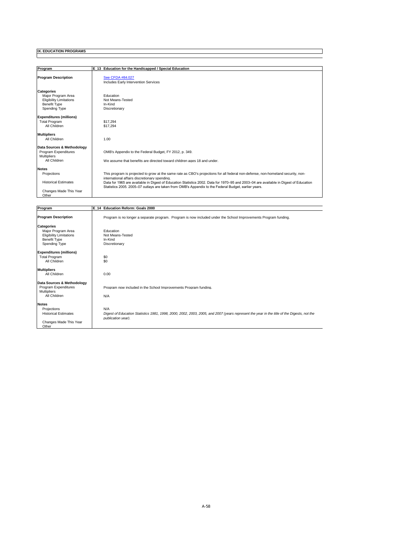| Program                        | E_13 Education for the Handicapped / Special Education                                                                                                                                                                                        |
|--------------------------------|-----------------------------------------------------------------------------------------------------------------------------------------------------------------------------------------------------------------------------------------------|
| <b>Program Description</b>     | See CFDA #84.027<br>Includes Early Intervention Services                                                                                                                                                                                      |
| <b>Categories</b>              |                                                                                                                                                                                                                                               |
| Maior Program Area             | Education                                                                                                                                                                                                                                     |
| <b>Eligibility Limitations</b> | Not Means-Tested                                                                                                                                                                                                                              |
| <b>Benefit Type</b>            | In-Kind                                                                                                                                                                                                                                       |
| Spending Type                  | Discretionary                                                                                                                                                                                                                                 |
| <b>Expenditures (millions)</b> |                                                                                                                                                                                                                                               |
| <b>Total Program</b>           | \$17.294                                                                                                                                                                                                                                      |
| All Children                   | \$17.294                                                                                                                                                                                                                                      |
| <b>Multipliers</b>             |                                                                                                                                                                                                                                               |
| All Children                   | 1.00                                                                                                                                                                                                                                          |
| Data Sources & Methodology     |                                                                                                                                                                                                                                               |
| Program Expenditures           | OMB's Appendix to the Federal Budget, FY 2012, p. 349.                                                                                                                                                                                        |
| <b>Multipliers</b>             |                                                                                                                                                                                                                                               |
| All Children                   | We assume that benefits are directed toward children ages 18 and under.                                                                                                                                                                       |
| <b>Notes</b>                   |                                                                                                                                                                                                                                               |
| Projections                    | This program is projected to grow at the same rate as CBO's projections for all federal non-defense, non-homeland security, non-                                                                                                              |
|                                | international affairs discretionary spending.                                                                                                                                                                                                 |
| <b>Historical Estimates</b>    | Data for 1965 are available in Digest of Education Statistics 2002. Data for 1970-95 and 2003-04 are available in Digest of Education<br>Statistics 2005, 2005–07 outlays are taken from OMB's Appendix to the Federal Budget, earlier years. |
| Changes Made This Year         |                                                                                                                                                                                                                                               |
| Other                          |                                                                                                                                                                                                                                               |

I

| Program                                                                                                    | E 14 Education Reform: Goals 2000                                                                                                                                       |
|------------------------------------------------------------------------------------------------------------|-------------------------------------------------------------------------------------------------------------------------------------------------------------------------|
| <b>Program Description</b>                                                                                 | Program is no longer a separate program. Program is now included under the School Improvements Program funding.                                                         |
| <b>Categories</b><br>Major Program Area<br><b>Eligibility Limitations</b><br>Benefit Type<br>Spending Type | Education<br>Not Means-Tested<br>In-Kind<br>Discretionary                                                                                                               |
| <b>Expenditures (millions)</b><br><b>Total Program</b><br>All Children                                     | \$0<br>\$0                                                                                                                                                              |
| <b>Multipliers</b><br>All Children                                                                         | 0.00                                                                                                                                                                    |
| Data Sources & Methodology<br>Program Expenditures<br><b>Multipliers</b><br>All Children                   | Program now included in the School Improvements Program funding.<br>N/A                                                                                                 |
| <b>Notes</b><br>Projections<br><b>Historical Estimates</b><br>Changes Made This Year<br>Other              | N/A<br>Digest of Education Statistics 1981, 1998, 2000, 2002, 2003, 2005, and 2007 (years represent the year in the title of the Digests, not the<br>publication year). |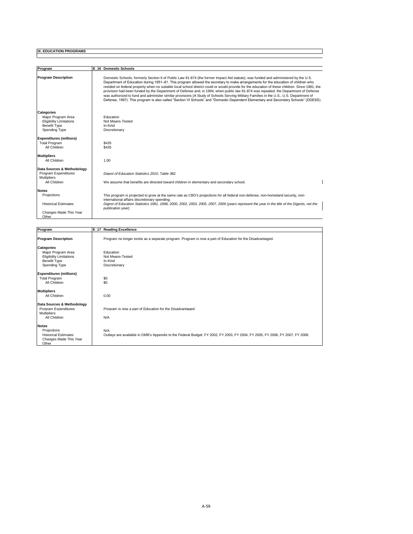| Program                                    | E 16 Domestic Schools                                                                                                                                                                                                                                                                                                                                                                                                                                                                                                                                                                                                                                                                                                                                                                                                                             |
|--------------------------------------------|---------------------------------------------------------------------------------------------------------------------------------------------------------------------------------------------------------------------------------------------------------------------------------------------------------------------------------------------------------------------------------------------------------------------------------------------------------------------------------------------------------------------------------------------------------------------------------------------------------------------------------------------------------------------------------------------------------------------------------------------------------------------------------------------------------------------------------------------------|
| <b>Program Description</b>                 | Domestic Schools, formerly Section 6 of Public Law 81-874 (the former Impact Aid statute), was funded and administered by the U.S.<br>Department of Education during 1951–81. This program allowed the secretary to make arrangements for the education of children who<br>resided on federal property when no suitable local school district could or would provide for the education of these children. Since 1981, the<br>provision had been funded by the Department of Defense and, in 1994, when public law 81-874 was repealed, the Department of Defense<br>was authorized to fund and administer similar provisions (A Study of Schools Serving Military Families in the U.S., U.S. Department of<br>Defense, 1997). This program is also called "Section VI Schools" and "Domestic Dependent Elementary and Secondary Schools" (DDESS). |
| <b>Categories</b>                          |                                                                                                                                                                                                                                                                                                                                                                                                                                                                                                                                                                                                                                                                                                                                                                                                                                                   |
| Maior Program Area                         | Education                                                                                                                                                                                                                                                                                                                                                                                                                                                                                                                                                                                                                                                                                                                                                                                                                                         |
| <b>Eligibility Limitations</b>             | Not Means-Tested                                                                                                                                                                                                                                                                                                                                                                                                                                                                                                                                                                                                                                                                                                                                                                                                                                  |
| <b>Benefit Type</b><br>Spending Type       | In-Kind<br>Discretionary                                                                                                                                                                                                                                                                                                                                                                                                                                                                                                                                                                                                                                                                                                                                                                                                                          |
|                                            |                                                                                                                                                                                                                                                                                                                                                                                                                                                                                                                                                                                                                                                                                                                                                                                                                                                   |
| <b>Expenditures (millions)</b>             |                                                                                                                                                                                                                                                                                                                                                                                                                                                                                                                                                                                                                                                                                                                                                                                                                                                   |
| <b>Total Program</b>                       | \$435                                                                                                                                                                                                                                                                                                                                                                                                                                                                                                                                                                                                                                                                                                                                                                                                                                             |
| All Children                               | \$435                                                                                                                                                                                                                                                                                                                                                                                                                                                                                                                                                                                                                                                                                                                                                                                                                                             |
| <b>Multipliers</b>                         |                                                                                                                                                                                                                                                                                                                                                                                                                                                                                                                                                                                                                                                                                                                                                                                                                                                   |
| All Children                               | 1.00                                                                                                                                                                                                                                                                                                                                                                                                                                                                                                                                                                                                                                                                                                                                                                                                                                              |
|                                            |                                                                                                                                                                                                                                                                                                                                                                                                                                                                                                                                                                                                                                                                                                                                                                                                                                                   |
| Data Sources & Methodology                 |                                                                                                                                                                                                                                                                                                                                                                                                                                                                                                                                                                                                                                                                                                                                                                                                                                                   |
| Program Expenditures<br><b>Multipliers</b> | Digest of Education Statistics 2010. Table 382.                                                                                                                                                                                                                                                                                                                                                                                                                                                                                                                                                                                                                                                                                                                                                                                                   |
| All Children                               | We assume that benefits are directed toward children in elementary and secondary school.                                                                                                                                                                                                                                                                                                                                                                                                                                                                                                                                                                                                                                                                                                                                                          |
| <b>Notes</b>                               |                                                                                                                                                                                                                                                                                                                                                                                                                                                                                                                                                                                                                                                                                                                                                                                                                                                   |
| Projections                                | This program is projected to grow at the same rate as CBO's projections for all federal non-defense, non-homeland security, non-<br>international affairs discretionary spending.                                                                                                                                                                                                                                                                                                                                                                                                                                                                                                                                                                                                                                                                 |
| <b>Historical Estimates</b>                | Digest of Education Statistics 1981, 1998, 2000, 2002, 2003, 2005, 2007, 2009 (years represent the year in the title of the Digests, not the                                                                                                                                                                                                                                                                                                                                                                                                                                                                                                                                                                                                                                                                                                      |
|                                            | publication year).                                                                                                                                                                                                                                                                                                                                                                                                                                                                                                                                                                                                                                                                                                                                                                                                                                |
| Changes Made This Year                     |                                                                                                                                                                                                                                                                                                                                                                                                                                                                                                                                                                                                                                                                                                                                                                                                                                                   |
| Other                                      |                                                                                                                                                                                                                                                                                                                                                                                                                                                                                                                                                                                                                                                                                                                                                                                                                                                   |

∃

| Program                                                                                                           | E_17 Reading Excellence                                                                                                              |
|-------------------------------------------------------------------------------------------------------------------|--------------------------------------------------------------------------------------------------------------------------------------|
| <b>Program Description</b>                                                                                        | Program no longer exists as a separate program. Program is now a part of Education for the Disadvantaged.                            |
| <b>Categories</b><br>Major Program Area<br><b>Eligibility Limitations</b><br><b>Benefit Type</b><br>Spending Type | Education<br>Not Means-Tested<br>In-Kind<br>Discretionary                                                                            |
| <b>Expenditures (millions)</b><br><b>Total Program</b><br>All Children                                            | \$0<br>\$0                                                                                                                           |
| <b>Multipliers</b><br>All Children                                                                                | 0.00                                                                                                                                 |
| Data Sources & Methodology<br>Program Expenditures<br>Multipliers<br>All Children                                 | Program is now a part of Education for the Disadvantaged.<br>N/A                                                                     |
| <b>Notes</b><br>Projections<br><b>Historical Estimates</b><br>Changes Made This Year<br>Other                     | N/A<br>Outlays are available in OMB's Appendix to the Federal Budget: FY 2002, FY 2003, FY 2004, FY 2005, FY 2006, FY 2007, FY 2008. |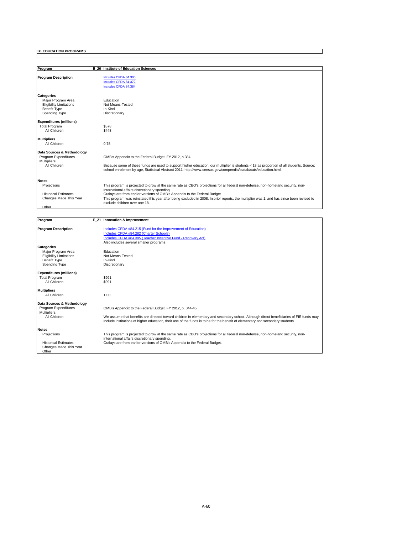| Program                                                                                                           | E 20 Institute of Education Sciences                                                                                                                                                                                                                                                                                                                                                                                                          |
|-------------------------------------------------------------------------------------------------------------------|-----------------------------------------------------------------------------------------------------------------------------------------------------------------------------------------------------------------------------------------------------------------------------------------------------------------------------------------------------------------------------------------------------------------------------------------------|
| <b>Program Description</b>                                                                                        | Includes CFDA 84.305<br>Includes CFDA 84.372<br>Includes CFDA 84.384                                                                                                                                                                                                                                                                                                                                                                          |
| <b>Categories</b><br>Major Program Area<br><b>Eligibility Limitations</b><br><b>Benefit Type</b><br>Spending Type | Education<br>Not Means-Tested<br>In-Kind<br>Discretionary                                                                                                                                                                                                                                                                                                                                                                                     |
| <b>Expenditures (millions)</b><br><b>Total Program</b><br>All Children                                            | \$578<br>\$448                                                                                                                                                                                                                                                                                                                                                                                                                                |
| <b>Multipliers</b><br>All Children                                                                                | 0.78                                                                                                                                                                                                                                                                                                                                                                                                                                          |
| Data Sources & Methodology<br>Program Expenditures<br><b>Multipliers</b><br>All Children                          | OMB's Appendix to the Federal Budget, FY 2012, p.384.<br>Because some of these funds are used to support higher education, our multiplier is students < 18 as proportion of all students. Source:<br>school enrollment by age, Statistical Abstract 2011: http://www.census.gov/compendia/statab/cats/education.html.                                                                                                                         |
| <b>Notes</b><br>Projections<br><b>Historical Estimates</b><br>Changes Made This Year<br>Other                     | This program is projected to grow at the same rate as CBO's projections for all federal non-defense, non-homeland security, non-<br>international affairs discretionary spending.<br>Outlays are from earlier versions of OMB's Appendix to the Federal Budget.<br>This program was reinstated this year after being excluded in 2008. In prior reports, the multiplier was 1, and has since been revised to<br>exclude children over age 18. |

 $\exists$ 

| Program                        | E 21 Innovation & Improvement                                                                                                           |
|--------------------------------|-----------------------------------------------------------------------------------------------------------------------------------------|
|                                |                                                                                                                                         |
| <b>Program Description</b>     | Includes CFDA #84.215 (Fund for the Improvement of Education)                                                                           |
|                                | Includes CFDA #84.282 (Charter Schools)                                                                                                 |
|                                | Includes CFDA #84.385 (Teacher Incentive Fund - Recovery Act)                                                                           |
|                                | Also includes several smaller programs                                                                                                  |
| <b>Categories</b>              |                                                                                                                                         |
| Major Program Area             | Education                                                                                                                               |
| <b>Eligibility Limitations</b> | Not Means-Tested<br>In-Kind                                                                                                             |
| <b>Benefit Type</b>            | Discretionary                                                                                                                           |
| Spending Type                  |                                                                                                                                         |
| <b>Expenditures (millions)</b> |                                                                                                                                         |
| <b>Total Program</b>           | \$991                                                                                                                                   |
| All Children                   | \$991                                                                                                                                   |
|                                |                                                                                                                                         |
| <b>Multipliers</b>             |                                                                                                                                         |
| All Children                   | 1.00                                                                                                                                    |
|                                |                                                                                                                                         |
| Data Sources & Methodology     |                                                                                                                                         |
| Program Expenditures           | OMB's Appendix to the Federal Budget, FY 2012, p. 344-45.                                                                               |
| <b>Multipliers</b>             |                                                                                                                                         |
| All Children                   | We assume that benefits are directed toward children in elementary and secondary school. Although direct beneficiaries of FIE funds may |
|                                | include institutions of higher education, their use of the funds is to be for the benefit of elementary and secondary students.         |
| <b>Notes</b>                   |                                                                                                                                         |
| Projections                    | This program is projected to grow at the same rate as CBO's projections for all federal non-defense, non-homeland security, non-        |
|                                | international affairs discretionary spending.                                                                                           |
| <b>Historical Estimates</b>    | Outlays are from earlier versions of OMB's Appendix to the Federal Budget.                                                              |
| Changes Made This Year         |                                                                                                                                         |
| Other                          |                                                                                                                                         |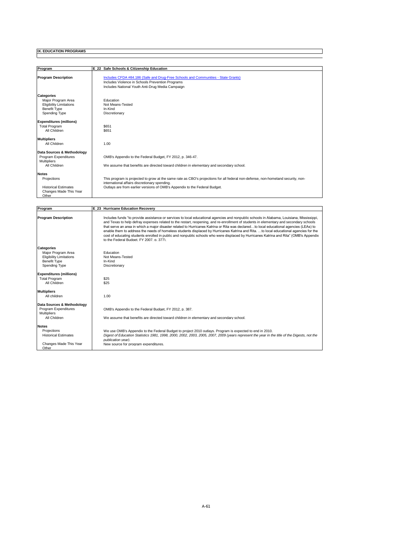| Program                        | E 22 Safe Schools & Citizenship Education                                                                                                                                         |
|--------------------------------|-----------------------------------------------------------------------------------------------------------------------------------------------------------------------------------|
| <b>Program Description</b>     | Includes CFDA #84.186 (Safe and Drug-Free Schools and Communities - State Grants)                                                                                                 |
|                                | Includes Violence in Schools Prevention Programs                                                                                                                                  |
|                                | Includes National Youth Anti-Drug Media Campaign                                                                                                                                  |
| <b>Categories</b>              |                                                                                                                                                                                   |
| Maior Program Area             | Education                                                                                                                                                                         |
| <b>Eligibility Limitations</b> | Not Means-Tested                                                                                                                                                                  |
| <b>Benefit Type</b>            | In-Kind                                                                                                                                                                           |
| Spending Type                  | Discretionary                                                                                                                                                                     |
| <b>Expenditures (millions)</b> |                                                                                                                                                                                   |
| <b>Total Program</b>           | \$651                                                                                                                                                                             |
| All Children                   | \$651                                                                                                                                                                             |
| <b>Multipliers</b>             |                                                                                                                                                                                   |
| All Children                   | 1.00                                                                                                                                                                              |
| Data Sources & Methodology     |                                                                                                                                                                                   |
| Program Expenditures           | OMB's Appendix to the Federal Budget, FY 2012, p. 346-47.                                                                                                                         |
| <b>Multipliers</b>             |                                                                                                                                                                                   |
| All Children                   | We assume that benefits are directed toward children in elementary and secondary school.                                                                                          |
| <b>Notes</b>                   |                                                                                                                                                                                   |
| Projections                    | This program is projected to grow at the same rate as CBO's projections for all federal non-defense, non-homeland security, non-<br>international affairs discretionary spending. |
| <b>Historical Estimates</b>    | Outlays are from earlier versions of OMB's Appendix to the Federal Budget.                                                                                                        |
| Changes Made This Year         |                                                                                                                                                                                   |
| Other                          |                                                                                                                                                                                   |

∃

| Program                            | E 23 Hurricane Education Recovery                                                                                                                                                                                                                                                                                                                                                                                                                                                                                                                                                                                                                                                                                                                            |
|------------------------------------|--------------------------------------------------------------------------------------------------------------------------------------------------------------------------------------------------------------------------------------------------------------------------------------------------------------------------------------------------------------------------------------------------------------------------------------------------------------------------------------------------------------------------------------------------------------------------------------------------------------------------------------------------------------------------------------------------------------------------------------------------------------|
| <b>Program Description</b>         | Includes funds "to provide assistance or services to local educational agencies and nonpublic schools in Alabama, Louisiana, Mississippi,<br>and Texas to help defray expenses related to the restart, reopening, and re-enrollment of students in elementary and secondary schools<br>that serve an area in which a major disaster related to Hurricanes Katrina or Rita was declaredto local educational agencies (LEAs) to<br>enable them to address the needs of homeless students displaced by Hurricanes Katrina and Rita. to local educational agencies for the<br>cost of educating students enrolled in public and nonpublic schools who were displaced by Hurricanes Katrina and Rita" (OMB's Appendix<br>to the Federal Budget, FY 2007, p. 377). |
| <b>Categories</b>                  |                                                                                                                                                                                                                                                                                                                                                                                                                                                                                                                                                                                                                                                                                                                                                              |
| Major Program Area                 | Education                                                                                                                                                                                                                                                                                                                                                                                                                                                                                                                                                                                                                                                                                                                                                    |
| <b>Eligibility Limitations</b>     | Not Means-Tested                                                                                                                                                                                                                                                                                                                                                                                                                                                                                                                                                                                                                                                                                                                                             |
| <b>Benefit Type</b>                | In-Kind                                                                                                                                                                                                                                                                                                                                                                                                                                                                                                                                                                                                                                                                                                                                                      |
| Spending Type                      | Discretionary                                                                                                                                                                                                                                                                                                                                                                                                                                                                                                                                                                                                                                                                                                                                                |
| <b>Expenditures (millions)</b>     |                                                                                                                                                                                                                                                                                                                                                                                                                                                                                                                                                                                                                                                                                                                                                              |
| <b>Total Program</b>               | \$25                                                                                                                                                                                                                                                                                                                                                                                                                                                                                                                                                                                                                                                                                                                                                         |
| All Children                       | \$25                                                                                                                                                                                                                                                                                                                                                                                                                                                                                                                                                                                                                                                                                                                                                         |
|                                    |                                                                                                                                                                                                                                                                                                                                                                                                                                                                                                                                                                                                                                                                                                                                                              |
| <b>Multipliers</b><br>All children | 1.00                                                                                                                                                                                                                                                                                                                                                                                                                                                                                                                                                                                                                                                                                                                                                         |
|                                    |                                                                                                                                                                                                                                                                                                                                                                                                                                                                                                                                                                                                                                                                                                                                                              |
| Data Sources & Methodology         |                                                                                                                                                                                                                                                                                                                                                                                                                                                                                                                                                                                                                                                                                                                                                              |
| Program Expenditures               | OMB's Appendix to the Federal Budget, FY 2012, p. 387.                                                                                                                                                                                                                                                                                                                                                                                                                                                                                                                                                                                                                                                                                                       |
| <b>Multipliers</b>                 |                                                                                                                                                                                                                                                                                                                                                                                                                                                                                                                                                                                                                                                                                                                                                              |
| All Children                       | We assume that benefits are directed toward children in elementary and secondary school.                                                                                                                                                                                                                                                                                                                                                                                                                                                                                                                                                                                                                                                                     |
| <b>Notes</b>                       |                                                                                                                                                                                                                                                                                                                                                                                                                                                                                                                                                                                                                                                                                                                                                              |
| Projections                        | We use OMB's Appendix to the Federal Budget to project 2010 outlays. Program is expected to end in 2010.                                                                                                                                                                                                                                                                                                                                                                                                                                                                                                                                                                                                                                                     |
| <b>Historical Estimates</b>        | Digest of Education Statistics 1981, 1998, 2000, 2002, 2003, 2005, 2007, 2009 (years represent the year in the title of the Digests, not the                                                                                                                                                                                                                                                                                                                                                                                                                                                                                                                                                                                                                 |
|                                    | publication year).                                                                                                                                                                                                                                                                                                                                                                                                                                                                                                                                                                                                                                                                                                                                           |
| Changes Made This Year             | New source for program expenditures.                                                                                                                                                                                                                                                                                                                                                                                                                                                                                                                                                                                                                                                                                                                         |
| Other                              |                                                                                                                                                                                                                                                                                                                                                                                                                                                                                                                                                                                                                                                                                                                                                              |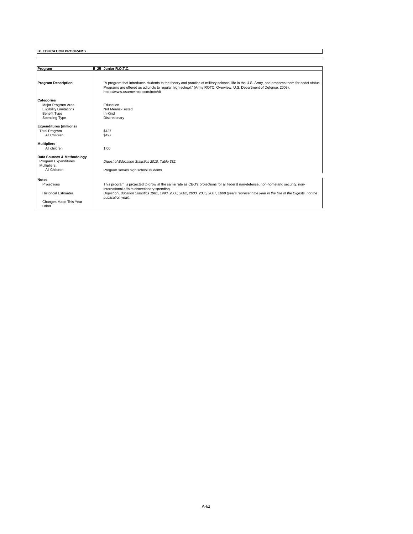| Program                                                                                                           | E 25 Junior R.O.T.C.                                                                                                                                                                                                                                                                                                                                    |
|-------------------------------------------------------------------------------------------------------------------|---------------------------------------------------------------------------------------------------------------------------------------------------------------------------------------------------------------------------------------------------------------------------------------------------------------------------------------------------------|
| <b>Program Description</b>                                                                                        | "A program that introduces students to the theory and practice of military science, life in the U.S. Army, and prepares them for cadet status.<br>Programs are offered as adjuncts to regular high school." (Army ROTC: Overview, U.S. Department of Defense, 2008).<br>https://www.usarmvirotc.com/irotc/dt                                            |
| <b>Categories</b><br>Maior Program Area<br><b>Eligibility Limitations</b><br><b>Benefit Type</b><br>Spending Type | Education<br>Not Means-Tested<br>In-Kind<br>Discretionary                                                                                                                                                                                                                                                                                               |
| <b>Expenditures (millions)</b><br><b>Total Program</b><br>All Children                                            | \$427<br>\$427                                                                                                                                                                                                                                                                                                                                          |
| <b>Multipliers</b><br>All children                                                                                | 1.00                                                                                                                                                                                                                                                                                                                                                    |
| Data Sources & Methodology<br>Program Expenditures<br><b>Multipliers</b><br>All Children                          | Digest of Education Statistics 2010. Table 382.<br>Program serves high school students.                                                                                                                                                                                                                                                                 |
| <b>Notes</b><br>Projections<br><b>Historical Estimates</b><br>Changes Made This Year<br>Other                     | This program is projected to grow at the same rate as CBO's projections for all federal non-defense, non-homeland security, non-<br>international affairs discretionary spending.<br>Digest of Education Statistics 1981, 1998, 2000, 2002, 2003, 2005, 2007, 2009 (years represent the year in the title of the Digests, not the<br>publication year). |

 $\exists$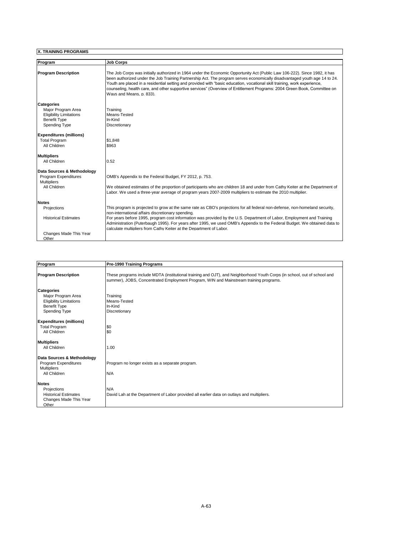| Program                        | <b>Job Corps</b>                                                                                                                                                                                                                                                                                                                                                                                                                                                                                                                          |
|--------------------------------|-------------------------------------------------------------------------------------------------------------------------------------------------------------------------------------------------------------------------------------------------------------------------------------------------------------------------------------------------------------------------------------------------------------------------------------------------------------------------------------------------------------------------------------------|
|                                |                                                                                                                                                                                                                                                                                                                                                                                                                                                                                                                                           |
| <b>Program Description</b>     | The Job Corps was initially authorized in 1964 under the Economic Opportunity Act (Public Law 106-222). Since 1982, it has<br>been authorized under the Job Training Partnership Act. The program serves economically disadvantaged youth age 14 to 24.<br>Youth are placed in a residential setting and provided with "basic education, vocational skill training, work experience,<br>counseling, health care, and other supportive services" (Overview of Entitlement Programs: 2004 Green Book, Committee on<br>Ways and Means n 833) |
| <b>Categories</b>              |                                                                                                                                                                                                                                                                                                                                                                                                                                                                                                                                           |
| Major Program Area             | Training                                                                                                                                                                                                                                                                                                                                                                                                                                                                                                                                  |
| <b>Eligibility Limitations</b> | Means-Tested                                                                                                                                                                                                                                                                                                                                                                                                                                                                                                                              |
| <b>Benefit Type</b>            | In-Kind                                                                                                                                                                                                                                                                                                                                                                                                                                                                                                                                   |
| Spending Type                  | Discretionary                                                                                                                                                                                                                                                                                                                                                                                                                                                                                                                             |
| <b>Expenditures (millions)</b> |                                                                                                                                                                                                                                                                                                                                                                                                                                                                                                                                           |
| <b>Total Program</b>           | \$1,848                                                                                                                                                                                                                                                                                                                                                                                                                                                                                                                                   |
| All Children                   | \$963                                                                                                                                                                                                                                                                                                                                                                                                                                                                                                                                     |
| <b>Multipliers</b>             |                                                                                                                                                                                                                                                                                                                                                                                                                                                                                                                                           |
| All Children                   | 0.52                                                                                                                                                                                                                                                                                                                                                                                                                                                                                                                                      |
| Data Sources & Methodology     |                                                                                                                                                                                                                                                                                                                                                                                                                                                                                                                                           |
| Program Expenditures           | OMB's Appendix to the Federal Budget, FY 2012, p. 753.                                                                                                                                                                                                                                                                                                                                                                                                                                                                                    |
| <b>Multipliers</b>             |                                                                                                                                                                                                                                                                                                                                                                                                                                                                                                                                           |
| All Children                   | We obtained estimates of the proportion of participants who are children 18 and under from Cathy Keiter at the Department of<br>Labor. We used a three-vear average of program vears 2007-2009 multipliers to estimate the 2010 multiplier.                                                                                                                                                                                                                                                                                               |
| <b>Notes</b>                   |                                                                                                                                                                                                                                                                                                                                                                                                                                                                                                                                           |
| Projections                    | This program is projected to grow at the same rate as CBO's projections for all federal non-defense, non-homeland security,                                                                                                                                                                                                                                                                                                                                                                                                               |
|                                | non-international affairs discretionary spending.                                                                                                                                                                                                                                                                                                                                                                                                                                                                                         |
| <b>Historical Estimates</b>    | For years before 1995, program cost information was provided by the U.S. Department of Labor, Employment and Training<br>Administration (Puterbaugh 1995). For years after 1995, we used OMB's Appendix to the Federal Budget. We obtained data to                                                                                                                                                                                                                                                                                        |
|                                | calculate multipliers from Cathy Keiter at the Department of Labor.                                                                                                                                                                                                                                                                                                                                                                                                                                                                       |
| Changes Made This Year         |                                                                                                                                                                                                                                                                                                                                                                                                                                                                                                                                           |
| Other                          |                                                                                                                                                                                                                                                                                                                                                                                                                                                                                                                                           |

٦

| Program                                                                                                                  | Pre-1990 Training Programs                                                                                                                                                                                        |
|--------------------------------------------------------------------------------------------------------------------------|-------------------------------------------------------------------------------------------------------------------------------------------------------------------------------------------------------------------|
| <b>Program Description</b>                                                                                               | These programs include MDTA (institutional training and OJT), and Neighborhood Youth Corps (in school, out of school and<br>summer), JOBS, Concentrated Employment Program, WIN and Mainstream training programs. |
| <b>Categories</b><br>Major Program Area<br><b>Eligibility Limitations</b><br><b>Benefit Type</b><br><b>Spending Type</b> | Training<br>Means-Tested<br>In-Kind<br>Discretionary                                                                                                                                                              |
| <b>Expenditures (millions)</b><br><b>Total Program</b><br>All Children                                                   | \$0<br>\$0                                                                                                                                                                                                        |
| <b>Multipliers</b><br>All Children                                                                                       | 1.00                                                                                                                                                                                                              |
| Data Sources & Methodology<br>Program Expenditures<br><b>Multipliers</b><br>All Children                                 | Program no longer exists as a separate program.<br>N/A                                                                                                                                                            |
| <b>Notes</b><br>Projections<br><b>Historical Estimates</b><br>Changes Made This Year<br>Other                            | N/A<br>David Lah at the Department of Labor provided all earlier data on outlays and multipliers.                                                                                                                 |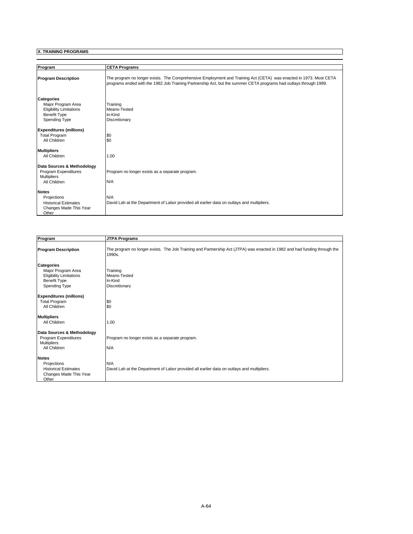| Program                        | <b>CETA Programs</b>                                                                                                                                                                                                                   |
|--------------------------------|----------------------------------------------------------------------------------------------------------------------------------------------------------------------------------------------------------------------------------------|
|                                |                                                                                                                                                                                                                                        |
| <b>Program Description</b>     | The program no longer exists. The Comprehensive Employment and Training Act (CETA) was enacted in 1973. Most CETA<br>programs ended with the 1982 Job Training Partnership Act, but the summer CETA programs had outlays through 1989. |
| <b>Categories</b>              |                                                                                                                                                                                                                                        |
| Major Program Area             | Training                                                                                                                                                                                                                               |
| <b>Eligibility Limitations</b> | Means-Tested                                                                                                                                                                                                                           |
| <b>Benefit Type</b>            | In-Kind                                                                                                                                                                                                                                |
| <b>Spending Type</b>           | Discretionary                                                                                                                                                                                                                          |
| <b>Expenditures (millions)</b> |                                                                                                                                                                                                                                        |
| <b>Total Program</b>           | \$0                                                                                                                                                                                                                                    |
| All Children                   | \$0                                                                                                                                                                                                                                    |
| <b>Multipliers</b>             |                                                                                                                                                                                                                                        |
| All Children                   | 1.00                                                                                                                                                                                                                                   |
| Data Sources & Methodology     |                                                                                                                                                                                                                                        |
| Program Expenditures           | Program no longer exists as a separate program.                                                                                                                                                                                        |
| <b>Multipliers</b>             |                                                                                                                                                                                                                                        |
| All Children                   | N/A                                                                                                                                                                                                                                    |
| <b>Notes</b>                   |                                                                                                                                                                                                                                        |
| Projections                    | N/A                                                                                                                                                                                                                                    |
| <b>Historical Estimates</b>    | David Lah at the Department of Labor provided all earlier data on outlays and multipliers.                                                                                                                                             |
| Changes Made This Year         |                                                                                                                                                                                                                                        |
| Other                          |                                                                                                                                                                                                                                        |

| Program                                                                                                                  | <b>JTPA Programs</b>                                                                                                                |
|--------------------------------------------------------------------------------------------------------------------------|-------------------------------------------------------------------------------------------------------------------------------------|
| <b>Program Description</b>                                                                                               | The program no longer exists. The Job Training and Partnership Act (JTPA) was enacted in 1982 and had funding through the<br>1990s. |
| <b>Categories</b><br>Major Program Area<br><b>Eligibility Limitations</b><br><b>Benefit Type</b><br><b>Spending Type</b> | Training<br>Means-Tested<br>In-Kind<br>Discretionary                                                                                |
| <b>Expenditures (millions)</b><br><b>Total Program</b><br>All Children                                                   | \$0<br>\$0                                                                                                                          |
| <b>Multipliers</b><br>All Children                                                                                       | 1.00                                                                                                                                |
| Data Sources & Methodology<br>Program Expenditures<br><b>Multipliers</b><br>All Children                                 | Program no longer exists as a separate program.<br>N/A                                                                              |
| <b>Notes</b><br>Projections<br><b>Historical Estimates</b><br>Changes Made This Year<br>Other                            | N/A<br>David Lah at the Department of Labor provided all earlier data on outlays and multipliers.                                   |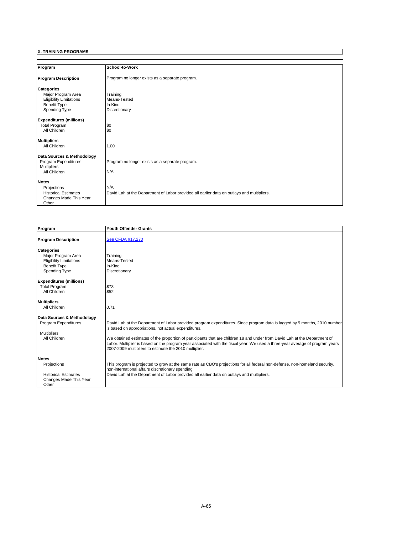| Program                                               | School-to-Work                                                                             |
|-------------------------------------------------------|--------------------------------------------------------------------------------------------|
| <b>Program Description</b>                            | Program no longer exists as a separate program.                                            |
| <b>Categories</b>                                     |                                                                                            |
| Major Program Area                                    | Training<br>Means-Tested                                                                   |
| <b>Eligibility Limitations</b><br><b>Benefit Type</b> | In-Kind                                                                                    |
| <b>Spending Type</b>                                  | Discretionary                                                                              |
| <b>Expenditures (millions)</b>                        |                                                                                            |
| <b>Total Program</b>                                  | \$0                                                                                        |
| All Children                                          | \$0                                                                                        |
| <b>Multipliers</b>                                    |                                                                                            |
| All Children                                          | 1.00                                                                                       |
| Data Sources & Methodology                            |                                                                                            |
| Program Expenditures                                  | Program no longer exists as a separate program.                                            |
| <b>Multipliers</b><br>All Children                    | N/A                                                                                        |
|                                                       |                                                                                            |
| <b>Notes</b>                                          |                                                                                            |
| Projections                                           | N/A                                                                                        |
| <b>Historical Estimates</b><br>Changes Made This Year | David Lah at the Department of Labor provided all earlier data on outlays and multipliers. |
| Other                                                 |                                                                                            |

| Program                                                                                                                                                                     | Youth Offender Grants                                                                                                                                                                                                                                                                                                                                                                                                                                                                                      |
|-----------------------------------------------------------------------------------------------------------------------------------------------------------------------------|------------------------------------------------------------------------------------------------------------------------------------------------------------------------------------------------------------------------------------------------------------------------------------------------------------------------------------------------------------------------------------------------------------------------------------------------------------------------------------------------------------|
| <b>Program Description</b>                                                                                                                                                  | See CFDA #17.270                                                                                                                                                                                                                                                                                                                                                                                                                                                                                           |
| <b>Categories</b><br>Major Program Area<br><b>Eligibility Limitations</b><br><b>Benefit Type</b><br>Spending Type<br><b>Expenditures (millions)</b><br><b>Total Program</b> | Training<br>Means-Tested<br>In-Kind<br>Discretionary<br>\$73                                                                                                                                                                                                                                                                                                                                                                                                                                               |
| All Children<br><b>Multipliers</b><br>All Children                                                                                                                          | \$52<br>0.71                                                                                                                                                                                                                                                                                                                                                                                                                                                                                               |
| Data Sources & Methodology<br>Program Expenditures<br><b>Multipliers</b><br>All Children                                                                                    | David Lah at the Department of Labor provided program expenditures. Since program data is lagged by 9 months, 2010 number<br>is based on appropriations, not actual expenditures.<br>We obtained estimates of the proportion of participants that are children 18 and under from David Lah at the Department of<br>Labor. Multiplier is based on the program year associated with the fiscal year. We used a three-year average of program years<br>2007-2009 multipliers to estimate the 2010 multiplier. |
| <b>Notes</b><br>Projections<br><b>Historical Estimates</b><br>Changes Made This Year<br>Other                                                                               | This program is projected to grow at the same rate as CBO's projections for all federal non-defense, non-homeland security,<br>non-international affairs discretionary spending.<br>David Lah at the Department of Labor provided all earlier data on outlays and multipliers.                                                                                                                                                                                                                             |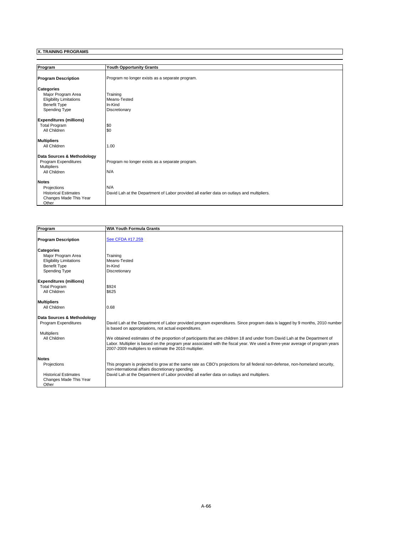| Program                        | <b>Youth Opportunity Grants</b>                                                            |
|--------------------------------|--------------------------------------------------------------------------------------------|
| <b>Program Description</b>     | Program no longer exists as a separate program.                                            |
| <b>Categories</b>              |                                                                                            |
| Major Program Area             | Training                                                                                   |
| <b>Eligibility Limitations</b> | Means-Tested                                                                               |
| <b>Benefit Type</b>            | In-Kind                                                                                    |
| <b>Spending Type</b>           | Discretionary                                                                              |
| <b>Expenditures (millions)</b> |                                                                                            |
| <b>Total Program</b>           | \$0                                                                                        |
| All Children                   | \$0                                                                                        |
| <b>Multipliers</b>             |                                                                                            |
| All Children                   | 1.00                                                                                       |
| Data Sources & Methodology     |                                                                                            |
| Program Expenditures           | Program no longer exists as a separate program.                                            |
| <b>Multipliers</b>             |                                                                                            |
| All Children                   | N/A                                                                                        |
| <b>Notes</b>                   |                                                                                            |
| Projections                    | N/A                                                                                        |
| <b>Historical Estimates</b>    | David Lah at the Department of Labor provided all earlier data on outlays and multipliers. |
| Changes Made This Year         |                                                                                            |
| Other                          |                                                                                            |

| Program                                                                                                                                             | <b>WIA Youth Formula Grants</b>                                                                                                                                                                                                                                                                                                                                                                                                                                                                            |
|-----------------------------------------------------------------------------------------------------------------------------------------------------|------------------------------------------------------------------------------------------------------------------------------------------------------------------------------------------------------------------------------------------------------------------------------------------------------------------------------------------------------------------------------------------------------------------------------------------------------------------------------------------------------------|
| <b>Program Description</b>                                                                                                                          | See CFDA #17.259                                                                                                                                                                                                                                                                                                                                                                                                                                                                                           |
| <b>Categories</b><br>Major Program Area<br><b>Eligibility Limitations</b><br><b>Benefit Type</b><br>Spending Type<br><b>Expenditures (millions)</b> | Training<br>Means-Tested<br>In-Kind<br>Discretionary                                                                                                                                                                                                                                                                                                                                                                                                                                                       |
| <b>Total Program</b><br>All Children                                                                                                                | \$924<br>\$625                                                                                                                                                                                                                                                                                                                                                                                                                                                                                             |
| <b>Multipliers</b><br>All Children                                                                                                                  | 0.68                                                                                                                                                                                                                                                                                                                                                                                                                                                                                                       |
| Data Sources & Methodology<br>Program Expenditures<br><b>Multipliers</b><br>All Children                                                            | David Lah at the Department of Labor provided program expenditures. Since program data is lagged by 9 months, 2010 number<br>is based on appropriations, not actual expenditures.<br>We obtained estimates of the proportion of participants that are children 18 and under from David Lah at the Department of<br>Labor. Multiplier is based on the program year associated with the fiscal year. We used a three-year average of program years<br>2007-2009 multipliers to estimate the 2010 multiplier. |
| <b>Notes</b><br>Projections<br><b>Historical Estimates</b><br>Changes Made This Year<br>Other                                                       | This program is projected to grow at the same rate as CBO's projections for all federal non-defense, non-homeland security,<br>non-international affairs discretionary spending.<br>David Lah at the Department of Labor provided all earlier data on outlays and multipliers.                                                                                                                                                                                                                             |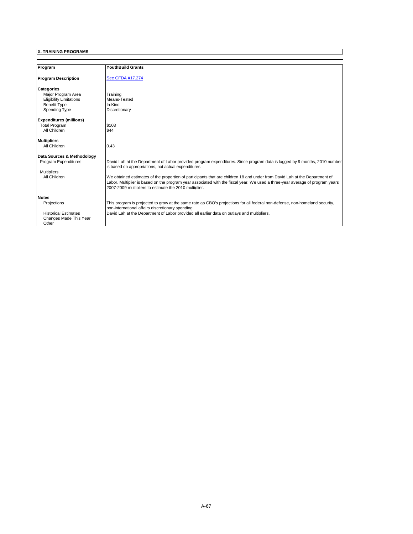| Program                        | <b>YouthBuild Grants</b>                                                                                                                                                                                                                                                                                              |  |
|--------------------------------|-----------------------------------------------------------------------------------------------------------------------------------------------------------------------------------------------------------------------------------------------------------------------------------------------------------------------|--|
| <b>Program Description</b>     | See CFDA #17.274                                                                                                                                                                                                                                                                                                      |  |
| Categories                     |                                                                                                                                                                                                                                                                                                                       |  |
| Maior Program Area             | Training                                                                                                                                                                                                                                                                                                              |  |
| <b>Eligibility Limitations</b> | Means-Tested                                                                                                                                                                                                                                                                                                          |  |
| <b>Benefit Type</b>            | In-Kind                                                                                                                                                                                                                                                                                                               |  |
| Spending Type                  | Discretionary                                                                                                                                                                                                                                                                                                         |  |
| <b>Expenditures (millions)</b> |                                                                                                                                                                                                                                                                                                                       |  |
| <b>Total Program</b>           | \$103                                                                                                                                                                                                                                                                                                                 |  |
| All Children                   | \$44                                                                                                                                                                                                                                                                                                                  |  |
| <b>Multipliers</b>             |                                                                                                                                                                                                                                                                                                                       |  |
| All Children                   | 0.43                                                                                                                                                                                                                                                                                                                  |  |
| Data Sources & Methodology     |                                                                                                                                                                                                                                                                                                                       |  |
| <b>Program Expenditures</b>    | David Lah at the Department of Labor provided program expenditures. Since program data is lagged by 9 months, 2010 number<br>is based on appropriations, not actual expenditures.                                                                                                                                     |  |
| <b>Multipliers</b>             |                                                                                                                                                                                                                                                                                                                       |  |
| All Children                   | We obtained estimates of the proportion of participants that are children 18 and under from David Lah at the Department of<br>Labor. Multiplier is based on the program year associated with the fiscal year. We used a three-year average of program years<br>2007-2009 multipliers to estimate the 2010 multiplier. |  |
| <b>Notes</b>                   |                                                                                                                                                                                                                                                                                                                       |  |
| Projections                    | This program is projected to grow at the same rate as CBO's projections for all federal non-defense, non-homeland security,<br>non-international affairs discretionary spending.                                                                                                                                      |  |
| <b>Historical Estimates</b>    | David Lah at the Department of Labor provided all earlier data on outlays and multipliers.                                                                                                                                                                                                                            |  |
| Changes Made This Year         |                                                                                                                                                                                                                                                                                                                       |  |
| Other                          |                                                                                                                                                                                                                                                                                                                       |  |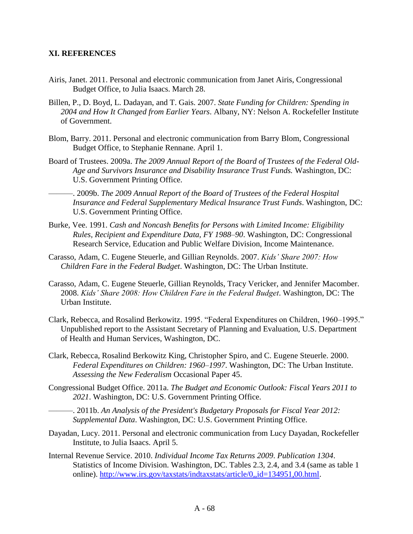## **XI. REFERENCES**

- Airis, Janet. 2011. Personal and electronic communication from Janet Airis, Congressional Budget Office, to Julia Isaacs. March 28.
- Billen, P., D. Boyd, L. Dadayan, and T. Gais. 2007. *State Funding for Children: Spending in 2004 and How It Changed from Earlier Years*. Albany, NY: Nelson A. Rockefeller Institute of Government.
- Blom, Barry. 2011. Personal and electronic communication from Barry Blom, Congressional Budget Office, to Stephanie Rennane. April 1.
- Board of Trustees. 2009a. *The 2009 Annual Report of the Board of Trustees of the Federal Old-Age and Survivors Insurance and Disability Insurance Trust Funds.* Washington, DC: U.S. Government Printing Office.
- ———. 2009b. *The 2009 Annual Report of the Board of Trustees of the Federal Hospital Insurance and Federal Supplementary Medical Insurance Trust Funds*. Washington, DC: U.S. Government Printing Office.
- Burke, Vee. 1991. *Cash and Noncash Benefits for Persons with Limited Income: Eligibility Rules, Recipient and Expenditure Data, FY 1988–90*. Washington, DC: Congressional Research Service, Education and Public Welfare Division, Income Maintenance.
- Carasso, Adam, C. Eugene Steuerle, and Gillian Reynolds. 2007. *Kids' Share 2007: How Children Fare in the Federal Budget*. Washington, DC: The Urban Institute.
- Carasso, Adam, C. Eugene Steuerle, Gillian Reynolds, Tracy Vericker, and Jennifer Macomber. 2008. *Kids' Share 2008: How Children Fare in the Federal Budget*. Washington, DC: The Urban Institute.
- Clark, Rebecca, and Rosalind Berkowitz. 1995. "Federal Expenditures on Children, 1960–1995." Unpublished report to the Assistant Secretary of Planning and Evaluation, U.S. Department of Health and Human Services, Washington, DC.
- Clark, Rebecca, Rosalind Berkowitz King, Christopher Spiro, and C. Eugene Steuerle. 2000. *Federal Expenditures on Children: 1960–1997*. Washington, DC: The Urban Institute. *Assessing the New Federalism* Occasional Paper 45.
- Congressional Budget Office. 2011a. *The Budget and Economic Outlook: Fiscal Years 2011 to 2021*. Washington, DC: U.S. Government Printing Office.
	- ———. 2011b. *An Analysis of the President's Budgetary Proposals for Fiscal Year 2012: Supplemental Data*. Washington, DC: U.S. Government Printing Office.
- Dayadan, Lucy. 2011. Personal and electronic communication from Lucy Dayadan, Rockefeller Institute, to Julia Isaacs. April 5.
- Internal Revenue Service. 2010. *Individual Income Tax Returns 2009*. *Publication 1304*. Statistics of Income Division. Washington, DC. Tables 2.3, 2.4, and 3.4 (same as table 1 online). http://www.irs.gov/taxstats/indtaxstats/article/0,,id=134951,00.html.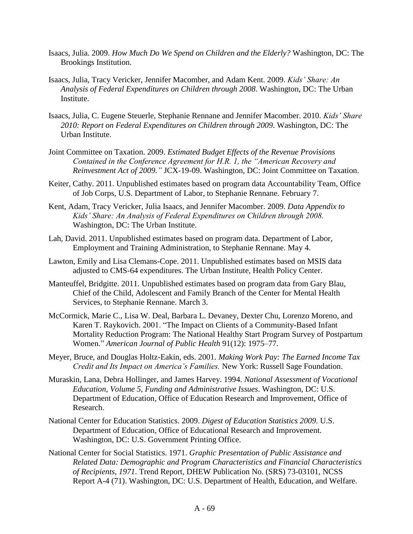- Isaacs, Julia. 2009. *How Much Do We Spend on Children and the Elderly?* Washington, DC: The Brookings Institution.
- Isaacs, Julia, Tracy Vericker, Jennifer Macomber, and Adam Kent. 2009. *Kids' Share: An Analysis of Federal Expenditures on Children through 2008*. Washington, DC: The Urban Institute.
- Isaacs, Julia, C. Eugene Steuerle, Stephanie Rennane and Jennifer Macomber. 2010. *Kids' Share 2010: Report on Federal Expenditures on Children through 2009*. Washington, DC: The Urban Institute.
- Joint Committee on Taxation. 2009. *Estimated Budget Effects of the Revenue Provisions Contained in the Conference Agreement for H.R. 1, the "American Recovery and Reinvestment Act of 2009."* JCX-19-09. Washington, DC: Joint Committee on Taxation.
- Keiter, Cathy. 2011. Unpublished estimates based on program data Accountability Team, Office of Job Corps, U.S. Department of Labor, to Stephanie Rennane. February 7.
- Kent, Adam, Tracy Vericker, Julia Isaacs, and Jennifer Macomber. 2009. *Data Appendix to Kids' Share: An Analysis of Federal Expenditures on Children through 2008.* Washington, DC: The Urban Institute.
- Lah, David. 2011. Unpublished estimates based on program data. Department of Labor, Employment and Training Administration, to Stephanie Rennane. May 4.
- Lawton, Emily and Lisa Clemans-Cope. 2011. Unpublished estimates based on MSIS data adjusted to CMS-64 expenditures. The Urban Institute, Health Policy Center.
- Manteuffel, Bridgitte. 2011. Unpublished estimates based on program data from Gary Blau, Chief of the Child, Adolescent and Family Branch of the Center for Mental Health Services, to Stephanie Rennane. March 3.
- McCormick, Marie C., Lisa W. Deal, Barbara L. Devaney, Dexter Chu, Lorenzo Moreno, and Karen T. Raykovich. 2001. "The Impact on Clients of a Community-Based Infant Mortality Reduction Program: The National Healthy Start Program Survey of Postpartum Women.‖ *American Journal of Public Health* 91(12): 1975–77.
- Meyer, Bruce, and Douglas Holtz-Eakin, eds. 2001. *Making Work Pay: The Earned Income Tax Credit and Its Impact on America's Families.* New York: Russell Sage Foundation.
- Muraskin, Lana, Debra Hollinger, and James Harvey. 1994. *National Assessment of Vocational Education, Volume 5, Funding and Administrative Issues*. Washington, DC: U.S. Department of Education, Office of Education Research and Improvement, Office of Research.
- National Center for Education Statistics. 2009. *Digest of Education Statistics 2009*. U.S. Department of Education, Office of Educational Research and Improvement. Washington, DC: U.S. Government Printing Office.
- National Center for Social Statistics. 1971. *Graphic Presentation of Public Assistance and Related Data: Demographic and Program Characteristics and Financial Characteristics of Recipients, 1971*. Trend Report, DHEW Publication No. (SRS) 73-03101, NCSS Report A-4 (71). Washington, DC: U.S. Department of Health, Education, and Welfare.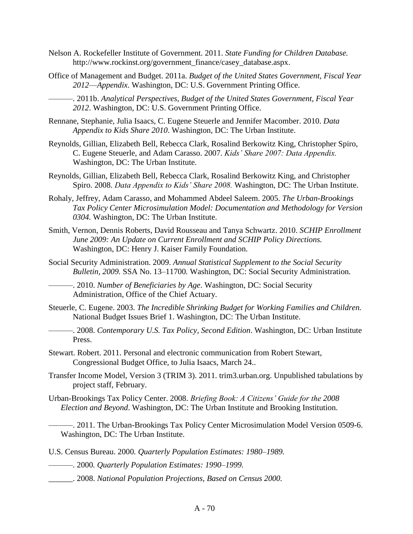- Nelson A. Rockefeller Institute of Government. 2011. *State Funding for Children Database.*  http://www.rockinst.org/government\_finance/casey\_database.aspx.
- Office of Management and Budget. 2011a. *Budget of the United States Government, Fiscal Year 2012*—*Appendix*. Washington, DC: U.S. Government Printing Office.
	- ———. 2011b. *Analytical Perspectives, Budget of the United States Government, Fiscal Year 2012*. Washington, DC: U.S. Government Printing Office.
- Rennane, Stephanie, Julia Isaacs, C. Eugene Steuerle and Jennifer Macomber. 2010. *Data Appendix to Kids Share 2010*. Washington, DC: The Urban Institute.
- Reynolds, Gillian, Elizabeth Bell, Rebecca Clark, Rosalind Berkowitz King, Christopher Spiro, C. Eugene Steuerle, and Adam Carasso. 2007. *Kids' Share 2007: Data Appendix.* Washington, DC: The Urban Institute.
- Reynolds, Gillian, Elizabeth Bell, Rebecca Clark, Rosalind Berkowitz King, and Christopher Spiro. 2008. *Data Appendix to Kids' Share 2008.* Washington, DC: The Urban Institute.
- Rohaly, Jeffrey, Adam Carasso, and Mohammed Abdeel Saleem. 2005. *The Urban-Brookings Tax Policy Center Microsimulation Model: Documentation and Methodology for Version 0304.* Washington, DC: The Urban Institute.
- Smith, Vernon, Dennis Roberts, David Rousseau and Tanya Schwartz. 2010. *SCHIP Enrollment June 2009: An Update on Current Enrollment and SCHIP Policy Directions.* Washington, DC: Henry J. Kaiser Family Foundation.
- Social Security Administration. 2009. *Annual Statistical Supplement to the Social Security Bulletin, 2009.* SSA No. 13–11700*.* Washington, DC: Social Security Administration*.*

———. 2010. *Number of Beneficiaries by Age*. Washington, DC: Social Security Administration, Office of the Chief Actuary.

- Steuerle, C. Eugene. 2003. *The Incredible Shrinking Budget for Working Families and Children.* National Budget Issues Brief 1. Washington, DC: The Urban Institute.
- ———. 2008. *Contemporary U.S. Tax Policy, Second Edition*. Washington, DC: Urban Institute Press.
- Stewart. Robert. 2011. Personal and electronic communication from Robert Stewart, Congressional Budget Office, to Julia Isaacs, March 24..
- Transfer Income Model, Version 3 (TRIM 3). 2011. trim3.urban.org. Unpublished tabulations by project staff, February.
- Urban-Brookings Tax Policy Center. 2008. *Briefing Book: A Citizens' Guide for the 2008 Election and Beyond*. Washington, DC: The Urban Institute and Brooking Institution.
	- ———. 2011. The Urban-Brookings Tax Policy Center Microsimulation Model Version 0509-6. Washington, DC: The Urban Institute.
- U.S. Census Bureau. 2000*. Quarterly Population Estimates: 1980–1989.*
- ———. 2000*. Quarterly Population Estimates: 1990–1999.*
- \_\_\_\_\_\_. 2008. *National Population Projections, Based on Census 2000.*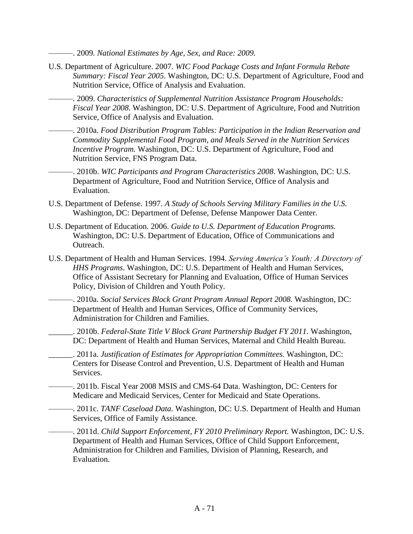———. 2009*. National Estimates by Age, Sex, and Race: 2009.* 

- U.S. Department of Agriculture. 2007. *WIC Food Package Costs and Infant Formula Rebate Summary: Fiscal Year 2005*. Washington, DC: U.S. Department of Agriculture, Food and Nutrition Service, Office of Analysis and Evaluation.
	- ———. 2009. *Characteristics of Supplemental Nutrition Assistance Program Households: Fiscal Year 2008*. Washington, DC: U.S. Department of Agriculture, Food and Nutrition Service, Office of Analysis and Evaluation.
	- ———. 2010a. *Food Distribution Program Tables: Participation in the Indian Reservation and Commodity Supplemental Food Program, and Meals Served in the Nutrition Services Incentive Program.* Washington, DC: U.S. Department of Agriculture, Food and Nutrition Service, FNS Program Data.
- ———. 2010b. *WIC Participants and Program Characteristics 2008*. Washington, DC: U.S. Department of Agriculture, Food and Nutrition Service, Office of Analysis and Evaluation.
- U.S. Department of Defense. 1997. *A Study of Schools Serving Military Families in the U.S.*  Washington, DC: Department of Defense, Defense Manpower Data Center.
- U.S. Department of Education. 2006. *Guide to U.S. Department of Education Programs.*  Washington, DC: U.S. Department of Education, Office of Communications and Outreach.
- U.S. Department of Health and Human Services. 1994. *Serving America's Youth: A Directory of HHS Programs*. Washington, DC: U.S. Department of Health and Human Services, Office of Assistant Secretary for Planning and Evaluation, Office of Human Services Policy, Division of Children and Youth Policy.
- ———. 2010a. *Social Services Block Grant Program Annual Report 2008.* Washington, DC: Department of Health and Human Services, Office of Community Services, Administration for Children and Families.
	- \_\_\_\_\_\_. 2010b. *Federal-State Title V Block Grant Partnership Budget FY 2011.* Washington, DC: Department of Health and Human Services, Maternal and Child Health Bureau.
- \_\_\_\_\_\_. 2011a. *Justification of Estimates for Appropriation Committees.* Washington, DC: Centers for Disease Control and Prevention, U.S. Department of Health and Human Services.
	- ———. 2011b. Fiscal Year 2008 MSIS and CMS-64 Data. Washington, DC: Centers for Medicare and Medicaid Services, Center for Medicaid and State Operations.
- ———. 2011c. *TANF Caseload Data.* Washington, DC: U.S. Department of Health and Human Services, Office of Family Assistance.
	- ———. 2011d. *Child Support Enforcement, FY 2010 Preliminary Report.* Washington, DC: U.S. Department of Health and Human Services, Office of Child Support Enforcement, Administration for Children and Families, Division of Planning, Research, and Evaluation.